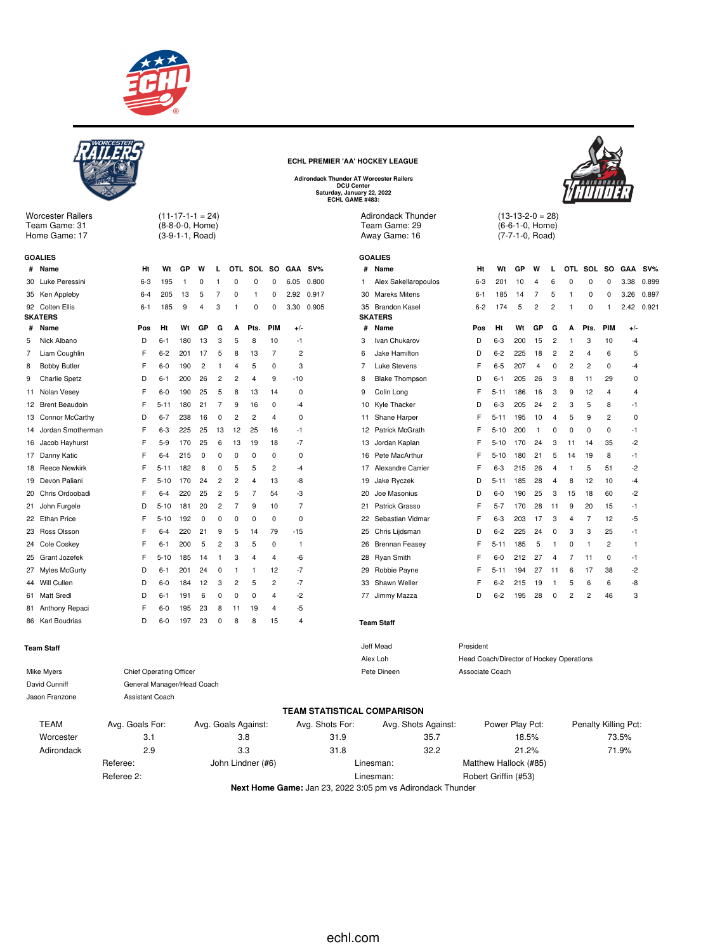

 $(11-17-1-1 = 24)$ (8-8-0-0, Home) (3-9-1-1, Road)

**# Name Ht Wt GP W L OTL SOL SO GAA SV%** Luke Peressini 6-3 195 1 0 1 0 0 0 6.05 0.800 Ken Appleby 6-4 205 13 5 7 0 1 0 2.92 0.917 Colten Ellis 6-1 185 9 4 3 1 0 0 3.30 0.905

**# Name Pos Ht Wt GP G A Pts. PIM +/-** Nick Albano D 6-1 180 13 3 5 8 10 -1 Liam Coughlin F 6-2 201 17 5 8 13 7 2 8 Bobby Butler F 6-0 190 2 1 4 5 0 3 Charlie Spetz D 6-1 200 26 2 2 4 9 -10 Nolan Vesey F 6-0 190 25 5 8 13 14 0 Brent Beaudoin F 5-11 180 21 7 9 16 0 -4 Connor McCarthy D 6-7 238 16 0 2 2 4 0 Jordan Smotherman F 6-3 225 25 13 12 25 16 -1 Jacob Hayhurst F 5-9 170 25 6 13 19 18 -7 17 Danny Katic **F** 6-4 215 0 0 0 0 0 0 0 18 Reece Newkirk F 5-11 182 8 0 5 5 2 -4 Devon Paliani F 5-10 170 24 2 2 4 13 -8 Chris Ordoobadi F 6-4 220 25 2 5 7 54 -3 John Furgele D 5-10 181 20 2 7 9 10 7 22 Ethan Price F 5-10 192 0 0 0 0 0 0 0



Worcester Railers Team Game: 31 Home Game: 17

**GOALIES**

**SKATERS**

**ECHL PREMIER 'AA' HOCKEY LEAGUE**

**Adirondack Thunder AT Worcester Railers DCU Center Saturday, January 22, 2022 ECHL GAME #483:**

> Adirondack Thunder Team Game: 29 Away Game: 16

> > **GOALIES**

| ັ |  |  |
|---|--|--|
|   |  |  |
|   |  |  |
|   |  |  |
|   |  |  |
|   |  |  |
|   |  |  |
|   |  |  |

| #  | Name                  | Ht        | Wt                   | GP  | W              | L                       | OTL            | SOL                     | SO  | GAA                     | SV%   |
|----|-----------------------|-----------|----------------------|-----|----------------|-------------------------|----------------|-------------------------|-----|-------------------------|-------|
| 1  | Alex Sakellaropoulos  | $6 - 3$   | 201                  | 10  | 4              | 6                       | 0              | 0                       | 0   | 3.38                    | 0.899 |
| 30 | Mareks Mitens         | $6 - 1$   | 185                  | 14  | 7              | 5                       | 1              | 0                       | 0   | 3.26                    | 0.897 |
| 35 | Brandon Kasel         | $6 - 2$   | 174                  | 5   | 2              | 2                       | 1              | 0                       | 1   | 2.42                    | 0.921 |
|    | <b>SKATERS</b>        |           |                      |     |                |                         |                |                         |     |                         |       |
| #  | Name                  | Pos       | Ht                   | Wt  | GP             | G                       | А              | Pts.                    | PIM | +/-                     |       |
| 3  | Ivan Chukarov         | D         | $6 - 3$              | 200 | 15             | $\overline{c}$          | 1              | 3                       | 10  | $-4$                    |       |
| 6  | Jake Hamilton         | D         | $6 - 2$              | 225 | 18             | $\overline{2}$          | $\overline{c}$ | $\overline{\mathbf{4}}$ | 6   | 5                       |       |
| 7  | Luke Stevens          | F         | $6 - 5$              | 207 | $\overline{4}$ | 0                       | 2              | 2                       | 0   | $-4$                    |       |
| 8  | <b>Blake Thompson</b> | D         | $6 - 1$              | 205 | 26             | 3                       | 8              | 11                      | 29  | 0                       |       |
| 9  | Colin Long            | F         | $5 - 11$             | 186 | 16             | 3                       | 9              | 12                      | 4   | $\overline{\mathbf{4}}$ |       |
| 10 | Kyle Thacker          | D         | $6 - 3$              | 205 | 24             | $\overline{c}$          | 3              | 5                       | 8   | -1                      |       |
| 11 | Shane Harper          | F         | 5-11                 | 195 | 10             | 4                       | 5              | 9                       | 2   | 0                       |       |
| 12 | Patrick McGrath       | F         | $5 - 10$             | 200 | 1              | 0                       | 0              | 0                       | 0   | $-1$                    |       |
| 13 | Jordan Kaplan         | F         | $5 - 10$             | 170 | 24             | 3                       | 11             | 14                      | 35  | $-2$                    |       |
| 16 | Pete MacArthur        | F         | $5 - 10$             | 180 | 21             | 5                       | 14             | 19                      | 8   | -1                      |       |
| 17 | Alexandre Carrier     | F         | $6 - 3$              | 215 | 26             | 4                       | 1              | 5                       | 51  | $-2$                    |       |
| 19 | Jake Ryczek           | D         | $5 - 11$             | 185 | 28             | 4                       | 8              | 12                      | 10  | $-4$                    |       |
| 20 | Joe Masonius          | D         | $6-0$                | 190 | 25             | 3                       | 15             | 18                      | 60  | $-2$                    |       |
| 21 | Patrick Grasso        | F         | $5 - 7$              | 170 | 28             | 11                      | 9              | 20                      | 15  | -1                      |       |
| 22 | Sebastian Vidmar      | F         | $6 - 3$              | 203 | 17             | 3                       | 4              | 7                       | 12  | -5                      |       |
| 25 | Chris Lijdsman        | D         | $6 - 2$              | 225 | 24             | 0                       | 3              | 3                       | 25  | -1                      |       |
| 26 | <b>Brennan Feasey</b> | F         | $5 - 11$             | 185 | 5              | 1                       | 0              | 1                       | 2   | 1                       |       |
| 28 | Ryan Smith            | F         | $6-0$                | 212 | 27             | $\overline{\mathbf{4}}$ | 7              | 11                      | 0   | $-1$                    |       |
| 29 | Robbie Payne          | F         | $5 - 11$             | 194 | 27             | 11                      | 6              | 17                      | 38  | $-2$                    |       |
| 33 | Shawn Weller          | F         | $6 - 2$              | 215 | 19             | 1                       | 5              | 6                       | 6   | -8                      |       |
| 77 | Jimmy Mazza           | D         | $6 - 2$              | 195 | 28             | 0                       | 2              | 2                       | 46  | 3                       |       |
|    | <b>Team Staff</b>     |           |                      |     |                |                         |                |                         |     |                         |       |
|    | Jeff Mead             | President |                      |     |                |                         |                |                         |     |                         |       |
|    |                       |           | $\sim$ $\sim$ $\sim$ |     | $\cdots$       |                         |                |                         |     |                         |       |

 $(13-13-2-0) = 28$ (6-6-1-0, Home) (7-7-1-0, Road)

| 23 Ross Olsson    |                 | F   | $6 - 4$                        | 220 | 21 | 9              | 5   | 14                  | 79             | $-15$ |                                    |    | 25 Chris Lijdsman   | D                                        | $6 - 2$         | 225   | 24 | 0  | 3 | 3              | 25                   | -1 |
|-------------------|-----------------|-----|--------------------------------|-----|----|----------------|-----|---------------------|----------------|-------|------------------------------------|----|---------------------|------------------------------------------|-----------------|-------|----|----|---|----------------|----------------------|----|
| 24 Cole Coskey    |                 | F   | $6 - 1$                        | 200 | 5  | $\overline{2}$ | 3   | 5                   | $^{\circ}$     | -1    |                                    |    | 26 Brennan Feasey   | F.                                       | $5 - 11$        | 185   | 5  |    | 0 |                | 2                    |    |
| 25 Grant Jozefek  |                 | F   | $5 - 10$                       | 185 | 14 |                | 3   | 4                   | 4              | $-6$  |                                    |    | 28 Ryan Smith       | F                                        | $6 - 0$         | 212   | 27 | 4  |   | 11             | 0                    | -1 |
| 27 Myles McGurty  |                 | D   | $6 - 1$                        | 201 | 24 | $^{\circ}$     |     |                     | 12             | $-7$  |                                    |    | 29 Robbie Payne     | F                                        | $5 - 11$        | 194   | 27 | 11 | 6 | 17             | 38                   | -2 |
| 44 Will Cullen    |                 | D   | $6-0$                          | 184 | 12 | 3              | 2   | 5                   | $\overline{2}$ | $-7$  |                                    | 33 | Shawn Weller        | F                                        | $6 - 2$         | 215   | 19 |    | 5 | 6              | 6                    | -8 |
| 61 Matt Sredl     |                 | D   | $6 - 1$                        | 191 | 6  | $\Omega$       | 0   | $\Omega$            | $\overline{4}$ | $-2$  |                                    | 77 | Jimmy Mazza         | D                                        | $6 - 2$         | 195   | 28 | 0  | 2 | $\overline{2}$ | 46                   | 3  |
| 81 Anthony Repaci |                 | F   | $6 - 0$                        | 195 | 23 | 8              | 11  | 19                  | 4              | -5    |                                    |    |                     |                                          |                 |       |    |    |   |                |                      |    |
| 86 Karl Boudrias  |                 | D   | $6 - 0$                        | 197 | 23 | $\Omega$       | 8   | 8                   | 15             | 4     |                                    |    | <b>Team Staff</b>   |                                          |                 |       |    |    |   |                |                      |    |
| <b>Team Staff</b> |                 |     |                                |     |    |                |     |                     |                |       |                                    |    | Jeff Mead           | President                                |                 |       |    |    |   |                |                      |    |
|                   |                 |     |                                |     |    |                |     |                     |                |       |                                    |    | Alex Loh            | Head Coach/Director of Hockey Operations |                 |       |    |    |   |                |                      |    |
| Mike Myers        |                 |     | <b>Chief Operating Officer</b> |     |    |                |     |                     |                |       |                                    |    | Pete Dineen         | Associate Coach                          |                 |       |    |    |   |                |                      |    |
| David Cunniff     |                 |     | General Manager/Head Coach     |     |    |                |     |                     |                |       |                                    |    |                     |                                          |                 |       |    |    |   |                |                      |    |
| Jason Franzone    |                 |     | Assistant Coach                |     |    |                |     |                     |                |       |                                    |    |                     |                                          |                 |       |    |    |   |                |                      |    |
|                   |                 |     |                                |     |    |                |     |                     |                |       | <b>TEAM STATISTICAL COMPARISON</b> |    |                     |                                          |                 |       |    |    |   |                |                      |    |
| <b>TEAM</b>       | Avg. Goals For: |     |                                |     |    |                |     | Avg. Goals Against: |                |       | Avg. Shots For:                    |    | Avg. Shots Against: |                                          | Power Play Pct: |       |    |    |   |                | Penalty Killing Pct: |    |
| Worcester         |                 | 3.1 |                                |     |    |                | 3.8 |                     |                |       | 31.9                               |    | 35.7                |                                          |                 | 18.5% |    |    |   |                | 73.5%                |    |
| Adirondack        |                 | 2.9 |                                |     |    |                | 3.3 |                     |                |       | 31.8                               |    | 32.2                |                                          |                 | 21.2% |    |    |   |                | 71.9%                |    |
|                   | Referee:        |     |                                |     |    |                |     | John Lindner (#6)   |                |       |                                    |    | Linesman:           | Matthew Hallock (#85)                    |                 |       |    |    |   |                |                      |    |
|                   | Referee 2:      |     |                                |     |    |                |     |                     |                |       |                                    |    | Linesman:           | Robert Griffin (#53)                     |                 |       |    |    |   |                |                      |    |

**Next Home Game:** Jan 23, 2022 3:05 pm vs Adirondack Thunder



echl.com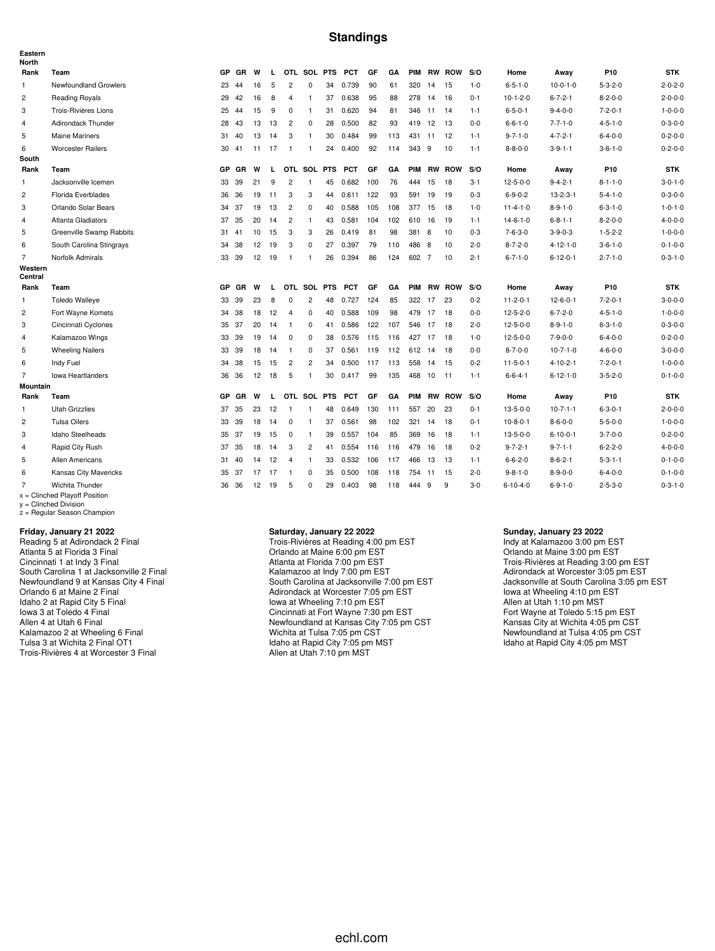#### **Standings**

| Eastern<br><b>North</b> |                                                    |           |           |    |       |                |                |            |            |     |     |            |           |               |         |                  |                  |                 |                 |
|-------------------------|----------------------------------------------------|-----------|-----------|----|-------|----------------|----------------|------------|------------|-----|-----|------------|-----------|---------------|---------|------------------|------------------|-----------------|-----------------|
| Rank                    | Team                                               | GP        | <b>GR</b> | W  | L     |                | OTL SOL PTS    |            | <b>PCT</b> | GF  | GA  | <b>PIM</b> |           | <b>RW ROW</b> | S/O     | Home             | Away             | P10             | <b>STK</b>      |
| $\mathbf{1}$            | Newfoundland Growlers                              | 23        | 44        | 16 | 5     | 2              | $\mathbf 0$    | 34         | 0.739      | 90  | 61  | 320        | 14        | 15            | $1 - 0$ | $6 - 5 - 1 - 0$  | $10-0-1-0$       | $5 - 3 - 2 - 0$ | $2 - 0 - 2 - 0$ |
| $\overline{2}$          | <b>Reading Royals</b>                              | 29        | 42        | 16 | 8     | 4              | $\overline{1}$ | 37         | 0.638      | 95  | 88  | 278        | 14        | 16            | $0 - 1$ | $10-1-2-0$       | $6 - 7 - 2 - 1$  | $8 - 2 - 0 - 0$ | $2 - 0 - 0 - 0$ |
| 3                       | Trois-Rivières Lions                               | 25        | 44        | 15 | 9     | 0              | $\overline{1}$ | 31         | 0.620      | 94  | 81  | 346        | 11        | 14            | $1 - 1$ | $6 - 5 - 0 - 1$  | $9 - 4 - 0 - 0$  | $7 - 2 - 0 - 1$ | $1 - 0 - 0 - 0$ |
| $\overline{4}$          | Adirondack Thunder                                 | 28        | 43        | 13 | 13    | $\overline{2}$ | $\mathbf 0$    | 28         | 0.500      | 82  | 93  | 419        | 12        | 13            | $0 - 0$ | $6 - 6 - 1 - 0$  | $7 - 7 - 1 - 0$  | $4 - 5 - 1 - 0$ | $0 - 3 - 0 - 0$ |
| 5                       | <b>Maine Mariners</b>                              |           | 31 40     | 13 | 14    | 3              | $\mathbf{1}$   | 30         | 0.484      | 99  | 113 | 431        | 11        | 12            | $1 - 1$ | $9 - 7 - 1 - 0$  | $4 - 7 - 2 - 1$  | $6 - 4 - 0 - 0$ | $0 - 2 - 0 - 0$ |
| 6                       | <b>Worcester Railers</b>                           |           | 30 41     |    | 11 17 | $\overline{1}$ | $\overline{1}$ | 24         | 0.400      | 92  | 114 | 343        | - 9       | 10            | $1 - 1$ | $8 - 8 - 0 - 0$  | $3 - 9 - 1 - 1$  | $3 - 6 - 1 - 0$ | $0 - 2 - 0 - 0$ |
| South                   |                                                    |           |           |    |       |                |                |            |            |     |     |            |           |               |         |                  |                  |                 |                 |
| Rank                    | Team                                               | <b>GP</b> | GR        | W  | L     |                | OTL SOL PTS    |            | <b>PCT</b> | GF  | GA  | <b>PIM</b> |           | <b>RW ROW</b> | S/O     | Home             | Away             | P10             | <b>STK</b>      |
| 1                       | Jacksonville Icemen                                | 33        | 39        | 21 | 9     | $\overline{2}$ | $\mathbf{1}$   | 45         | 0.682      | 100 | 76  | 444        | 15        | 18            | $3 - 1$ | $12 - 5 - 0 - 0$ | $9 - 4 - 2 - 1$  | $8 - 1 - 1 - 0$ | $3 - 0 - 1 - 0$ |
| $\overline{c}$          | Florida Everblades                                 | 36        | 36        | 19 | 11    | 3              | 3              | 44         | 0.611 122  |     | 93  | 591        | 19        | 19            | $0 - 3$ | $6 - 9 - 0 - 2$  | $13 - 2 - 3 - 1$ | $5 - 4 - 1 - 0$ | $0 - 3 - 0 - 0$ |
| 3                       | Orlando Solar Bears                                |           | 34 37     | 19 | 13    | $\overline{2}$ | 0              | 40         | 0.588      | 105 | 108 | 377        | 15        | 18            | $1 - 0$ | $11 - 4 - 1 - 0$ | $8 - 9 - 1 - 0$  | $6 - 3 - 1 - 0$ | $1 - 0 - 1 - 0$ |
| 4                       | <b>Atlanta Gladiators</b>                          | 37        | 35        | 20 | 14    | $\overline{c}$ | $\mathbf{1}$   | 43         | 0.581      | 104 | 102 | 610        | 16        | 19            | $1 - 1$ | $14 - 6 - 1 - 0$ | $6 - 8 - 1 - 1$  | $8 - 2 - 0 - 0$ | $4 - 0 - 0 - 0$ |
| 5                       | Greenville Swamp Rabbits                           |           | 31 41     | 10 | 15    | 3              | 3              | 26         | 0.419      | 81  | 98  | 381        | 8         | 10            | $0 - 3$ | $7 - 6 - 3 - 0$  | $3 - 9 - 0 - 3$  | $1 - 5 - 2 - 2$ | $1 - 0 - 0 - 0$ |
| 6                       | South Carolina Stingrays                           | 34        | 38        | 12 | 19    | 3              | $\mathbf 0$    | 27         | 0.397      | 79  | 110 | 486        | 8         | 10            | $2 - 0$ | $8 - 7 - 2 - 0$  | $4 - 12 - 1 - 0$ | $3 - 6 - 1 - 0$ | $0 - 1 - 0 - 0$ |
| $\overline{7}$          | Norfolk Admirals                                   |           | 33 39     | 12 | 19    | $\overline{1}$ | $\mathbf{1}$   | 26         | 0.394      | 86  | 124 | 602 7      |           | 10            | $2 - 1$ | $6 - 7 - 1 - 0$  | $6 - 12 - 0 - 1$ | $2 - 7 - 1 - 0$ | $0 - 3 - 1 - 0$ |
| Western<br>Central      |                                                    |           |           |    |       |                |                |            |            |     |     |            |           |               |         |                  |                  |                 |                 |
| Rank                    | Team                                               | <b>GP</b> | GR        | W  | L     |                | OTL SOL PTS    |            | <b>PCT</b> | GF  | GA  | <b>PIM</b> |           | <b>RW ROW</b> | S/O     | Home             | Away             | P <sub>10</sub> | <b>STK</b>      |
| 1                       | <b>Toledo Walleye</b>                              | 33        | 39        | 23 | 8     | 0              | $\overline{c}$ | 48         | 0.727      | 124 | 85  | 322        | 17        | -23           | $0 - 2$ | $11 - 2 - 0 - 1$ | $12 - 6 - 0 - 1$ | $7 - 2 - 0 - 1$ | $3 - 0 - 0 - 0$ |
| $\overline{c}$          | Fort Wayne Komets                                  | 34        | 38        | 18 | 12    | $\overline{4}$ | $\mathbf 0$    | 40         | 0.588      | 109 | 98  | 479        | 17        | 18            | $0 - 0$ | $12 - 5 - 2 - 0$ | $6 - 7 - 2 - 0$  | $4 - 5 - 1 - 0$ | $1 - 0 - 0 - 0$ |
| 3                       | Cincinnati Cyclones                                |           | 35 37     | 20 | 14    | $\overline{1}$ | $\mathbf 0$    | 41         | 0.586      | 122 | 107 | 546        | 17        | -18           | $2 - 0$ | $12 - 5 - 0 - 0$ | $8 - 9 - 1 - 0$  | $6 - 3 - 1 - 0$ | $0 - 3 - 0 - 0$ |
| $\overline{4}$          | Kalamazoo Wings                                    |           | 33 39     | 19 | 14    | $\mathbf 0$    | $\mathbf 0$    | 38         | 0.576      | 115 | 116 | 427        | 17        | 18            | $1 - 0$ | $12 - 5 - 0 - 0$ | $7 - 9 - 0 - 0$  | $6 - 4 - 0 - 0$ | $0 - 2 - 0 - 0$ |
| 5                       | <b>Wheeling Nailers</b>                            |           | 33 39     | 18 | 14    | $\overline{1}$ | $\mathbf 0$    | 37         | 0.561      | 119 | 112 | 612        | 14        | 18            | $0-0$   | $8 - 7 - 0 - 0$  | $10-7-1-0$       | $4 - 6 - 0 - 0$ | $3 - 0 - 0 - 0$ |
| 6                       | Indy Fuel                                          | 34        | 38        | 15 | 15    | $\overline{2}$ | $\overline{c}$ | 34         | 0.500      | 117 | 113 | 558        | 14        | -15           | $0 - 2$ | $11 - 5 - 0 - 1$ | $4 - 10 - 2 - 1$ | $7 - 2 - 0 - 1$ | $1 - 0 - 0 - 0$ |
| $\overline{7}$          | <b>Iowa Heartlanders</b>                           | 36        | 36        | 12 | 18    | 5              | $\mathbf{1}$   | 30         | 0.417      | 99  | 135 |            | 468 10 11 |               | $1 - 1$ | $6 - 6 - 4 - 1$  | $6 - 12 - 1 - 0$ | $3 - 5 - 2 - 0$ | $0 - 1 - 0 - 0$ |
| <b>Mountain</b>         |                                                    |           |           |    |       |                |                |            |            |     |     |            |           |               |         |                  |                  |                 |                 |
| Rank                    | Team                                               | <b>GP</b> | GR        | W  | L     |                | OTL SOL        | <b>PTS</b> | <b>PCT</b> | GF  | GA  | PIM        |           | <b>RW ROW</b> | S/O     | Home             | Away             | P <sub>10</sub> | <b>STK</b>      |
| $\mathbf{1}$            | <b>Utah Grizzlies</b>                              | 37        | 35        | 23 | 12    | $\overline{1}$ | $\mathbf{1}$   | 48         | 0.649      | 130 | 111 | 557        | 20        | -23           | $0 - 1$ | $13 - 5 - 0 - 0$ | $10-7-1-1$       | $6 - 3 - 0 - 1$ | $2 - 0 - 0 - 0$ |
| $\overline{c}$          | <b>Tulsa Oilers</b>                                |           | 33 39     | 18 | 14    | $^{\circ}$     | $\mathbf{1}$   | 37         | 0.561      | 98  | 102 | 321        | 14        | 18            | $0 - 1$ | $10 - 8 - 0 - 1$ | $8 - 6 - 0 - 0$  | $5 - 5 - 0 - 0$ | $1 - 0 - 0 - 0$ |
| 3                       | Idaho Steelheads                                   |           | 35 37     | 19 | 15    | $\mathbf 0$    | $\overline{1}$ | 39         | 0.557      | 104 | 85  | 369        | 16        | 18            | $1 - 1$ | $13 - 5 - 0 - 0$ | $6 - 10 - 0 - 1$ | $3 - 7 - 0 - 0$ | $0 - 2 - 0 - 0$ |
| $\overline{4}$          | Rapid City Rush                                    | 37        | 35        | 18 | 14    | 3              | $\overline{2}$ | 41         | 0.554      | 116 | 116 | 479        | 16        | 18            | $0 - 2$ | $9 - 7 - 2 - 1$  | $9 - 7 - 1 - 1$  | $6 - 2 - 2 - 0$ | $4 - 0 - 0 - 0$ |
| 5                       | Allen Americans                                    |           | 31 40     | 14 | 12    | $\overline{4}$ | $\mathbf{1}$   | 33         | 0.532      | 106 | 117 | 466        | 13        | 13            | $1 - 1$ | $6 - 6 - 2 - 0$  | $8 - 6 - 2 - 1$  | $5 - 3 - 1 - 1$ | $0 - 1 - 0 - 0$ |
| 6                       | Kansas City Mavericks                              |           | 35 37     | 17 | -17   | $\overline{1}$ | $\overline{0}$ | 35         | 0.500      | 108 | 118 | 754        | 11        | 15            | $2 - 0$ | $9 - 8 - 1 - 0$  | $8 - 9 - 0 - 0$  | $6 - 4 - 0 - 0$ | $0 - 1 - 0 - 0$ |
| $\overline{7}$          | Wichita Thunder<br>$x =$ Clinched Playoff Position |           | 36 36     | 12 | 19    | 5              | 0              | 29         | 0.403      | 98  | 118 | 444        | 9         | 9             | $3-0$   | $6 - 10 - 4 - 0$ | $6 - 9 - 1 - 0$  | $2 - 5 - 3 - 0$ | $0 - 3 - 1 - 0$ |

x = Clinched Playoff Position y = Clinched Division z = Regular Season Champion

#### **Friday, January 21 2022**

Reading 5 at Adirondack 2 Final Atlanta 5 at Florida 3 Final Cincinnati 1 at Indy 3 Final South Carolina 1 at Jacksonville 2 Final Newfoundland 9 at Kansas City 4 Final Orlando 6 at Maine 2 Final Idaho 2 at Rapid City 5 Final Iowa 3 at Toledo 4 Final Allen 4 at Utah 6 Final Kalamazoo 2 at Wheeling 6 Final Tulsa 3 at Wichita 2 Final OT1 Trois-Rivières 4 at Worcester 3 Final

#### **Saturday, January 22 2022**

Trois-Rivières at Reading 4:00 pm EST Orlando at Maine 6:00 pm EST Atlanta at Florida 7:00 pm EST Kalamazoo at Indy 7:00 pm EST South Carolina at Jacksonville 7:00 pm EST Adirondack at Worcester 7:05 pm EST Iowa at Wheeling 7:10 pm EST Cincinnati at Fort Wayne 7:30 pm EST Newfoundland at Kansas City 7:05 pm CST Wichita at Tulsa 7:05 pm CST Idaho at Rapid City 7:05 pm MST Allen at Utah 7:10 pm MST

#### **Sunday, January 23 2022**

Indy at Kalamazoo 3:00 pm EST Orlando at Maine 3:00 pm EST Trois-Rivières at Reading 3:00 pm EST Adirondack at Worcester 3:05 pm EST Jacksonville at South Carolina 3:05 pm EST Iowa at Wheeling 4:10 pm EST Allen at Utah 1:10 pm MST Fort Wayne at Toledo 5:15 pm EST Kansas City at Wichita 4:05 pm CST Newfoundland at Tulsa 4:05 pm CST Idaho at Rapid City 4:05 pm MST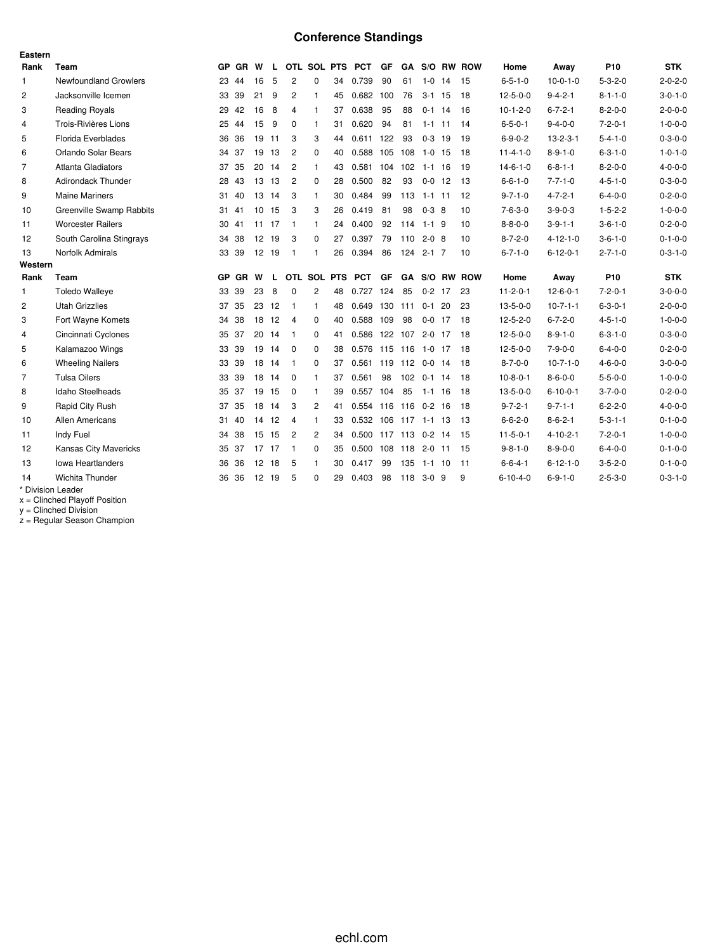# **Conference Standings**

| Eastern        |                              |           |           |       |    |                |                |    |                      |         |                |            |    |            |                  |                  |                 |                 |
|----------------|------------------------------|-----------|-----------|-------|----|----------------|----------------|----|----------------------|---------|----------------|------------|----|------------|------------------|------------------|-----------------|-----------------|
| Rank           | Team                         |           | GP GR W   |       | L. |                | OTL SOL PTS    |    | PCT                  | GF      | GA             |            |    | S/O RW ROW | Home             | Away             | P <sub>10</sub> | <b>STK</b>      |
| 1              | <b>Newfoundland Growlers</b> |           | 23 44     | 16    | 5  | $\overline{2}$ | 0              | 34 | 0.739                | 90      | 61             | $1-0$      | 14 | -15        | $6 - 5 - 1 - 0$  | $10-0-1-0$       | $5 - 3 - 2 - 0$ | $2 - 0 - 2 - 0$ |
| $\overline{c}$ | Jacksonville Icemen          |           | 33 39     | 21    | 9  | $\overline{2}$ | $\mathbf{1}$   | 45 | 0.682                | 100     | 76             | $3-1$ 15   |    | 18         | $12 - 5 - 0 - 0$ | $9 - 4 - 2 - 1$  | $8 - 1 - 1 - 0$ | $3 - 0 - 1 - 0$ |
| 3              | <b>Reading Royals</b>        |           | 29 42     | 16    | 8  | $\overline{4}$ | $\mathbf{1}$   | 37 | 0.638                | 95      | 88             | $0-1$ 14   |    | 16         | $10-1-2-0$       | $6 - 7 - 2 - 1$  | $8 - 2 - 0 - 0$ | $2 - 0 - 0 - 0$ |
| 4              | Trois-Rivières Lions         |           | 25 44     | 15    | 9  | $\Omega$       | $\mathbf{1}$   | 31 | 0.620                | 94      | 81             | $1 - 1$ 11 |    | 14         | $6 - 5 - 0 - 1$  | $9 - 4 - 0 - 0$  | $7 - 2 - 0 - 1$ | $1 - 0 - 0 - 0$ |
| 5              | Florida Everblades           |           | 36 36     | 19 11 |    | 3              | 3              | 44 | 0.611                | 122     | 93             | $0 - 3$    | 19 | 19         | $6 - 9 - 0 - 2$  | $13 - 2 - 3 - 1$ | $5 - 4 - 1 - 0$ | $0 - 3 - 0 - 0$ |
| 6              | Orlando Solar Bears          |           | 34 37     | 19 13 |    | $\overline{c}$ | 0              | 40 | 0.588                | 105     | 108            | $1 - 0$    | 15 | 18         | $11 - 4 - 1 - 0$ | $8 - 9 - 1 - 0$  | $6 - 3 - 1 - 0$ | $1 - 0 - 1 - 0$ |
| $\overline{7}$ | Atlanta Gladiators           |           | 37 35     | 20 14 |    | $\overline{2}$ | $\mathbf{1}$   | 43 | 0.581                |         | 104 102 1-1 16 |            |    | 19         | $14 - 6 - 1 - 0$ | $6 - 8 - 1 - 1$  | $8 - 2 - 0 - 0$ | $4 - 0 - 0 - 0$ |
| 8              | <b>Adirondack Thunder</b>    |           | 28 43     | 13 13 |    | $\overline{2}$ | $\mathbf 0$    | 28 | 0.500                | 82      | 93             | $0-0$      | 12 | -13        | $6 - 6 - 1 - 0$  | $7 - 7 - 1 - 0$  | $4 - 5 - 1 - 0$ | $0 - 3 - 0 - 0$ |
| 9              | <b>Maine Mariners</b>        |           | 31 40     | 13 14 |    | 3              | $\mathbf{1}$   | 30 | 0.484                | 99      | 113            | $1 - 1$ 11 |    | 12         | $9 - 7 - 1 - 0$  | $4 - 7 - 2 - 1$  | $6 - 4 - 0 - 0$ | $0 - 2 - 0 - 0$ |
| 10             | Greenville Swamp Rabbits     |           | 31 41     | 10 15 |    | 3              | 3              | 26 | 0.419                | 81      | 98             | $0-3$ 8    |    | 10         | $7 - 6 - 3 - 0$  | $3 - 9 - 0 - 3$  | $1 - 5 - 2 - 2$ | $1 - 0 - 0 - 0$ |
| 11             | <b>Worcester Railers</b>     |           | 30 41     | 11 17 |    | - 1            | $\mathbf{1}$   | 24 | 0.400                | 92      | 114            | $1 - 1$ 9  |    | 10         | $8 - 8 - 0 - 0$  | $3 - 9 - 1 - 1$  | $3 - 6 - 1 - 0$ | $0 - 2 - 0 - 0$ |
| 12             | South Carolina Stingrays     |           | 34 38     | 12 19 |    | 3              | $\mathbf 0$    | 27 | 0.397                | 79      | $110$ 2-0 8    |            |    | 10         | $8 - 7 - 2 - 0$  | $4 - 12 - 1 - 0$ | $3 - 6 - 1 - 0$ | $0 - 1 - 0 - 0$ |
| 13             | Norfolk Admirals             |           | 33 39     | 12 19 |    | -1             | -1             | 26 | 0.394                | 86      |                | 124 2-1 7  |    | 10         | $6 - 7 - 1 - 0$  | $6 - 12 - 0 - 1$ | $2 - 7 - 1 - 0$ | $0 - 3 - 1 - 0$ |
| Western        |                              |           |           |       |    |                |                |    |                      |         |                |            |    |            |                  |                  |                 |                 |
| Rank           | Team                         | <b>GP</b> | <b>GR</b> | W     | L  |                | OTL SOL PTS    |    | <b>PCT</b>           | GF      | GA             |            |    | S/O RW ROW | Home             | Away             | P <sub>10</sub> | <b>STK</b>      |
| 1              | <b>Toledo Walleye</b>        |           | 33 39     | 23    | 8  | $\Omega$       | $\overline{2}$ | 48 | 0.727                | 124     | 85             | $0-2$ 17   |    | 23         | $11 - 2 - 0 - 1$ | $12 - 6 - 0 - 1$ | $7 - 2 - 0 - 1$ | $3 - 0 - 0 - 0$ |
| $\overline{c}$ | <b>Utah Grizzlies</b>        | 37        | 35        | 23 12 |    | $\overline{1}$ | $\mathbf{1}$   | 48 | 0.649                | 130 111 |                | $0-1$ 20   |    | 23         | $13 - 5 - 0 - 0$ | $10-7-1-1$       | $6 - 3 - 0 - 1$ | $2 - 0 - 0 - 0$ |
| 3              | Fort Wayne Komets            |           | 34 38     | 18 12 |    | $\overline{4}$ | 0              | 40 | 0.588                | 109     | 98             | $0-0$ 17   |    | 18         | $12 - 5 - 2 - 0$ | $6 - 7 - 2 - 0$  | $4 - 5 - 1 - 0$ | $1 - 0 - 0 - 0$ |
| 4              | Cincinnati Cyclones          |           | 35 37     | 20 14 |    | $\overline{1}$ | 0              | 41 | 0.586                |         | 122 107 2-0 17 |            |    | 18         | $12 - 5 - 0 - 0$ | $8 - 9 - 1 - 0$  | $6 - 3 - 1 - 0$ | $0 - 3 - 0 - 0$ |
| 5              | Kalamazoo Wings              |           | 33 39     | 19 14 |    | 0              | $\mathbf 0$    | 38 | 0.576                |         | 115 116 1-0 17 |            |    | 18         | $12 - 5 - 0 - 0$ | $7 - 9 - 0 - 0$  | $6 - 4 - 0 - 0$ | $0 - 2 - 0 - 0$ |
| 6              | <b>Wheeling Nailers</b>      |           | 33 39     | 18 14 |    | - 1            | $\Omega$       | 37 | 0.561 119 112 0-0 14 |         |                |            |    | 18         | $8 - 7 - 0 - 0$  | $10-7-1-0$       | $4 - 6 - 0 - 0$ | $3 - 0 - 0 - 0$ |
| $\overline{7}$ | <b>Tulsa Oilers</b>          |           | 33 39     | 18 14 |    | $\overline{0}$ | $\mathbf{1}$   | 37 | 0.561                | 98      |                | 102 0-1 14 |    | 18         | $10-8-0-1$       | $8 - 6 - 0 - 0$  | $5 - 5 - 0 - 0$ | $1 - 0 - 0 - 0$ |
| 8              | <b>Idaho Steelheads</b>      |           | 35 37     | 19 15 |    | 0              | $\mathbf{1}$   | 39 | 0.557                | 104     | 85             | $1 - 1$ 16 |    | 18         | $13 - 5 - 0 - 0$ | $6 - 10 - 0 - 1$ | $3 - 7 - 0 - 0$ | $0 - 2 - 0 - 0$ |
| 9              | Rapid City Rush              |           | 37 35     | 18 14 |    | 3              | $\overline{c}$ | 41 | 0.554                |         | 116 116 0-2 16 |            |    | 18         | $9 - 7 - 2 - 1$  | $9 - 7 - 1 - 1$  | $6 - 2 - 2 - 0$ | $4 - 0 - 0 - 0$ |
| 10             | <b>Allen Americans</b>       |           | 31 40     | 14 12 |    | $\overline{4}$ | $\mathbf{1}$   | 33 | 0.532 106 117 1-1 13 |         |                |            |    | -13        | $6 - 6 - 2 - 0$  | $8 - 6 - 2 - 1$  | $5 - 3 - 1 - 1$ | $0 - 1 - 0 - 0$ |
| 11             | Indy Fuel                    |           | 34 38     | 15 15 |    | $\overline{c}$ | $\overline{c}$ | 34 | 0.500 117 113 0-2 14 |         |                |            |    | 15         | $11 - 5 - 0 - 1$ | $4 - 10 - 2 - 1$ | $7 - 2 - 0 - 1$ | $1 - 0 - 0 - 0$ |
| 12             | Kansas City Mavericks        |           | 35 37     | 17 17 |    | $\overline{1}$ | 0              | 35 | 0.500                |         | 108 118 2-0 11 |            |    | 15         | $9 - 8 - 1 - 0$  | $8 - 9 - 0 - 0$  | $6 - 4 - 0 - 0$ | $0 - 1 - 0 - 0$ |
| 13             | <b>Iowa Heartlanders</b>     |           | 36 36     | 12 18 |    | 5              | $\mathbf{1}$   | 30 | 0.417                | 99      | 135            | 1-1 10     |    | -11        | $6 - 6 - 4 - 1$  | $6 - 12 - 1 - 0$ | $3 - 5 - 2 - 0$ | $0 - 1 - 0 - 0$ |
| 14             | Wichita Thunder              | 36        | -36       | 12 19 |    | 5              | $\Omega$       | 29 | 0.403                | 98      | 118            | 3-0        | 9  | 9          | $6 - 10 - 4 - 0$ | $6 - 9 - 1 - 0$  | $2 - 5 - 3 - 0$ | $0 - 3 - 1 - 0$ |
|                | * Division Leader            |           |           |       |    |                |                |    |                      |         |                |            |    |            |                  |                  |                 |                 |

x = Clinched Playoff Position

y = Clinched Division

z = Regular Season Champion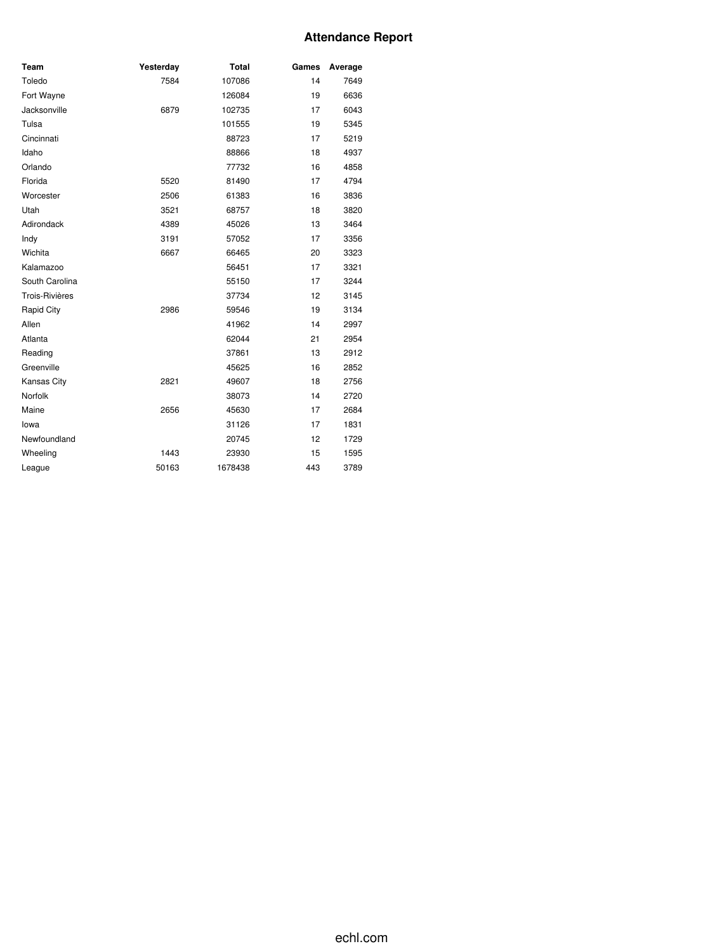## **Attendance Report**

| Team               | Yesterday | <b>Total</b> | Games | Average |
|--------------------|-----------|--------------|-------|---------|
| Toledo             | 7584      | 107086       | 14    | 7649    |
| Fort Wayne         |           | 126084       | 19    | 6636    |
| Jacksonville       | 6879      | 102735       | 17    | 6043    |
| Tulsa              |           | 101555       | 19    | 5345    |
| Cincinnati         |           | 88723        | 17    | 5219    |
| Idaho              |           | 88866        | 18    | 4937    |
| Orlando            |           | 77732        | 16    | 4858    |
| Florida            | 5520      | 81490        | 17    | 4794    |
| Worcester          | 2506      | 61383        | 16    | 3836    |
| Utah               | 3521      | 68757        | 18    | 3820    |
| Adirondack         | 4389      | 45026        | 13    | 3464    |
| Indy               | 3191      | 57052        | 17    | 3356    |
| Wichita            | 6667      | 66465        | 20    | 3323    |
| Kalamazoo          |           | 56451        | 17    | 3321    |
| South Carolina     |           | 55150        | 17    | 3244    |
| Trois-Rivières     |           | 37734        | 12    | 3145    |
| Rapid City         | 2986      | 59546        | 19    | 3134    |
| Allen              |           | 41962        | 14    | 2997    |
| Atlanta            |           | 62044        | 21    | 2954    |
| Reading            |           | 37861        | 13    | 2912    |
| Greenville         |           | 45625        | 16    | 2852    |
| <b>Kansas City</b> | 2821      | 49607        | 18    | 2756    |
| Norfolk            |           | 38073        | 14    | 2720    |
| Maine              | 2656      | 45630        | 17    | 2684    |
| lowa               |           | 31126        | 17    | 1831    |
| Newfoundland       |           | 20745        | 12    | 1729    |
| Wheeling           | 1443      | 23930        | 15    | 1595    |
| League             | 50163     | 1678438      | 443   | 3789    |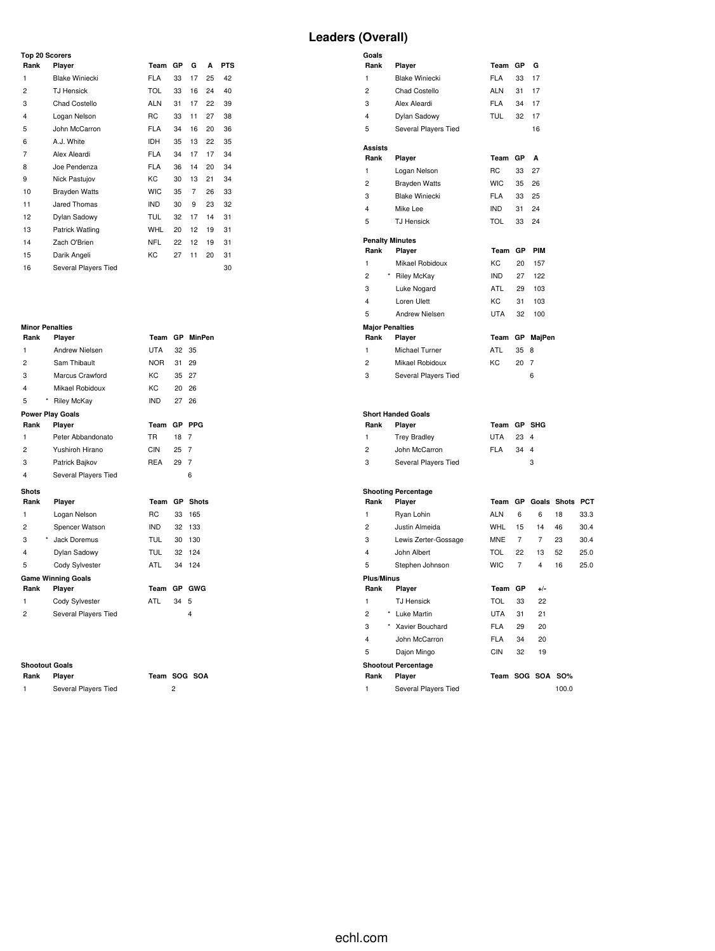#### **Leaders (Overall)**

| <b>Top 20 Scorers</b>   |                       |            |    |    |    |            |
|-------------------------|-----------------------|------------|----|----|----|------------|
| Rank                    | Player                | Team       | GP | G  | A  | <b>PTS</b> |
| 1                       | <b>Blake Winiecki</b> | <b>FLA</b> | 33 | 17 | 25 | 42         |
| 2                       | <b>TJ Hensick</b>     | <b>TOL</b> | 33 | 16 | 24 | 40         |
| 3                       | Chad Costello         | <b>ALN</b> | 31 | 17 | 22 | 39         |
| $\overline{\mathbf{4}}$ | Logan Nelson          | RC         | 33 | 11 | 27 | 38         |
| 5                       | John McCarron         | <b>FLA</b> | 34 | 16 | 20 | 36         |
| 6                       | A.J. White            | IDH        | 35 | 13 | 22 | 35         |
| 7                       | Alex Aleardi          | <b>FLA</b> | 34 | 17 | 17 | 34         |
| 8                       | Joe Pendenza          | <b>FLA</b> | 36 | 14 | 20 | 34         |
| 9                       | Nick Pastujov         | KC         | 30 | 13 | 21 | 34         |
| 10                      | <b>Brayden Watts</b>  | <b>WIC</b> | 35 | 7  | 26 | 33         |
| 11                      | Jared Thomas          | <b>IND</b> | 30 | 9  | 23 | 32         |
| 12                      | Dylan Sadowy          | <b>TUL</b> | 32 | 17 | 14 | 31         |
| 13                      | Patrick Watling       | <b>WHL</b> | 20 | 12 | 19 | 31         |
| 14                      | Zach O'Brien          | <b>NFL</b> | 22 | 12 | 19 | 31         |
| 15                      | Darik Angeli          | KC         | 27 | 11 | 20 | 31         |
| 16                      | Several Players Tied  |            |    |    |    | 30         |

# **Minor Penalties**

| Rank           | Player                           | Team           |           | GP MinPen    |
|----------------|----------------------------------|----------------|-----------|--------------|
| 1              | Andrew Nielsen                   | <b>UTA</b>     | 32        | 35           |
| $\overline{2}$ | Sam Thibault                     | <b>NOR</b>     | 31        | 29           |
| 3              | Marcus Crawford                  | KC             | 35        | 27           |
| 4              | Mikael Robidoux                  | KC             | 20        | 26           |
| 5              | $^{\star}$<br><b>Riley McKay</b> | <b>IND</b>     | 27        | 26           |
|                | <b>Power Play Goals</b>          |                |           |              |
| Rank           | Player                           | Team           | GP        | <b>PPG</b>   |
| 1              | Peter Abbandonato                | <b>TR</b>      | 18        | 7            |
| $\overline{2}$ | Yushiroh Hirano                  | CIN            | 25        | 7            |
| 3              | Patrick Bajkov                   | <b>REA</b>     | 29        | 7            |
| 4              | Several Players Tied             |                |           | 6            |
| <b>Shots</b>   |                                  |                |           |              |
| Rank           | Player                           | Team           | GP        | <b>Shots</b> |
| 1              | Logan Nelson                     | R <sub>C</sub> | 33        | 165          |
| $\overline{2}$ | Spencer Watson                   | <b>IND</b>     | 32        | 133          |
| 3              | * Jack Doremus                   | TUL            | 30        | 130          |
| 4              | Dylan Sadowy                     | <b>TUL</b>     | 32        | 124          |
| 5              | Cody Sylvester                   | ATL            | 34        | 124          |
|                | <b>Game Winning Goals</b>        |                |           |              |
| Rank           | Player                           | Team           | <b>GP</b> | <b>GWG</b>   |
| 1              | Cody Sylvester                   | <b>ATL</b>     | 34        | 5            |
| 2              |                                  |                |           |              |
|                | Several Players Tied             |                |           | 4            |

#### **Shootout Goals**

| Rank | Playe |
|------|-------|
|------|-------|

**Rank Player Team SOG SOA** Several Players Tied 2

| Goals                     |                       |                |    |     |
|---------------------------|-----------------------|----------------|----|-----|
| Rank                      | Player                | Team           | GP | G   |
| 1                         | <b>Blake Winiecki</b> | FLA            | 33 | 17  |
| 2                         | Chad Costello         | <b>ALN</b>     | 31 | 17  |
| 3                         | Alex Aleardi          | <b>FLA</b>     | 34 | 17  |
| 4                         | Dylan Sadowy          | <b>TUL</b>     | 32 | 17  |
| 5                         | Several Players Tied  |                |    | 16  |
| Assists                   |                       |                |    |     |
| Rank                      | Player                | Team           | GP | A   |
|                           |                       |                |    |     |
| 1                         | Logan Nelson          | R <sub>C</sub> | 33 | 27  |
| 2                         | <b>Brayden Watts</b>  | <b>WIC</b>     | 35 | 26  |
| 3                         | <b>Blake Winiecki</b> | <b>FLA</b>     | 33 | 25  |
| 4                         | Mike Lee              | <b>IND</b>     | 31 | 24  |
| 5                         | <b>TJ</b> Hensick     | TOL            | 33 | 24  |
| <b>Penalty Minutes</b>    |                       |                |    |     |
| Rank                      | Player                | Team           | GP | PIM |
| 1                         | Mikael Robidoux       | KC             | 20 | 157 |
| $\star$<br>$\overline{c}$ | <b>Riley McKay</b>    | <b>IND</b>     | 27 | 122 |
| 3                         | Luke Nogard           | <b>ATL</b>     | 29 | 103 |
| 4                         | Loren Ulett           | KC             | 31 | 103 |

| 5    | Andrew Nielsen         | UTA | 32   | 100            |
|------|------------------------|-----|------|----------------|
|      | <b>Major Penalties</b> |     |      |                |
| Rank | Player                 |     |      | Team GP MajPen |
| 1    | Michael Turner         | ATL | 35 8 |                |
| 2    | Mikael Robidoux        | KC. | 20   |                |
| 3    | Several Players Tied   |     |      | 6              |

| Rank           | <b>Plaver</b>        | Team GP SHG |              |   |
|----------------|----------------------|-------------|--------------|---|
| -1             | <b>Trey Bradley</b>  | UTA         | 23 4         |   |
| $\overline{2}$ | John McCarron        | FI A        | $34 \quad 4$ |   |
| 3              | Several Players Tied |             |              | 3 |

|                            | <b>Shooting Percentage</b>    |            |    |             |                       |            |  |  |  |  |
|----------------------------|-------------------------------|------------|----|-------------|-----------------------|------------|--|--|--|--|
| Rank                       | Player                        | Team       |    |             | <b>GP</b> Goals Shots | <b>PCT</b> |  |  |  |  |
| 1                          | Ryan Lohin                    | <b>ALN</b> | 6  | 6           | 18                    | 33.3       |  |  |  |  |
| 2                          | Justin Almeida                | <b>WHL</b> | 15 | 14          | 46                    | 30.4       |  |  |  |  |
| 3                          | Lewis Zerter-Gossage          | <b>MNE</b> | 7  | 7           | 23                    | 30.4       |  |  |  |  |
| $\overline{4}$             | John Albert                   | <b>TOL</b> | 22 | 13          | 52                    | 25.0       |  |  |  |  |
| 5                          | Stephen Johnson               | <b>WIC</b> | 7  | 4           | 16                    | 25.0       |  |  |  |  |
| <b>Plus/Minus</b>          |                               |            |    |             |                       |            |  |  |  |  |
| Rank                       | Player                        | Team       | GP | $+/-$       |                       |            |  |  |  |  |
| 1                          | <b>TJ Hensick</b>             | <b>TOL</b> | 33 | 22          |                       |            |  |  |  |  |
| 2                          | $^{\star}$<br>Luke Martin     | UTA        | 31 | 21          |                       |            |  |  |  |  |
| 3                          | $^{\star}$<br>Xavier Bouchard | <b>FLA</b> | 29 | 20          |                       |            |  |  |  |  |
| 4                          | John McCarron                 | <b>FLA</b> | 34 | 20          |                       |            |  |  |  |  |
| 5                          | Dajon Mingo                   | <b>CIN</b> | 32 | 19          |                       |            |  |  |  |  |
| <b>Shootout Percentage</b> |                               |            |    |             |                       |            |  |  |  |  |
| Rank                       | Player                        | Team       |    | SOG SOA SO% |                       |            |  |  |  |  |
| 1                          | Several Players Tied          |            |    |             | 100.0                 |            |  |  |  |  |
|                            |                               |            |    |             |                       |            |  |  |  |  |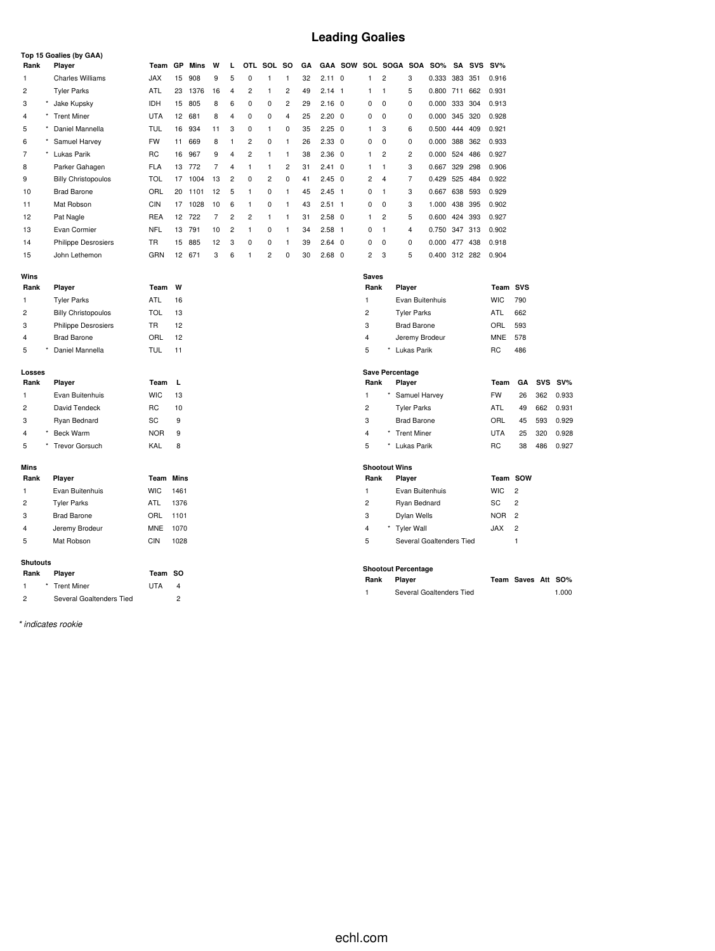# **Leading Goalies**

|                |         | Top 15 Goalies (by GAA)    |            |                |         |    |                |                |                |                         |    |                |            |                |                        |                            |               |         |            |            |                |     |            |
|----------------|---------|----------------------------|------------|----------------|---------|----|----------------|----------------|----------------|-------------------------|----|----------------|------------|----------------|------------------------|----------------------------|---------------|---------|------------|------------|----------------|-----|------------|
| Rank           |         | Player                     | Team       | GP             | Mins    | W  | L              | <b>OTL</b>     | SOL            | <b>SO</b>               | GA | <b>GAA</b>     | <b>SOW</b> | SOL            |                        | SOGA SOA                   | <b>SO%</b>    | SA      | <b>SVS</b> | $SV\%$     |                |     |            |
| 1              |         | <b>Charles Williams</b>    | <b>JAX</b> | 15             | 908     | 9  | 5              | $\mathbf 0$    | $\mathbf{1}$   | 1                       | 32 | $2.11 \quad 0$ |            | $\mathbf{1}$   | $\overline{2}$         | 3                          | 0.333         | 383 351 |            | 0.916      |                |     |            |
| 2              |         | <b>Tyler Parks</b>         | ATL        | 23             | 1376    | 16 | 4              | $\overline{c}$ | $\mathbf{1}$   | $\overline{\mathbf{c}}$ | 49 | $2.14$ 1       |            | $\mathbf{1}$   | $\mathbf{1}$           | 5                          | 0.800 711     |         | 662        | 0.931      |                |     |            |
| 3              | $\star$ | Jake Kupsky                | <b>IDH</b> | 15             | 805     | 8  | 6              | 0              | 0              | $\overline{\mathbf{c}}$ | 29 | $2.16 \quad 0$ |            | 0              | 0                      | $\mathbf 0$                | 0.000         | 333     | 304        | 0.913      |                |     |            |
| 4              |         | <b>Trent Miner</b>         | <b>UTA</b> | 12             | 681     | 8  | $\overline{4}$ | 0              | 0              | 4                       | 25 | $2.20 \quad 0$ |            | 0              | 0                      | 0                          | 0.000         | 345     | 320        | 0.928      |                |     |            |
| 5              |         | Daniel Mannella            | TUL        | 16             | 934     | 11 | 3              | 0              | $\mathbf{1}$   | 0                       | 35 | $2.25 \quad 0$ |            | $\mathbf{1}$   | 3                      | 6                          | 0.500         | 444     | 409        | 0.921      |                |     |            |
| 6              |         | Samuel Harvey              | <b>FW</b>  | 11             | 669     | 8  | $\mathbf{1}$   | $\overline{c}$ | 0              | 1                       | 26 | $2.33\quad0$   |            | 0              | $\mathbf 0$            | 0                          | 0.000         | 388     | 362        | 0.933      |                |     |            |
| 7              |         | Lukas Parik                | <b>RC</b>  | 16             | 967     | 9  | 4              | $\overline{c}$ | $\mathbf{1}$   | $\mathbf{1}$            | 38 | $2.36\quad0$   |            | -1             | $\overline{c}$         | $\overline{c}$             | 0.000 524     |         | 486        | 0.927      |                |     |            |
| 8              |         | Parker Gahagen             | <b>FLA</b> | 13             | 772     | 7  | 4              | $\mathbf{1}$   | $\mathbf{1}$   | 2                       | 31 | $2.41 \quad 0$ |            | $\mathbf{1}$   | $\mathbf{1}$           | 3                          | 0.667         | 329     | 298        | 0.906      |                |     |            |
| 9              |         | <b>Billy Christopoulos</b> | <b>TOL</b> | 17             | 1004    | 13 | $\overline{c}$ | 0              | $\overline{2}$ | 0                       | 41 | $2.45 \quad 0$ |            | $\overline{2}$ | $\overline{4}$         | $\overline{7}$             | 0.429         | 525     | 484        | 0.922      |                |     |            |
| 10             |         | <b>Brad Barone</b>         | ORL        | 20             | 1101    | 12 | 5              | 1              | 0              | 1                       | 45 | $2.45$ 1       |            | 0              | 1                      | 3                          | 0.667         | 638     | 593        | 0.929      |                |     |            |
| 11             |         | Mat Robson                 | <b>CIN</b> |                | 17 1028 | 10 | 6              | 1              | $\mathbf 0$    | $\mathbf{1}$            | 43 | $2.51$ 1       |            | 0              | $\mathbf 0$            | 3                          | 1.000         | 438     | 395        | 0.902      |                |     |            |
| 12             |         | Pat Nagle                  | <b>REA</b> | 12             | 722     | 7  | $\overline{c}$ | $\overline{c}$ | $\overline{1}$ | 1                       | 31 | $2.58$ 0       |            | $\mathbf{1}$   | $\overline{c}$         | 5                          | 0.600         |         | 424 393    | 0.927      |                |     |            |
| 13             |         | Evan Cormier               | <b>NFL</b> | 13             | 791     | 10 | $\overline{c}$ | $\mathbf{1}$   | 0              | $\mathbf{1}$            | 34 | $2.58$ 1       |            | 0              | $\mathbf{1}$           | $\overline{4}$             | 0.750         |         | 347 313    | 0.902      |                |     |            |
| 14             |         | <b>Philippe Desrosiers</b> | <b>TR</b>  | 15             | 885     | 12 | 3              | 0              | 0              | 1                       | 39 | $2.64$ 0       |            | 0              | 0                      | 0                          | 0.000         | 477     | 438        | 0.918      |                |     |            |
| 15             |         | John Lethemon              | GRN        | 12             | 671     | 3  | 6              | $\mathbf{1}$   | $\overline{2}$ | $\mathbf 0$             | 30 | $2.68$ 0       |            | $\overline{2}$ | 3                      | 5                          | 0.400 312 282 |         |            | 0.904      |                |     |            |
|                |         |                            |            |                |         |    |                |                |                |                         |    |                |            |                |                        |                            |               |         |            |            |                |     |            |
| Wins<br>Rank   |         | Player                     | Team       | W              |         |    |                |                |                |                         |    |                |            | Saves<br>Rank  |                        | Player                     |               |         |            | Team       | <b>SVS</b>     |     |            |
| 1              |         | <b>Tyler Parks</b>         | ATL        | 16             |         |    |                |                |                |                         |    |                |            | $\mathbf{1}$   |                        | Evan Buitenhuis            |               |         |            | <b>WIC</b> | 790            |     |            |
| $\overline{c}$ |         | <b>Billy Christopoulos</b> | <b>TOL</b> | 13             |         |    |                |                |                |                         |    |                |            | $\overline{c}$ |                        | <b>Tyler Parks</b>         |               |         |            | ATL        | 662            |     |            |
| 3              |         | Philippe Desrosiers        | TR         | 12             |         |    |                |                |                |                         |    |                |            | 3              |                        | <b>Brad Barone</b>         |               |         |            | ORL        | 593            |     |            |
| $\overline{4}$ |         | <b>Brad Barone</b>         | ORL        | 12             |         |    |                |                |                |                         |    |                |            | $\overline{4}$ |                        | Jeremy Brodeur             |               |         |            | <b>MNE</b> | 578            |     |            |
| 5              |         | Daniel Mannella            | TUL        | 11             |         |    |                |                |                |                         |    |                |            | 5              | $\star$                | Lukas Parik                |               |         |            | <b>RC</b>  | 486            |     |            |
|                |         |                            |            |                |         |    |                |                |                |                         |    |                |            |                |                        |                            |               |         |            |            |                |     |            |
| Losses         |         |                            |            |                |         |    |                |                |                |                         |    |                |            |                | <b>Save Percentage</b> |                            |               |         |            |            |                |     |            |
| Rank           |         | Player                     | Team       | г              |         |    |                |                |                |                         |    |                |            | Rank           |                        | Player                     |               |         |            | Team       | GΑ             | SVS | $SV\%$     |
| 1              |         | Evan Buitenhuis            | <b>WIC</b> | 13             |         |    |                |                |                |                         |    |                |            | $\mathbf{1}$   |                        | Samuel Harvey              |               |         |            | FW         | 26             | 362 | 0.933      |
| 2              |         | David Tendeck              | RC         | 10             |         |    |                |                |                |                         |    |                |            | 2              |                        | <b>Tyler Parks</b>         |               |         |            | ATL        | 49             | 662 | 0.931      |
| 3              |         | Ryan Bednard               | SC         | 9              |         |    |                |                |                |                         |    |                |            | 3              |                        | <b>Brad Barone</b>         |               |         |            | ORL        | 45             | 593 | 0.929      |
| 4              |         | Beck Warm                  | <b>NOR</b> | 9              |         |    |                |                |                |                         |    |                |            | $\overline{4}$ |                        | <b>Trent Miner</b>         |               |         |            | <b>UTA</b> | 25             | 320 | 0.928      |
| 5              |         | <b>Trevor Gorsuch</b>      | KAL        | 8              |         |    |                |                |                |                         |    |                |            | 5              | $\star$                | Lukas Parik                |               |         |            | <b>RC</b>  | 38             | 486 | 0.927      |
| Mins           |         |                            |            |                |         |    |                |                |                |                         |    |                |            |                | <b>Shootout Wins</b>   |                            |               |         |            |            |                |     |            |
| Rank           |         | Player                     | Team       | Mins           |         |    |                |                |                |                         |    |                |            | Rank           |                        | Player                     |               |         |            | Team       | <b>SOW</b>     |     |            |
| 1              |         | Evan Buitenhuis            | <b>WIC</b> | 1461           |         |    |                |                |                |                         |    |                |            | $\mathbf{1}$   |                        | Evan Buitenhuis            |               |         |            | <b>WIC</b> | $\overline{c}$ |     |            |
| $\overline{c}$ |         | <b>Tyler Parks</b>         | ATL        | 1376           |         |    |                |                |                |                         |    |                |            | 2              |                        | Ryan Bednard               |               |         |            | SC         | $\overline{c}$ |     |            |
| 3              |         | <b>Brad Barone</b>         | ORL        | 1101           |         |    |                |                |                |                         |    |                |            | 3              |                        | Dylan Wells                |               |         |            | <b>NOR</b> | $\overline{2}$ |     |            |
| 4              |         | Jeremy Brodeur             | <b>MNE</b> | 1070           |         |    |                |                |                |                         |    |                |            | 4              |                        | <b>Tyler Wall</b>          |               |         |            | <b>JAX</b> | $\overline{c}$ |     |            |
| 5              |         | Mat Robson                 | <b>CIN</b> | 1028           |         |    |                |                |                |                         |    |                |            | 5              |                        | Several Goaltenders Tied   |               |         |            |            | 1              |     |            |
|                |         |                            |            |                |         |    |                |                |                |                         |    |                |            |                |                        |                            |               |         |            |            |                |     |            |
| Shutouts       |         |                            |            |                |         |    |                |                |                |                         |    |                |            |                |                        | <b>Shootout Percentage</b> |               |         |            |            |                |     |            |
| Rank           |         | Player                     | Team       | <b>SO</b>      |         |    |                |                |                |                         |    |                |            | Rank           |                        | Player                     |               |         |            |            | Team Saves Att |     | <b>SO%</b> |
| 1              |         | <b>Trent Miner</b>         | <b>UTA</b> | $\overline{4}$ |         |    |                |                |                |                         |    |                |            | 1              |                        | Several Goaltenders Tied   |               |         |            |            |                |     | 1.000      |
| 2              |         | Several Goaltenders Tied   |            | $\overline{c}$ |         |    |                |                |                |                         |    |                |            |                |                        |                            |               |         |            |            |                |     |            |

*\* indicates rookie*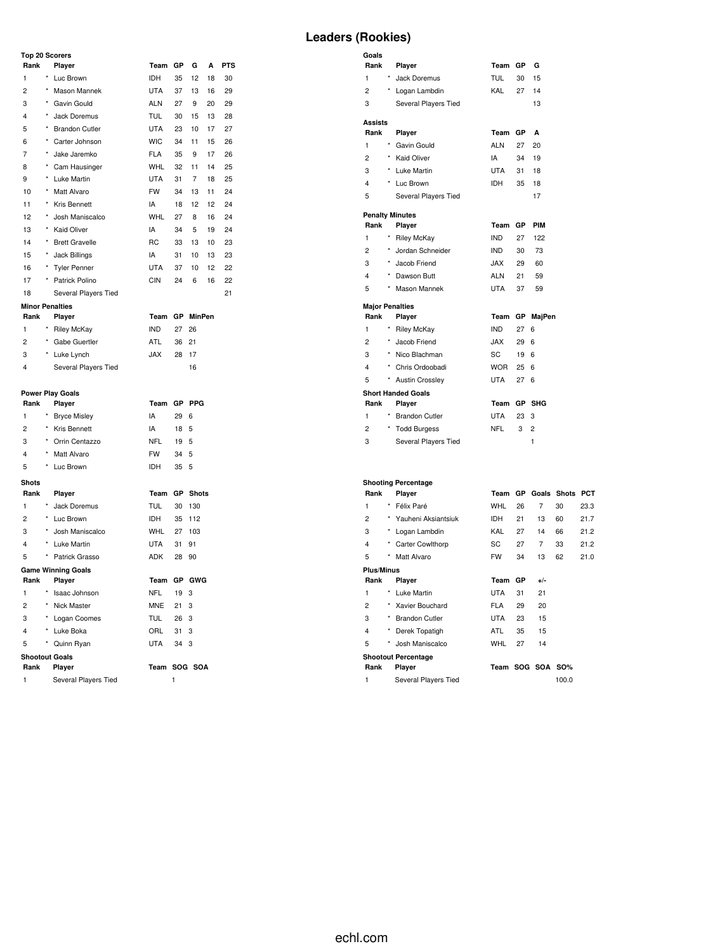#### **Top 20 Scorers**

| Rank |            | Player                 | Team       | GP        | G             | A  | <b>PTS</b> |
|------|------------|------------------------|------------|-----------|---------------|----|------------|
| 1    | *          | Luc Brown              | <b>IDH</b> | 35        | 12            | 18 | 30         |
| 2    | $\star$    | Mason Mannek           | <b>UTA</b> | 37        | 13            | 16 | 29         |
| 3    | *          | Gavin Gould            | <b>ALN</b> | 27        | 9             | 20 | 29         |
| 4    | *          | Jack Doremus           | TUL        | 30        | 15            | 13 | 28         |
| 5    | $\star$    | <b>Brandon Cutler</b>  | <b>UTA</b> | 23        | 10            | 17 | 27         |
| 6    | *          | Carter Johnson         | <b>WIC</b> | 34        | 11            | 15 | 26         |
| 7    | $^\star$   | Jake Jaremko           | <b>FLA</b> | 35        | 9             | 17 | 26         |
| 8    | ×          | Cam Hausinger          | <b>WHL</b> | 32        | 11            | 14 | 25         |
| 9    | ×          | Luke Martin            | <b>UTA</b> | 31        | 7             | 18 | 25         |
| 10   | ×          | Matt Alvaro            | <b>FW</b>  | 34        | 13            | 11 | 24         |
| 11   | ×          | Kris Bennett           | IA         | 18        | 12            | 12 | 24         |
| 12   | $^{\star}$ | Josh Maniscalco        | <b>WHL</b> | 27        | 8             | 16 | 24         |
| 13   | *          | <b>Kaid Oliver</b>     | IA         | 34        | 5             | 19 | 24         |
| 14   | ×          | <b>Brett Gravelle</b>  | <b>RC</b>  | 33        | 13            | 10 | 23         |
| 15   | ×          | Jack Billings          | IA         | 31        | 10            | 13 | 23         |
| 16   | *          | <b>Tyler Penner</b>    | <b>UTA</b> | 37        | 10            | 12 | 22         |
| 17   | ×          | Patrick Polino         | <b>CIN</b> | 24        | 6             | 16 | 22         |
| 18   |            | Several Players Tied   |            |           |               |    | 21         |
|      |            | <b>Minor Penalties</b> |            |           |               |    |            |
| Rank |            | Player                 | Team       | <b>GP</b> | <b>MinPen</b> |    |            |
| 1    | ×          | <b>Riley McKay</b>     | <b>IND</b> | 27        | 26            |    |            |

|               | * Riley McKay        | <b>IND</b>  | 27              | - 1 |
|---------------|----------------------|-------------|-----------------|-----|
| $\mathcal{P}$ | * Gabe Guertler      | ATL         | 36 <sup>2</sup> |     |
| 3             | * Luke Lynch         | <b>XAL.</b> | 28              | J.  |
| 4             | Several Players Tied |             |                 |     |
|               |                      |             |                 |     |

# **Power Play Goals**

|              |            | <b>FUWEI FIAY GUAIS</b>   |            |      |                 |  |  |  |  |
|--------------|------------|---------------------------|------------|------|-----------------|--|--|--|--|
| Rank         |            | Player                    | Team       |      | GP PPG          |  |  |  |  |
| 1            | $\star$    | <b>Bryce Misley</b>       | IA         | 29 6 |                 |  |  |  |  |
| 2            | $\star$    | Kris Bennett              | IA         | 18 5 |                 |  |  |  |  |
| 3            | $\star$    | Orrin Centazzo            | <b>NFL</b> | 19 5 |                 |  |  |  |  |
| 4            | $^{\star}$ | Matt Alvaro               | <b>FW</b>  | 34 5 |                 |  |  |  |  |
| 5            | *          | Luc Brown                 | <b>IDH</b> | 35 5 |                 |  |  |  |  |
| <b>Shots</b> |            |                           |            |      |                 |  |  |  |  |
|              |            |                           |            |      |                 |  |  |  |  |
| Rank         |            | Player                    | Team       |      | <b>GP</b> Shots |  |  |  |  |
| 1            |            | Jack Doremus              | <b>TUL</b> | 30   | 130             |  |  |  |  |
| 2            | $\star$    | Luc Brown                 | <b>IDH</b> | 35   | 112             |  |  |  |  |
| 3            | $^{\star}$ | Josh Maniscalco           | WHL        | 27   | 103             |  |  |  |  |
| 4            | $^{\star}$ | Luke Martin               | <b>UTA</b> | 31   | 91              |  |  |  |  |
| 5            | $^{\star}$ | Patrick Grasso            | <b>ADK</b> | 28   | 90              |  |  |  |  |
|              |            | <b>Game Winning Goals</b> |            |      |                 |  |  |  |  |

| RU 33 13 10 23  |  |    |
|-----------------|--|----|
| IA 31 10 13 23  |  |    |
| UTA 37 10 12 22 |  |    |
| CIN 24 6 16 22  |  |    |
|                 |  | 21 |
|                 |  |    |
| Team GP MinPen  |  |    |
| IND 27 26       |  |    |
| ATL 36 21       |  |    |
|                 |  |    |

| $\sim$ $\sim$<br>$\cdots$ |  |
|---------------------------|--|
| JAX 28 17                 |  |
| 16                        |  |
|                           |  |

| IA  | 29 6 |  |
|-----|------|--|
| IA  | 18 5 |  |
|     |      |  |
| NFL | 19 5 |  |
| FW  | 34 5 |  |
| IDH | 35 5 |  |
|     |      |  |
|     |      |  |

| וטווכ זני ווומסו |       |        |
|------------------|-------|--------|
| TUL              |       | 30 130 |
| IDH              |       | 35 112 |
| WHL              |       | 27 103 |
| UTA              | 31    | -91    |
| <b>ADK</b>       | 28 90 |        |
|                  |       |        |

# **Rank Player Team GP GWG**

2 \* Nick Master MNE 21 3 \* Logan Coomes TUL 26 3 \* Luke Boka ORL 31 3 \* Quinn Ryan UTA 34 3

#### **Rank Player Team SOG SOA**

1 Several Players Tied 1

1 \* Isaac Johnson

**Shootout Goals**

#### **Leaders (Rookies)**

| Goals<br>Rank          |            | Player                     | Team GP    |    | G                       |    |      |
|------------------------|------------|----------------------------|------------|----|-------------------------|----|------|
| 1                      |            | Jack Doremus               | <b>TUL</b> | 30 | 15                      |    |      |
| $\overline{c}$         |            | Logan Lambdin              | <b>KAL</b> | 27 | 14                      |    |      |
| 3                      |            | Several Players Tied       |            |    | 13                      |    |      |
|                        |            |                            |            |    |                         |    |      |
| <b>Assists</b>         |            |                            |            |    |                         |    |      |
| Rank                   |            | Player                     | Team GP    |    | A                       |    |      |
| 1<br>$\star$           |            | Gavin Gould                | <b>ALN</b> | 27 | 20                      |    |      |
| $\overline{c}$         |            | * Kaid Oliver              | IA         | 34 | 19                      |    |      |
| 3                      |            | * Luke Martin              | <b>UTA</b> | 31 | 18                      |    |      |
| 4                      |            | * Luc Brown                | <b>IDH</b> | 35 | 18                      |    |      |
| 5                      |            | Several Players Tied       |            |    | 17                      |    |      |
| <b>Penalty Minutes</b> |            |                            |            |    |                         |    |      |
| Rank                   |            | Player                     | Team GP    |    | <b>PIM</b>              |    |      |
| 1<br>×                 |            | <b>Riley McKay</b>         | <b>IND</b> | 27 | 122                     |    |      |
| $\overline{c}$         | $^{\star}$ | Jordan Schneider           | IND.       | 30 | 73                      |    |      |
| 3                      |            | * Jacob Friend             | JAX        | 29 | 60                      |    |      |
| 4                      |            | * Dawson Butt              | ALN        | 21 | 59                      |    |      |
| 5                      | $^{\star}$ | Mason Mannek               | UTA        | 37 | 59                      |    |      |
| <b>Major Penalties</b> |            |                            |            |    |                         |    |      |
| Rank                   |            | Player                     | Team       |    | GP MajPen               |    |      |
| 1                      | $^{\star}$ | <b>Riley McKay</b>         | <b>IND</b> | 27 | 6                       |    |      |
| 2                      | $^{\star}$ | Jacob Friend               | JAX        | 29 | 6                       |    |      |
| 3                      |            | * Nico Blachman            | SC         | 19 | 6                       |    |      |
| 4                      |            | Chris Ordoobadi            | WOR        | 25 | 6                       |    |      |
| 5                      | $\star$    | <b>Austin Crossley</b>     | UTA        | 27 | 6                       |    |      |
|                        |            | <b>Short Handed Goals</b>  |            |    |                         |    |      |
| Rank                   |            | Player                     | Team       |    | GP SHG                  |    |      |
| 1                      |            | <b>Brandon Cutler</b>      | UTA        | 23 | 3                       |    |      |
| 2                      |            | * Todd Burgess             | NFL        | 3  | $\overline{2}$          |    |      |
| 3                      |            | Several Players Tied       |            |    | 1                       |    |      |
|                        |            |                            |            |    |                         |    |      |
|                        |            | <b>Shooting Percentage</b> |            |    |                         |    |      |
| Rank                   |            | Player                     |            |    | Team GP Goals Shots PCT |    |      |
| 1                      | $\star$    | Félix Paré                 | WHL        | 26 | $\overline{7}$          | 30 | 23.3 |

| 1              | *          | Félix Paré                 | WHL        | 26 | 7       | 30    | 23.3 |  |  |  |
|----------------|------------|----------------------------|------------|----|---------|-------|------|--|--|--|
| 2              | $^{\star}$ | Yauheni Aksiantsiuk        | <b>IDH</b> | 21 | 13      | 60    | 21.7 |  |  |  |
| 3              |            | * Logan Lambdin            | KAL        | 27 | 14      | 66    | 21.2 |  |  |  |
| $\overline{4}$ | $^{\star}$ | <b>Carter Cowlthorp</b>    | SC         | 27 | 7       | 33    | 21.2 |  |  |  |
| 5              | *          | Matt Alvaro                | <b>FW</b>  | 34 | 13      | 62    | 21.0 |  |  |  |
| Plus/Minus     |            |                            |            |    |         |       |      |  |  |  |
| Rank           |            | Player                     | Team       | GР | $+/-$   |       |      |  |  |  |
| 1              | *          | Luke Martin                | <b>UTA</b> | 31 | 21      |       |      |  |  |  |
| $\overline{2}$ |            | * Xavier Bouchard          | <b>FLA</b> | 29 | 20      |       |      |  |  |  |
| 3              | $\star$    | <b>Brandon Cutler</b>      | <b>UTA</b> | 23 | 15      |       |      |  |  |  |
| 4              |            | Derek Topatigh             | ATL        | 35 | 15      |       |      |  |  |  |
| 5              | *          | Josh Maniscalco            | <b>WHL</b> | 27 | 14      |       |      |  |  |  |
|                |            | <b>Shootout Percentage</b> |            |    |         |       |      |  |  |  |
| Rank           |            | Player                     | Team       |    | SOG SOA | SO%   |      |  |  |  |
| 1              |            | Several Players Tied       |            |    |         | 100.0 |      |  |  |  |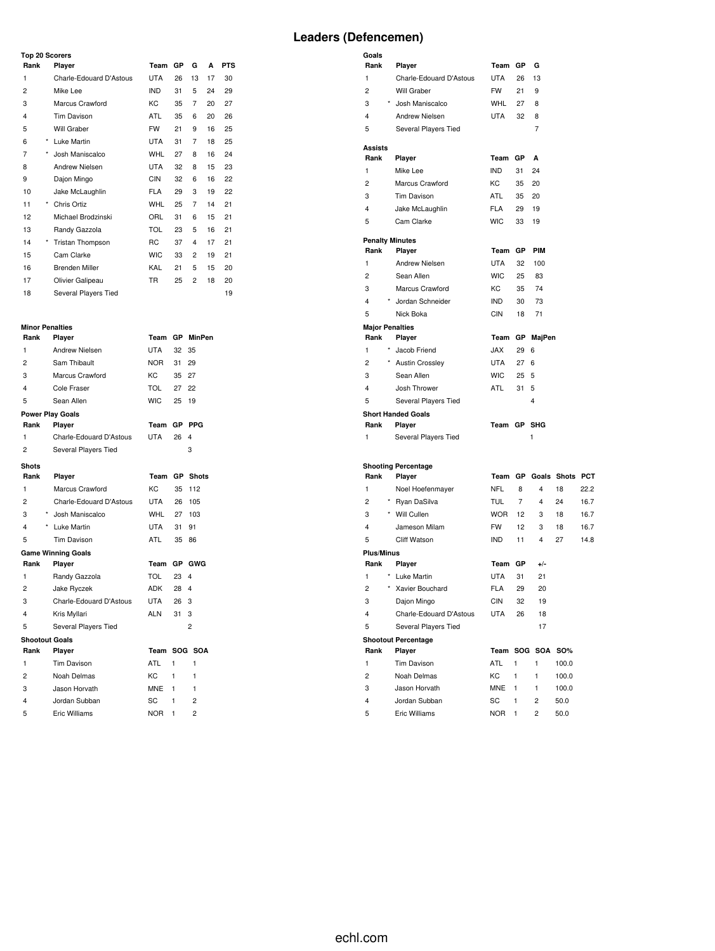#### **Top 20 Scorers**

| <b>10p 20 Scorers</b> |            |                         |            |    |    |    |            |
|-----------------------|------------|-------------------------|------------|----|----|----|------------|
| Rank                  |            | Player                  | Team       | GP | G  | A  | <b>PTS</b> |
| 1                     |            | Charle-Edouard D'Astous | <b>UTA</b> | 26 | 13 | 17 | 30         |
| 2                     |            | Mike Lee                | <b>IND</b> | 31 | 5  | 24 | 29         |
| 3                     |            | Marcus Crawford         | KC         | 35 | 7  | 20 | 27         |
| $\overline{4}$        |            | Tim Davison             | <b>ATL</b> | 35 | 6  | 20 | 26         |
| 5                     |            | Will Graber             | <b>FW</b>  | 21 | 9  | 16 | 25         |
| 6                     | $\star$    | Luke Martin             | <b>UTA</b> | 31 | 7  | 18 | 25         |
| 7                     | $\star$    | Josh Maniscalco         | <b>WHL</b> | 27 | 8  | 16 | 24         |
| 8                     |            | <b>Andrew Nielsen</b>   | <b>UTA</b> | 32 | 8  | 15 | 23         |
| 9                     |            | Dajon Mingo             | <b>CIN</b> | 32 | 6  | 16 | 22         |
| 10                    |            | Jake McLaughlin         | <b>FLA</b> | 29 | 3  | 19 | 22         |
| 11                    | $\star$    | Chris Ortiz             | <b>WHL</b> | 25 | 7  | 14 | 21         |
| 12                    |            | Michael Brodzinski      | ORL        | 31 | 6  | 15 | 21         |
| 13                    |            | Randy Gazzola           | <b>TOL</b> | 23 | 5  | 16 | 21         |
| 14                    | $^{\star}$ | <b>Tristan Thompson</b> | <b>RC</b>  | 37 | 4  | 17 | 21         |
| 15                    |            | Cam Clarke              | <b>WIC</b> | 33 | 2  | 19 | 21         |
| 16                    |            | <b>Brenden Miller</b>   | KAL        | 21 | 5  | 15 | 20         |
| 17                    |            | Olivier Galipeau        | TR         | 25 | 2  | 18 | 20         |
| 18                    |            | Several Players Tied    |            |    |    |    | 19         |

#### **Minor Penalties**

| Rank                  | Player                    | Team       | GP.       | <b>MinPen</b>  |
|-----------------------|---------------------------|------------|-----------|----------------|
| 1                     | <b>Andrew Nielsen</b>     | <b>UTA</b> | 32        | 35             |
| $\overline{2}$        | Sam Thibault              | NOR.       | 31        | 29             |
| 3                     | Marcus Crawford           | KC.        | 35        | 27             |
| 4                     | Cole Fraser               | TOL        | 27        | 22             |
| 5                     | Sean Allen                | <b>WIC</b> | 25        | 19             |
|                       | <b>Power Play Goals</b>   |            |           |                |
| Rank                  | Player                    | Team       | GР        | <b>PPG</b>     |
| 1                     | Charle-Edouard D'Astous   | <b>UTA</b> | 26        | 4              |
| $\overline{c}$        | Several Players Tied      |            |           | 3              |
| <b>Shots</b>          |                           |            |           |                |
| Rank                  | Player                    | Team       | <b>GP</b> | <b>Shots</b>   |
| 1                     | Marcus Crawford           | KC.        | 35        | 112            |
| $\overline{c}$        | Charle-Edouard D'Astous   | UTA        | 26        | 105            |
| 3                     | Josh Maniscalco           | <b>WHL</b> | 27        | 103            |
| 4                     | * Luke Martin             | <b>UTA</b> | 31        | 91             |
| 5                     | Tim Davison               | <b>ATL</b> | 35        | 86             |
|                       | <b>Game Winning Goals</b> |            |           |                |
| Rank                  | Player                    | Team       | GP        | <b>GWG</b>     |
| 1                     | Randy Gazzola             | TOL        | 23        | 4              |
| 2                     | Jake Ryczek               | ADK        | 28        | 4              |
| 3                     | Charle-Edouard D'Astous   | <b>UTA</b> | 26        | 3              |
| 4                     | Kris Myllari              | <b>ALN</b> | 31        | 3              |
| 5                     | Several Players Tied      |            |           | 2              |
| <b>Shootout Goals</b> |                           |            |           |                |
| Rank                  | Player                    | Team       |           | SOG SOA        |
| 1                     | <b>Tim Davison</b>        | ATL        | 1         | 1              |
| 2                     | Noah Delmas               | KC         | 1         | 1              |
| 3                     | Jason Horvath             | <b>MNE</b> | 1         | 1              |
| 4                     | Jordan Subban             | SC         | 1         | $\overline{2}$ |
| 5                     | <b>Eric Williams</b>      | <b>NOR</b> | 1         | $\overline{2}$ |

| Goals                     |                                 |                         |              |              |                         |              |
|---------------------------|---------------------------------|-------------------------|--------------|--------------|-------------------------|--------------|
| Rank                      | Player                          | Team GP                 |              | G            |                         |              |
| 1                         | Charle-Edouard D'Astous         | <b>UTA</b>              | 26           | 13           |                         |              |
| $\overline{c}$            | Will Graber                     | <b>FW</b>               | 21           | 9            |                         |              |
| 3                         | * Josh Maniscalco               | <b>WHL</b>              | 27           | 8            |                         |              |
| 4                         | <b>Andrew Nielsen</b>           | <b>UTA</b>              | 32           | 8            |                         |              |
| 5                         | Several Players Tied            |                         |              | 7            |                         |              |
|                           |                                 |                         |              |              |                         |              |
| Assists                   |                                 |                         |              |              |                         |              |
| Rank                      | Player                          | Team GP                 |              | A            |                         |              |
| 1                         | Mike Lee                        | <b>IND</b>              | 31           | 24           |                         |              |
| 2                         | Marcus Crawford                 | <b>KC</b>               | 35           | 20           |                         |              |
| 3                         | <b>Tim Davison</b>              | ATL                     | 35           | 20           |                         |              |
| 4                         | Jake McLaughlin                 | <b>FLA</b>              | 29           | 19           |                         |              |
| 5                         | Cam Clarke                      | <b>WIC</b>              | 33           | 19           |                         |              |
| <b>Penalty Minutes</b>    |                                 |                         |              |              |                         |              |
| Rank                      | Player                          | Team                    | GР           | <b>PIM</b>   |                         |              |
| 1                         | Andrew Nielsen                  | <b>UTA</b>              | 32           | 100          |                         |              |
| $\overline{c}$            | Sean Allen                      | <b>WIC</b>              | 25           | 83           |                         |              |
| 3                         | Marcus Crawford                 | KC                      | 35           | 74           |                         |              |
| 4                         | Jordan Schneider                | <b>IND</b>              | 30           | 73           |                         |              |
| 5                         | Nick Boka                       | <b>CIN</b>              | 18           | 71           |                         |              |
| <b>Major Penalties</b>    |                                 |                         |              |              |                         |              |
| Rank                      | Player                          | Team                    |              | GP MajPen    |                         |              |
| 1                         | * Jacob Friend                  | JAX                     | 29           | 6            |                         |              |
| 2                         | * Austin Crossley               | <b>UTA</b>              | 27           | 6            |                         |              |
| 3                         | Sean Allen                      | <b>WIC</b>              | 25           | 5            |                         |              |
| 4                         | Josh Thrower                    | ATL.                    | 31           | 5            |                         |              |
| 5                         | Several Players Tied            |                         |              | 4            |                         |              |
|                           | <b>Short Handed Goals</b>       |                         |              |              |                         |              |
| Rank                      | Player                          | Team GP SHG             |              |              |                         |              |
| 1                         | Several Players Tied            |                         |              | 1            |                         |              |
|                           |                                 |                         |              |              |                         |              |
|                           | <b>Shooting Percentage</b>      |                         |              |              |                         |              |
| Rank                      | Player                          |                         |              |              | Team GP Goals Shots PCT |              |
| 1                         | Noel Hoefenmayer                | <b>NFL</b>              | 8            | 4            | 18                      | 22.2         |
| 2<br>3                    | * Ryan DaSilva<br>* Will Cullen | TUL                     | 7<br>12      | 4<br>3       | 24<br>18                | 16.7<br>16.7 |
| 4                         | Jameson Milam                   | <b>WOR</b><br><b>FW</b> | 12           | 3            | 18                      | 16.7         |
| 5                         | Cliff Watson                    | <b>IND</b>              | 11           | 4            | 27                      | 14.8         |
|                           |                                 |                         |              |              |                         |              |
| <b>Plus/Minus</b><br>Rank | Player                          | Team GP                 |              | $+/-$        |                         |              |
| 1                         | * Luke Martin                   | <b>UTA</b>              | 31           | 21           |                         |              |
| 2                         | Xavier Bouchard                 | FLA                     | 29           | 20           |                         |              |
| 3                         | Dajon Mingo                     | CIN                     | 32           | 19           |                         |              |
| 4                         | Charle-Edouard D'Astous         | <b>UTA</b>              | 26           | 18           |                         |              |
| 5                         | Several Players Tied            |                         |              | 17           |                         |              |
|                           | <b>Shootout Percentage</b>      |                         |              |              |                         |              |
| Rank                      | Player                          | Team                    | SOG          | <b>SOA</b>   | <b>SO%</b>              |              |
| $\mathbf{1}$              | Tim Davison                     | ATL                     | $\mathbf{1}$ | $\mathbf{1}$ | 100.0                   |              |
| $\overline{c}$            | Noah Delmas                     | KC                      | 1            | 1            | 100.0                   |              |
| 3                         | Jason Horvath                   | <b>MNE</b>              | 1            | 1            | 100.0                   |              |
| 4                         | Jordan Subban                   | SC                      | 1            | 2            | 50.0                    |              |

Eric Williams NOR 1 2 50.0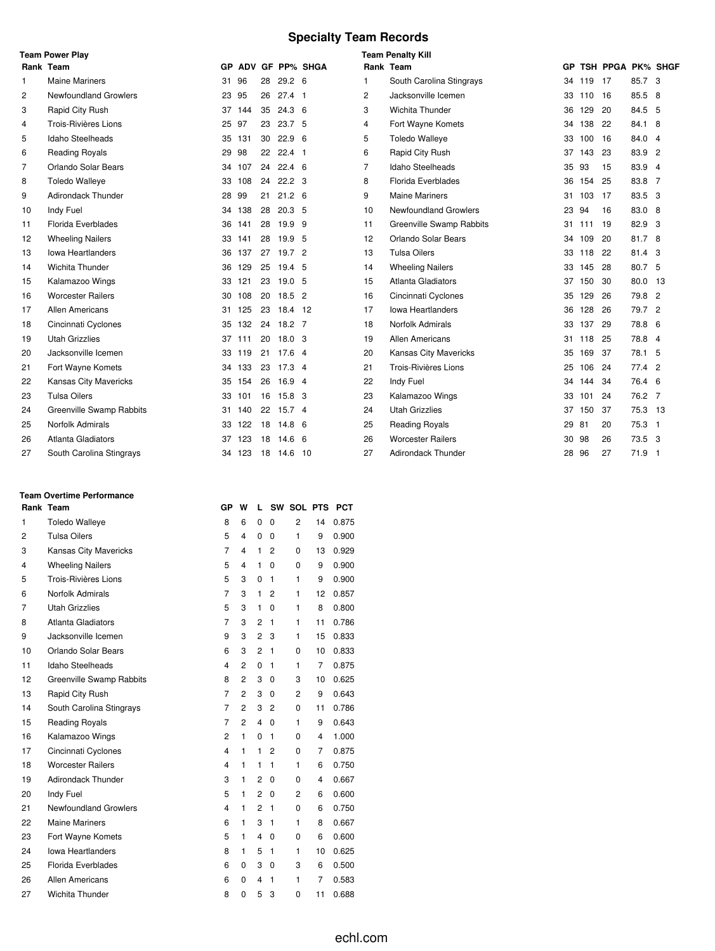# **Specialty Team Records**

|                | <b>Team Power Play</b>       |     |        |    |                   |                 | <b>Team Penalty Kill</b> |                            |    |     |                   |          |  |
|----------------|------------------------------|-----|--------|----|-------------------|-----------------|--------------------------|----------------------------|----|-----|-------------------|----------|--|
|                | Rank Team                    | GP. |        |    |                   | ADV GF PP% SHGA | Rank Team                |                            | GP |     | TSH PPGA PK% SHGF |          |  |
| 1              | <b>Maine Mariners</b>        | 31  | 96     | 28 | 29.2 <sub>6</sub> |                 |                          | South Carolina Stingrays   | 34 | 119 | 17                | 85.7 3   |  |
| 2              | <b>Newfoundland Growlers</b> | 23  | 95     | 26 | $27.4$ 1          |                 | 2                        | Jacksonville Icemen        | 33 | 110 | 16                | 85.5 8   |  |
| 3              | Rapid City Rush              | 37  | 144    | 35 | $24.3\quad6$      |                 | 3                        | Wichita Thunder            | 36 | 129 | 20                | 84.5 5   |  |
| 4              | Trois-Rivières Lions         | 25  | 97     | 23 | 23.7 <sub>5</sub> |                 | 4                        | Fort Wayne Komets          | 34 | 138 | 22                | 84.1 8   |  |
| 5              | Idaho Steelheads             |     | 35 131 | 30 | 22.9 <sub>6</sub> |                 | 5                        | <b>Toledo Walleye</b>      | 33 | 100 | 16                | 84.0 4   |  |
| 6              | <b>Reading Royals</b>        | 29  | 98     | 22 | $22.4$ 1          |                 | 6                        | Rapid City Rush            | 37 | 143 | 23                | 83.9 2   |  |
| $\overline{7}$ | <b>Orlando Solar Bears</b>   | 34  | 107    | 24 | $22.4\quad 6$     |                 | 7                        | Idaho Steelheads           | 35 | 93  | 15                | 83.9 4   |  |
| 8              | <b>Toledo Walleye</b>        | 33  | 108    | 24 | 22.2 <sup>3</sup> |                 | 8                        | <b>Florida Everblades</b>  | 36 | 154 | 25                | 83.8 7   |  |
| 9              | <b>Adirondack Thunder</b>    | 28  | 99     | 21 | 21.2 <sub>6</sub> |                 | 9                        | <b>Maine Mariners</b>      | 31 | 103 | 17                | 83.5 3   |  |
| 10             | Indy Fuel                    |     | 34 138 | 28 | 20.3 <sub>5</sub> |                 | 10                       | Newfoundland Growlers      | 23 | 94  | 16                | 83.0 8   |  |
| 11             | Florida Everblades           | 36  | 141    | 28 | 19.9 9            |                 | 11                       | Greenville Swamp Rabbits   | 31 | 111 | 19                | 82.9 3   |  |
| 12             | <b>Wheeling Nailers</b>      | 33  | 141    | 28 | 19.9 5            |                 | 12                       | <b>Orlando Solar Bears</b> | 34 | 109 | 20                | 81.7 8   |  |
| 13             | <b>Iowa Heartlanders</b>     | 36  | 137    | 27 | 19.7 2            |                 | 13                       | <b>Tulsa Oilers</b>        | 33 | 118 | 22                | 81.4 3   |  |
| 14             | <b>Wichita Thunder</b>       | 36  | 129    | 25 | 19.4 5            |                 | 14                       | <b>Wheeling Nailers</b>    | 33 | 145 | 28                | 80.7 5   |  |
| 15             | Kalamazoo Wings              | 33  | 121    | 23 | 19.0 <sub>5</sub> |                 | 15                       | Atlanta Gladiators         | 37 | 150 | 30                | 80.0 13  |  |
| 16             | <b>Worcester Railers</b>     | 30  | 108    | 20 | $18.5$ 2          |                 | 16                       | Cincinnati Cyclones        | 35 | 129 | 26                | 79.8 2   |  |
| 17             | Allen Americans              | 31  | 125    | 23 | 18.4 12           |                 | 17                       | <b>Iowa Heartlanders</b>   | 36 | 128 | 26                | 79.7 2   |  |
| 18             | Cincinnati Cyclones          |     | 35 132 |    | 24 18.2 7         |                 | 18                       | Norfolk Admirals           | 33 | 137 | 29                | 78.8 6   |  |
| 19             | <b>Utah Grizzlies</b>        |     | 37 111 | 20 | 18.0 <sup>3</sup> |                 | 19                       | <b>Allen Americans</b>     | 31 | 118 | 25                | 78.8 4   |  |
| 20             | Jacksonville Icemen          |     | 33 119 | 21 | $17.6 +$          |                 | 20                       | Kansas City Mavericks      | 35 | 169 | 37                | 78.1 5   |  |
| 21             | Fort Wayne Komets            |     | 34 133 | 23 | 17.3 4            |                 | 21                       | Trois-Rivières Lions       | 25 | 106 | 24                | 77.4 2   |  |
| 22             | <b>Kansas City Mavericks</b> |     | 35 154 | 26 | $16.9$ 4          |                 | 22                       | Indy Fuel                  | 34 | 144 | 34                | 76.4 6   |  |
| 23             | <b>Tulsa Oilers</b>          | 33  | 101    |    | 16 15.8 3         |                 | 23                       | Kalamazoo Wings            | 33 | 101 | 24                | 76.2 7   |  |
| 24             | Greenville Swamp Rabbits     | 31. | 140    | 22 | 15.7 4            |                 | 24                       | <b>Utah Grizzlies</b>      | 37 | 150 | 37                | 75.3 13  |  |
| 25             | Norfolk Admirals             | 33  | 122    | 18 | $14.8\quad 6$     |                 | 25                       | <b>Reading Royals</b>      | 29 | 81  | 20                | $75.3$ 1 |  |
| 26             | <b>Atlanta Gladiators</b>    | 37. | 123    | 18 | $14.6\quad 6$     |                 | 26                       | <b>Worcester Railers</b>   | 30 | 98  | 26                | 73.5 3   |  |
| 27             | South Carolina Stingrays     | 34  | 123    | 18 | 14.6 10           |                 | 27                       | Adirondack Thunder         | 28 | 96  | 27                | 71.9 1   |  |

#### **Team Overtime Performance**

|                | Rank Team                    | GP                      | w                       | L              |                | SW SOL PTS     |                         | <b>PCT</b> |  |
|----------------|------------------------------|-------------------------|-------------------------|----------------|----------------|----------------|-------------------------|------------|--|
| 1              | <b>Toledo Walleye</b>        | 8                       | 6                       | 0              | $\mathbf 0$    | $\overline{2}$ | 14                      | 0.875      |  |
| 2              | <b>Tulsa Oilers</b>          | 5                       | 4                       | 0              | $\Omega$       | 1              | 9                       | 0.900      |  |
| 3              | Kansas City Mavericks        | $\overline{7}$          | $\overline{\mathbf{4}}$ | 1              | $\overline{2}$ | 0              | 13                      | 0.929      |  |
| $\overline{4}$ | <b>Wheeling Nailers</b>      | 5                       | 4                       | 1              | $\Omega$       | $\Omega$       | 9                       | 0.900      |  |
| 5              | Trois-Rivières Lions         | 5                       | 3                       | 0              | 1              | 1              | 9                       | 0.900      |  |
| 6              | Norfolk Admirals             | $\overline{7}$          | 3                       | 1              | 2              | 1              | 12                      | 0.857      |  |
| 7              | <b>Utah Grizzlies</b>        | 5                       | 3                       | 1              | 0              | 1              | 8                       | 0.800      |  |
| 8              | Atlanta Gladiators           | $\overline{7}$          | 3                       | 2              | 1              | 1              | 11                      | 0.786      |  |
| 9              | Jacksonville Icemen          | 9                       | 3                       | $\overline{2}$ | 3              | 1              | 15                      | 0.833      |  |
| 10             | Orlando Solar Bears          | 6                       | 3                       | $\overline{2}$ | 1              | 0              | 10                      | 0.833      |  |
| 11             | Idaho Steelheads             | 4                       | $\overline{2}$          | 0              | 1              | 1              | $\overline{7}$          | 0.875      |  |
| 12             | Greenville Swamp Rabbits     | 8                       | $\overline{c}$          | 3              | $\Omega$       | 3              | 10                      | 0.625      |  |
| 13             | Rapid City Rush              | $\overline{7}$          | $\overline{2}$          | 3              | $\mathbf 0$    | $\overline{c}$ | 9                       | 0.643      |  |
| 14             | South Carolina Stingrays     | $\overline{7}$          | 2                       | 3              | 2              | 0              | 11                      | 0.786      |  |
| 15             | <b>Reading Royals</b>        | 7                       | 2                       | 4              | 0              | 1              | 9                       | 0.643      |  |
| 16             | Kalamazoo Wings              | $\overline{2}$          | 1                       | 0              | 1              | 0              | 4                       | 1.000      |  |
| 17             | Cincinnati Cyclones          | $\overline{\mathbf{4}}$ | $\mathbf{1}$            | 1              | 2              | 0              | $\overline{7}$          | 0.875      |  |
| 18             | <b>Worcester Railers</b>     | $\overline{\mathbf{4}}$ | 1                       | 1              | 1              | 1              | 6                       | 0.750      |  |
| 19             | <b>Adirondack Thunder</b>    | 3                       | 1                       | 2              | 0              | 0              | $\overline{\mathbf{4}}$ | 0.667      |  |
| 20             | Indy Fuel                    | 5                       | 1                       | $\overline{2}$ | 0              | 2              | 6                       | 0.600      |  |
| 21             | <b>Newfoundland Growlers</b> | $\overline{\mathbf{4}}$ | 1                       | $\overline{2}$ | 1              | 0              | 6                       | 0.750      |  |
| 22             | <b>Maine Mariners</b>        | 6                       | 1                       | 3              | 1              | 1              | 8                       | 0.667      |  |
| 23             | Fort Wayne Komets            | 5                       | 1                       | 4              | 0              | 0              | 6                       | 0.600      |  |
| 24             | <b>Iowa Heartlanders</b>     | 8                       | 1                       | 5              | 1              | 1              | 10                      | 0.625      |  |
| 25             | Florida Everblades           | 6                       | 0                       | 3              | 0              | 3              | 6                       | 0.500      |  |
| 26             | <b>Allen Americans</b>       | 6                       | 0                       | 4              | 1              | 1              | 7                       | 0.583      |  |
| 27             | <b>Wichita Thunder</b>       | 8                       | 0                       | 5              | 3              | 0              | 11                      | 0.688      |  |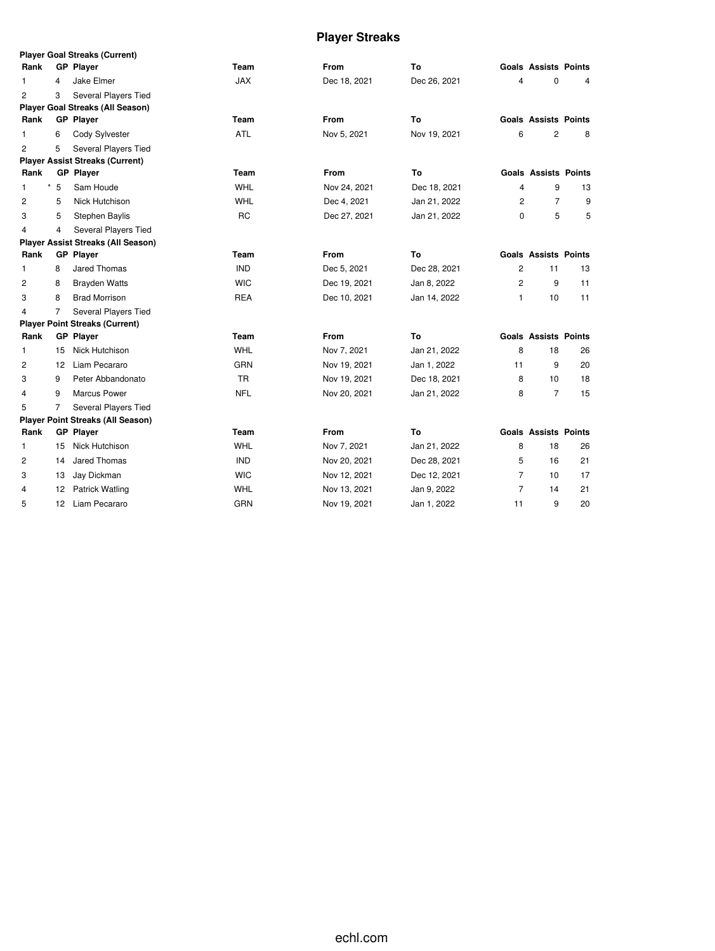# **Player Streaks**

|                |    | <b>Player Goal Streaks (Current)</b>     |            |              |              |                |                             |    |
|----------------|----|------------------------------------------|------------|--------------|--------------|----------------|-----------------------------|----|
| Rank           |    | <b>GP Player</b>                         | Team       | <b>From</b>  | To           |                | <b>Goals Assists Points</b> |    |
| 1              | 4  | Jake Elmer                               | <b>JAX</b> | Dec 18, 2021 | Dec 26, 2021 | 4              | 0                           | 4  |
| 2              | 3  | <b>Several Players Tied</b>              |            |              |              |                |                             |    |
|                |    | <b>Player Goal Streaks (All Season)</b>  |            |              |              |                |                             |    |
| Rank           |    | <b>GP Player</b>                         | Team       | From         | To           |                | <b>Goals Assists Points</b> |    |
| 1              | 6  | Cody Sylvester                           | <b>ATL</b> | Nov 5, 2021  | Nov 19, 2021 | 6              | 2                           | 8  |
| $\overline{c}$ | 5  | Several Players Tied                     |            |              |              |                |                             |    |
|                |    | <b>Player Assist Streaks (Current)</b>   |            |              |              |                |                             |    |
| Rank           |    | <b>GP Player</b>                         | Team       | <b>From</b>  | To           |                | <b>Goals Assists Points</b> |    |
| *<br>1         | 5  | Sam Houde                                | <b>WHL</b> | Nov 24, 2021 | Dec 18, 2021 | 4              | 9                           | 13 |
| 2              | 5  | Nick Hutchison                           | <b>WHL</b> | Dec 4, 2021  | Jan 21, 2022 | 2              | $\overline{7}$              | 9  |
| 3              | 5  | Stephen Baylis                           | <b>RC</b>  | Dec 27, 2021 | Jan 21, 2022 | 0              | 5                           | 5  |
| $\overline{4}$ | 4  | Several Players Tied                     |            |              |              |                |                             |    |
|                |    | Player Assist Streaks (All Season)       |            |              |              |                |                             |    |
| Rank           |    | <b>GP Player</b>                         | Team       | <b>From</b>  | To           |                | <b>Goals Assists Points</b> |    |
| 1              | 8  | Jared Thomas                             | <b>IND</b> | Dec 5, 2021  | Dec 28, 2021 | $\overline{c}$ | 11                          | 13 |
| $\overline{c}$ | 8  | <b>Brayden Watts</b>                     | <b>WIC</b> | Dec 19, 2021 | Jan 8, 2022  | $\overline{2}$ | 9                           | 11 |
| 3              | 8  | <b>Brad Morrison</b>                     | <b>REA</b> | Dec 10, 2021 | Jan 14, 2022 | 1              | 10                          | 11 |
| 4              | 7  | Several Players Tied                     |            |              |              |                |                             |    |
|                |    | <b>Player Point Streaks (Current)</b>    |            |              |              |                |                             |    |
| Rank           |    | <b>GP</b> Player                         | Team       | <b>From</b>  | To           |                | <b>Goals Assists Points</b> |    |
| 1              | 15 | Nick Hutchison                           | WHL        | Nov 7, 2021  | Jan 21, 2022 | 8              | 18                          | 26 |
| 2              | 12 | Liam Pecararo                            | <b>GRN</b> | Nov 19, 2021 | Jan 1, 2022  | 11             | 9                           | 20 |
| 3              | 9  | Peter Abbandonato                        | <b>TR</b>  | Nov 19, 2021 | Dec 18, 2021 | 8              | 10                          | 18 |
| 4              | 9  | <b>Marcus Power</b>                      | <b>NFL</b> | Nov 20, 2021 | Jan 21, 2022 | 8              | $\overline{7}$              | 15 |
| 5              | 7  | Several Players Tied                     |            |              |              |                |                             |    |
|                |    | <b>Player Point Streaks (All Season)</b> |            |              |              |                |                             |    |
| Rank           |    | <b>GP</b> Player                         | Team       | <b>From</b>  | To           |                | <b>Goals Assists Points</b> |    |
| 1              | 15 | Nick Hutchison                           | WHL        | Nov 7, 2021  | Jan 21, 2022 | 8              | 18                          | 26 |
| 2              | 14 | Jared Thomas                             | <b>IND</b> | Nov 20, 2021 | Dec 28, 2021 | 5              | 16                          | 21 |
| 3              | 13 | Jay Dickman                              | <b>WIC</b> | Nov 12, 2021 | Dec 12, 2021 | $\overline{7}$ | 10                          | 17 |
| 4              | 12 | <b>Patrick Watling</b>                   | WHL        | Nov 13, 2021 | Jan 9, 2022  | $\overline{7}$ | 14                          | 21 |
| 5              | 12 | Liam Pecararo                            | <b>GRN</b> | Nov 19, 2021 | Jan 1, 2022  | 11             | 9                           | 20 |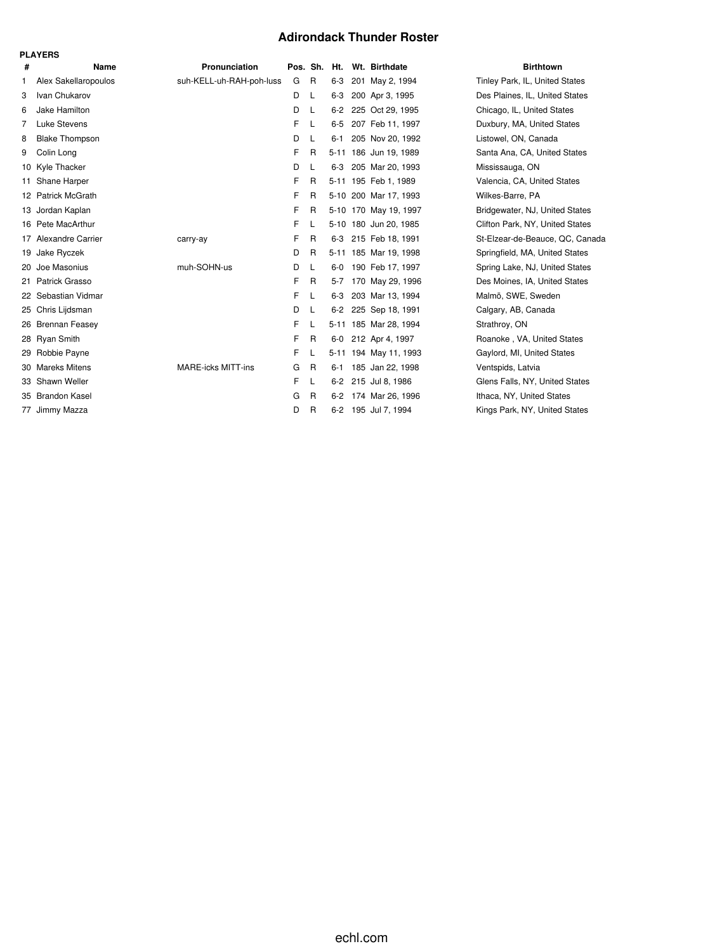### **Adirondack Thunder Roster**

|   | <b>PLAYERS</b>        |                           |   |              |         |  |                       |                                 |  |  |  |  |  |
|---|-----------------------|---------------------------|---|--------------|---------|--|-----------------------|---------------------------------|--|--|--|--|--|
| # | Name                  | Pronunciation             |   | Pos. Sh.     | Ht.     |  | Wt. Birthdate         | <b>Birthtown</b>                |  |  |  |  |  |
| 1 | Alex Sakellaropoulos  | suh-KELL-uh-RAH-poh-luss  | G | R            | $6 - 3$ |  | 201 May 2, 1994       | Tinley Park, IL, United States  |  |  |  |  |  |
| 3 | Ivan Chukarov         |                           | D | L            | $6 - 3$ |  | 200 Apr 3, 1995       | Des Plaines, IL, United States  |  |  |  |  |  |
| 6 | Jake Hamilton         |                           | D | L            | $6 - 2$ |  | 225 Oct 29, 1995      | Chicago, IL, United States      |  |  |  |  |  |
| 7 | Luke Stevens          |                           | F | L            | $6-5$   |  | 207 Feb 11, 1997      | Duxbury, MA, United States      |  |  |  |  |  |
| 8 | <b>Blake Thompson</b> |                           | D | L            | $6 - 1$ |  | 205 Nov 20, 1992      | Listowel, ON, Canada            |  |  |  |  |  |
| 9 | Colin Long            |                           | F | $\mathsf{R}$ |         |  | 5-11 186 Jun 19, 1989 | Santa Ana, CA, United States    |  |  |  |  |  |
|   | 10 Kyle Thacker       |                           | D | L            | $6 - 3$ |  | 205 Mar 20, 1993      | Mississauga, ON                 |  |  |  |  |  |
|   | 11 Shane Harper       |                           | F | $\mathsf{R}$ |         |  | 5-11 195 Feb 1, 1989  | Valencia, CA, United States     |  |  |  |  |  |
|   | 12 Patrick McGrath    |                           | F | R            |         |  | 5-10 200 Mar 17, 1993 | Wilkes-Barre, PA                |  |  |  |  |  |
|   | 13 Jordan Kaplan      |                           | F | R            |         |  | 5-10 170 May 19, 1997 | Bridgewater, NJ, United States  |  |  |  |  |  |
|   | 16 Pete MacArthur     |                           | F | L            |         |  | 5-10 180 Jun 20, 1985 | Clifton Park, NY, United States |  |  |  |  |  |
|   | 17 Alexandre Carrier  | carry-ay                  | F | $\mathsf{R}$ | 6-3     |  | 215 Feb 18, 1991      | St-Elzear-de-Beauce, QC, Canada |  |  |  |  |  |
|   | 19 Jake Ryczek        |                           | D | R            |         |  | 5-11 185 Mar 19, 1998 | Springfield, MA, United States  |  |  |  |  |  |
|   | 20 Joe Masonius       | muh-SOHN-us               | D | L            | $6-0$   |  | 190 Feb 17, 1997      | Spring Lake, NJ, United States  |  |  |  |  |  |
|   | 21 Patrick Grasso     |                           | F | R            | $5 - 7$ |  | 170 May 29, 1996      | Des Moines, IA, United States   |  |  |  |  |  |
|   | 22 Sebastian Vidmar   |                           | F | L            | $6 - 3$ |  | 203 Mar 13, 1994      | Malmö, SWE, Sweden              |  |  |  |  |  |
|   | 25 Chris Lijdsman     |                           | D | L            | $6-2$   |  | 225 Sep 18, 1991      | Calgary, AB, Canada             |  |  |  |  |  |
|   | 26 Brennan Feasey     |                           | F | L            |         |  | 5-11 185 Mar 28, 1994 | Strathroy, ON                   |  |  |  |  |  |
|   | 28 Ryan Smith         |                           | F | $\mathsf{R}$ | $6-0$   |  | 212 Apr 4, 1997       | Roanoke, VA, United States      |  |  |  |  |  |
|   | 29 Robbie Payne       |                           | F | L            |         |  | 5-11 194 May 11, 1993 | Gaylord, MI, United States      |  |  |  |  |  |
|   | 30 Mareks Mitens      | <b>MARE-icks MITT-ins</b> | G | $\mathsf{R}$ | $6 - 1$ |  | 185 Jan 22, 1998      | Ventspids, Latvia               |  |  |  |  |  |
|   | 33 Shawn Weller       |                           | F | L            | $6 - 2$ |  | 215 Jul 8, 1986       | Glens Falls, NY, United States  |  |  |  |  |  |
|   | 35 Brandon Kasel      |                           | G | R            | $6 - 2$ |  | 174 Mar 26, 1996      | Ithaca, NY, United States       |  |  |  |  |  |
|   | 77 Jimmy Mazza        |                           | D | R            | $6-2$   |  | 195 Jul 7, 1994       | Kings Park, NY, United States   |  |  |  |  |  |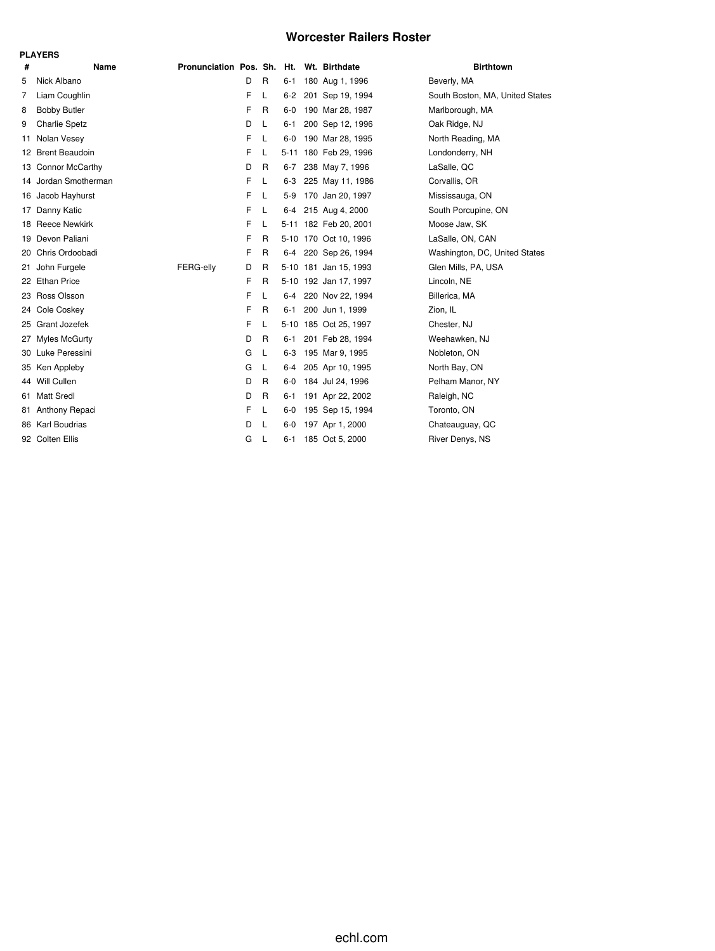#### **Worcester Railers Roster**

|      | <b>PLAYERS</b>       |                                          |    |   |         |  |                       |                                 |  |  |  |  |  |
|------|----------------------|------------------------------------------|----|---|---------|--|-----------------------|---------------------------------|--|--|--|--|--|
| #    | Name                 | Pronunciation Pos. Sh. Ht. Wt. Birthdate |    |   |         |  |                       | <b>Birthtown</b>                |  |  |  |  |  |
| 5    | Nick Albano          |                                          | D  | R | $6 - 1$ |  | 180 Aug 1, 1996       | Beverly, MA                     |  |  |  |  |  |
| 7    | Liam Coughlin        |                                          | F  | L | $6 - 2$ |  | 201 Sep 19, 1994      | South Boston, MA, United States |  |  |  |  |  |
| 8    | <b>Bobby Butler</b>  |                                          | F  | R | 6-0     |  | 190 Mar 28, 1987      | Marlborough, MA                 |  |  |  |  |  |
| 9    | <b>Charlie Spetz</b> |                                          | D  | L | 6-1     |  | 200 Sep 12, 1996      | Oak Ridge, NJ                   |  |  |  |  |  |
| 11   | Nolan Vesey          |                                          | F. | L |         |  | 6-0 190 Mar 28, 1995  | North Reading, MA               |  |  |  |  |  |
|      | 12 Brent Beaudoin    |                                          | F  | L |         |  | 5-11 180 Feb 29, 1996 | Londonderry, NH                 |  |  |  |  |  |
|      | 13 Connor McCarthy   |                                          | D  | R | $6-7$   |  | 238 May 7, 1996       | LaSalle, QC                     |  |  |  |  |  |
|      | 14 Jordan Smotherman |                                          | F  | L |         |  | 6-3 225 May 11, 1986  | Corvallis, OR                   |  |  |  |  |  |
|      | 16 Jacob Hayhurst    |                                          | F. | L |         |  | 5-9 170 Jan 20, 1997  | Mississauga, ON                 |  |  |  |  |  |
| 17   | Danny Katic          |                                          | F  | L |         |  | 6-4 215 Aug 4, 2000   | South Porcupine, ON             |  |  |  |  |  |
|      | 18 Reece Newkirk     |                                          | F  | L |         |  | 5-11 182 Feb 20, 2001 | Moose Jaw, SK                   |  |  |  |  |  |
| 19.  | Devon Paliani        |                                          | F  | R |         |  | 5-10 170 Oct 10, 1996 | LaSalle, ON, CAN                |  |  |  |  |  |
| 20 - | Chris Ordoobadi      |                                          | F  | R |         |  | 6-4 220 Sep 26, 1994  | Washington, DC, United States   |  |  |  |  |  |
| 21   | John Furgele         | FERG-elly                                | D  | R |         |  | 5-10 181 Jan 15, 1993 | Glen Mills, PA, USA             |  |  |  |  |  |
|      | 22 Ethan Price       |                                          | F  | R |         |  | 5-10 192 Jan 17, 1997 | Lincoln, NE                     |  |  |  |  |  |
|      | 23 Ross Olsson       |                                          | F  | L |         |  | 6-4 220 Nov 22, 1994  | Billerica, MA                   |  |  |  |  |  |
| 24.  | Cole Coskey          |                                          | F  | R | 6-1     |  | 200 Jun 1, 1999       | Zion, IL                        |  |  |  |  |  |
| 25   | Grant Jozefek        |                                          | F  | L |         |  | 5-10 185 Oct 25, 1997 | Chester, NJ                     |  |  |  |  |  |
| 27   | Myles McGurty        |                                          | D  | R | 6-1     |  | 201 Feb 28, 1994      | Weehawken, NJ                   |  |  |  |  |  |
| 30   | Luke Peressini       |                                          | G  | L | $6-3$   |  | 195 Mar 9, 1995       | Nobleton, ON                    |  |  |  |  |  |
|      | 35 Ken Appleby       |                                          | G  | L |         |  | 6-4 205 Apr 10, 1995  | North Bay, ON                   |  |  |  |  |  |
|      | 44 Will Cullen       |                                          | D  | R |         |  | 6-0 184 Jul 24, 1996  | Pelham Manor, NY                |  |  |  |  |  |
| 61   | <b>Matt Sredl</b>    |                                          | D  | R | 6-1     |  | 191 Apr 22, 2002      | Raleigh, NC                     |  |  |  |  |  |
| 81.  | Anthony Repaci       |                                          | F  | L | $6-0$   |  | 195 Sep 15, 1994      | Toronto, ON                     |  |  |  |  |  |
|      | 86 Karl Boudrias     |                                          | D  | L | $6-0$   |  | 197 Apr 1, 2000       | Chateauguay, QC                 |  |  |  |  |  |
|      | 92 Colten Ellis      |                                          | G  | L | $6 - 1$ |  | 185 Oct 5, 2000       | River Denys, NS                 |  |  |  |  |  |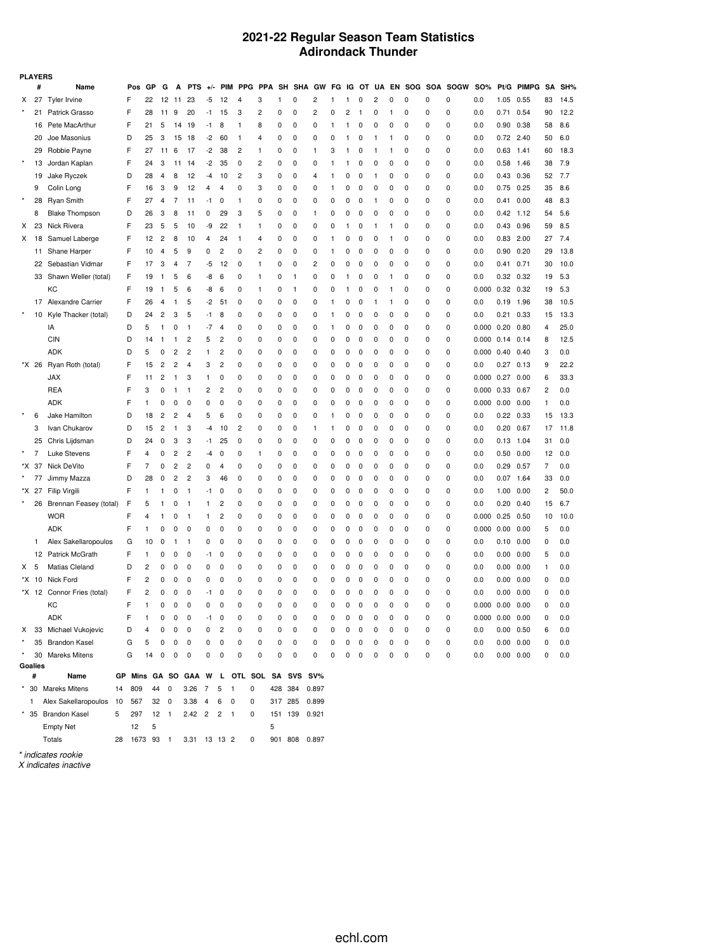#### **2021-22 Regular Season Team Statistics Adirondack Thunder**

| <b>PLAYERS</b> |              |                               |                                          |                |      |    |              |                         |                          |                |                |         |               |                |    |    |              |    |              |     |     |             |                       |                   |              |           |      |
|----------------|--------------|-------------------------------|------------------------------------------|----------------|------|----|--------------|-------------------------|--------------------------|----------------|----------------|---------|---------------|----------------|----|----|--------------|----|--------------|-----|-----|-------------|-----------------------|-------------------|--------------|-----------|------|
|                | #            | Name                          | Pos                                      | GP             | G    | Α  | <b>PTS</b>   | $+/-$                   | <b>PIM</b>               | <b>PPG</b>     | <b>PPA</b>     | SH      | <b>SHA</b>    | GW             | FG | IG | от           | UA | EN           | SOG | SOA | <b>SOGW</b> | SO%                   | Pt/G              | <b>PIMPG</b> | <b>SA</b> | SH%  |
| X              | 27           | <b>Tyler Irvine</b>           | F                                        | 22             | 12   | 11 | 23           | -5                      | 12                       | 4              | 3              | 1       | 0             | $\overline{c}$ | 1  |    | 0            | 2  | 0            | 0   | 0   | 0           | 0.0                   | 1.05              | 0.55         | 83        | 14.5 |
|                | 21           | Patrick Grasso                | F                                        | 28             | 11   | 9  | 20           | -1                      | 15                       | 3              | $\overline{c}$ | 0       | 0             | 2              | 0  | 2  | $\mathbf{1}$ | 0  | $\mathbf{1}$ | 0   | 0   | 0           | 0.0                   | 0.71              | 0.54         | 90        | 12.2 |
|                | 16           | Pete MacArthur                | F                                        | 21             | 5    | 14 | 19           | -1                      | 8                        | 1              | 8              | 0       | 0             | 0              | 1  | 1  | 0            | 0  | 0            | 0   | 0   | 0           | 0.0                   | 0.90              | 0.38         | 58        | 8.6  |
|                | 20           | Joe Masonius                  | D                                        | 25             | 3    | 15 | 18           | -2                      | 60                       | $\mathbf{1}$   | 4              | 0       | 0             | 0              | 0  |    | 0            | 1  | 1            | 0   | 0   | 0           | 0.0                   | 0.72              | 2.40         | 50        | 6.0  |
|                | 29           | Robbie Payne                  | F                                        | 27             | 11   | 6  | 17           | -2                      | 38                       | $\overline{c}$ | 1              | 0       | 0             | 1              | 3  |    | 0            | 1  | 1            | 0   | 0   | 0           | 0.0                   | 0.63              | 1.41         | 60        | 18.3 |
|                | 13           | Jordan Kaplan                 | F                                        | 24             | 3    | 11 | 14           | -2                      | 35                       | 0              | 2              | 0       | 0             | 0              | 1  |    | 0            | 0  | 0            | 0   | 0   | 0           | 0.0                   | 0.58              | 1.46         | 38        | 7.9  |
|                | 19           | Jake Ryczek                   | D                                        | 28             | 4    | 8  | 12           | -4                      | 10                       | 2              | 3              | 0       | 0             | 4              | 1  | 0  | 0            | 1  | 0            | 0   | 0   | 0           | 0.0                   | 0.43              | 0.36         | 52        | 7.7  |
|                | 9            | Colin Long                    | F                                        | 16             | 3    | 9  | 12           | 4                       | 4                        | 0              | 3              | 0       | 0             | 0              | 1  | 0  | 0            | 0  | 0            | 0   | 0   | 0           | 0.0                   | 0.75              | 0.25         | 35        | 8.6  |
|                | 28           | <b>Ryan Smith</b>             | F                                        | 27             | 4    | 7  | 11           | -1                      | 0                        | 1              | 0              | 0       | 0             | 0              | 0  | 0  | 0            | 1  | 0            | 0   | 0   | 0           | 0.0                   | 0.41              | 0.00         | 48        | 8.3  |
|                | 8            | <b>Blake Thompson</b>         | D                                        | 26             | 3    | 8  | 11           | 0                       | 29                       | 3              | 5              | 0       | 0             | 1              | 0  | 0  | 0            | 0  | 0            | 0   | 0   | 0           | 0.0                   | $0.42$ 1.12       |              | 54        | 5.6  |
| х              | 23           | Nick Rivera                   | F                                        | 23             | 5    | 5  | 10           | -9                      | 22                       | 1              | 1              | 0       | 0             | 0              | 0  | 1  | 0            | 1  | 1            | 0   | 0   | 0           | 0.0                   | 0.43              | 0.96         | 59        | 8.5  |
| Х              | 18           | Samuel Laberge                | F                                        | 12             | 2    | 8  | 10           | 4                       | 24                       | 1              | 4              | 0       | 0             | 0              | 1  | 0  | 0            | 0  | 1            | 0   | 0   | 0           | 0.0                   | 0.83              | 2.00         | 27        | 7.4  |
|                | 11           | Shane Harper                  | F                                        | 10             | 4    | 5  | 9            | 0                       | 2                        | 0              | 2              | 0       | 0             | 0              | 1  | 0  | 0            | 0  | 0            | 0   | 0   | 0           | 0.0                   | 0.90              | 0.20         | 29        | 13.8 |
|                | 22           | Sebastian Vidmar              | F                                        | 17             | 3    | 4  | 7            | -5                      | 12                       | 0              | 1              | 0       | 0             | 2              | 0  | 0  | 0            | 0  | 0            | 0   | 0   | 0           | 0.0                   | 0.41              | 0.71         | 30        | 10.0 |
|                | 33           | Shawn Weller (total)          | F                                        | 19             | 1    | 5  | 6            | -8                      | 6                        | 0              | 1              | 0       | 1             | 0              | 0  | 1  | 0            | 0  | 1            | 0   | 0   | 0           | 0.0                   | 0.32              | 0.32         | 19        | 5.3  |
|                |              | КC                            | F                                        | 19             | 1    | 5  | 6            | -8                      | 6                        | 0              | 1              | 0       | 1             | 0              | 0  |    | 0            | 0  | 1            | 0   | 0   | 0           | 0.000                 | 0.32              | 0.32         | 19        | 5.3  |
|                |              | 17 Alexandre Carrier          | F                                        | 26             | 4    | 1  | 5            | -2                      | 51                       | 0              | 0              | 0       | 0             | 0              | 1  | 0  | 0            | 1  | 1            | 0   | 0   | 0           | 0.0                   | 0.19              | 1.96         | 38        | 10.5 |
|                | 10           | Kyle Thacker (total)          | D                                        | 24             | 2    | 3  | 5            | -1                      | 8                        | 0              | 0              | 0       | 0             | 0              | 1  | 0  | 0            | 0  | 0            | 0   | 0   | 0           | 0.0                   | 0.21              | 0.33         | 15        | 13.3 |
|                |              | IA                            | D                                        | 5              | 1    | 0  | 1            | -7                      | 4                        | 0              | 0              | 0       | 0             | 0              | 1  | 0  | 0            | 0  | 0            | 0   | 0   | 0           | 0.000                 | 0.20              | 0.80         | 4         | 25.0 |
|                |              | <b>CIN</b>                    | D                                        | 14             | 1    | 1  | 2            | 5                       | 2                        | 0              | 0              | 0       | 0             | 0              | 0  | 0  | 0            | 0  | 0            | 0   | 0   | 0           | 0.000                 | 0.14              | 0.14         | 8         | 12.5 |
|                |              | ADK                           | D                                        | 5              | 0    | 2  | 2            | 1                       | 2                        | 0              | 0              | 0       | 0             | 0              | 0  | 0  | 0            | 0  | 0            | 0   | 0   | 0           | 0.000                 | 0.40              | 0.40         | 3         | 0.0  |
|                | *X 26        | Ryan Roth (total)             | F                                        | 15             | 2    | 2  | 4            | 3                       | 2                        | 0              | 0              | 0       | 0             | 0              | 0  | 0  | 0            | 0  | 0            | 0   | 0   | 0           | 0.0                   | 0.27              | 0.13         | 9         | 22.2 |
|                |              | <b>JAX</b>                    | F                                        | 11             | 2    | 1  | 3            | 1                       | 0                        | 0              | 0              | 0       | 0             | 0              | 0  | 0  | 0            | 0  | 0            | 0   | 0   | 0           | 0.000                 | 0.27              | 0.00         | 6         | 33.3 |
|                |              | <b>REA</b>                    | F                                        | 3              | 0    | 1  | 1            | $\overline{\mathbf{c}}$ | 2                        | 0              | 0              | 0       | 0             | 0              | 0  | 0  | 0            | 0  | 0            | 0   | 0   | 0           | 0.000                 | 0.33              | 0.67         | 2         | 0.0  |
|                |              | ADK                           | F                                        | 1              | 0    | 0  | 0            | 0                       | 0                        | 0              | 0              | 0       | 0             | 0              | 0  | 0  | 0            | 0  | 0            | 0   | 0   | 0           | 0.000                 | 0.00              | 0.00         | 1         | 0.0  |
|                | 6            |                               | D                                        |                | 2    | 2  | 4            | 5                       | 6                        | 0              | 0              | 0       | 0             | 0              | 1  |    | 0            | 0  | 0            | 0   | 0   | 0           | 0.0                   |                   | 0.33         | 15        | 13.3 |
|                |              | Jake Hamilton                 |                                          | 18             |      |    |              |                         |                          |                |                |         |               |                |    | 0  |              |    |              |     |     |             |                       | 0.22              |              |           |      |
|                | 3            | Ivan Chukarov                 | D                                        | 15             | 2    | 1  | 3            | -4                      | 10                       | 2              | 0              | 0       | 0             | 1              | 1  | 0  | 0            | 0  | 0            | 0   | 0   | 0           | 0.0                   | 0.20              | 0.67         | 17        | 11.8 |
|                | 25           | Chris Lijdsman                | D                                        | 24             | 0    | 3  | 3            | -1                      | 25                       | 0              | 0              | 0       | 0             | 0              | 0  | 0  | 0            | 0  | 0            | 0   | 0   | 0           | 0.0                   | 0.13              | 1.04         | 31        | 0.0  |
|                | 7            | Luke Stevens                  | F                                        | 4              | 0    | 2  | 2            | -4                      | 0                        | 0              | 1              | 0       | 0             | 0              | 0  | 0  | 0            | 0  | 0            | 0   | 0   | 0           | 0.0                   | 0.50              | 0.00         | 12        | 0.0  |
|                | *X 37        | Nick DeVito                   | F                                        | 7              | 0    | 2  | 2            | 0                       | 4                        | 0              | 0              | 0       | 0             | 0              | 0  | 0  | 0            | 0  | 0            | 0   | 0   | 0           | 0.0                   | 0.29              | 0.57         | 7         | 0.0  |
|                | 77           | Jimmy Mazza                   | D                                        | 28             | 0    | 2  | 2            | 3                       | 46                       | 0              | 0              | 0       | 0             | 0              | 0  | 0  | 0            | 0  | 0            | 0   | 0   | 0           | 0.0                   | 0.07              | 1.64         | 33        | 0.0  |
|                | *X 27        | Filip Virgili                 | F                                        | 1              | 1    | 0  | $\mathbf{1}$ | $-1$                    | 0                        | 0              | 0              | 0       | 0             | 0              | 0  | 0  | 0            | 0  | 0            | 0   | 0   | 0           | 0.0                   | 1.00              | 0.00         | 2         | 50.0 |
|                | 26           | Brennan Feasey (total)        | F                                        | 5              | 1    | 0  | 1            | 1                       | 2                        | 0              | 0              | 0       | 0             | 0              | 0  | 0  | 0            | 0  | 0            | 0   | 0   | 0           | 0.0                   | 0.20              | 0.40         | 15        | 6.7  |
|                |              | <b>WOR</b>                    | F                                        | 4              | 1    | 0  | 1            | 1                       | 2                        | 0              | 0              | 0       | 0             | 0              | 0  | 0  | 0            | 0  | 0            | 0   | 0   | 0           | 0.000                 | 0.25              | 0.50         | 10        | 10.0 |
|                |              | <b>ADK</b>                    | F                                        | 1              | 0    | 0  | O            | 0                       | 0                        | 0              | 0              | 0       | 0             | 0              | 0  | 0  | 0            | 0  | 0            | 0   | 0   | 0           | 0.000                 | 0.00              | 0.00         | 5         | 0.0  |
|                | $\mathbf{1}$ | Alex Sakellaropoulos          | G                                        | 10             | 0    |    | 1            | 0                       | 0                        | 0              | 0              | 0       | 0             | 0              | 0  | 0  | 0            | 0  | 0            | 0   | 0   | 0           | 0.0                   | 0.10              | 0.00         | 0         | 0.0  |
|                | 12           | <b>Patrick McGrath</b>        | F                                        | 1              | 0    | 0  | O            | -1                      | 0                        | 0              | 0              | 0       | 0             | 0              | 0  | 0  | 0            | 0  | 0            | 0   | 0   | 0           | 0.0                   | 0.00              | 0.00         | 5         | 0.0  |
| X.             | 5            | Matias Cleland                | D                                        | 2              | 0    | 0  | O            | 0                       | 0                        | 0              | 0              | 0       | 0             | 0              | 0  | 0  | 0            | 0  | 0            | 0   | 0   | 0           | 0.0                   | 0.00              | 0.00         | 1         | 0.0  |
|                | *X 10        | Nick Ford                     | F                                        | $\overline{c}$ | 0    | 0  | O            | 0                       | 0                        | 0              | 0              | 0       | 0             | 0              | 0  | 0  | 0            | 0  | 0            | 0   | 0   | 0           | 0.0                   | 0.00              | 0.00         | 0         | 0.0  |
|                |              | *X 12 Connor Fries (total)    | F                                        | $\overline{c}$ | 0    | 0  | 0            | -1                      | 0                        | 0              | 0              | 0       | 0             | 0              | 0  | 0  | 0            | 0  | 0            | 0   | 0   | 0           | 0.0                   | $0.00 \quad 0.00$ |              | 0         | 0.0  |
|                |              | КC                            | F                                        | 1              | 0    | 0  | 0            | 0                       | 0                        | 0              | 0              | 0       | 0             | 0              | 0  | 0  | $\mathbf 0$  | 0  | 0            | 0   | 0   | 0           | 0.000                 | $0.00 \quad 0.00$ |              | 0         | 0.0  |
|                |              | ADK                           | F                                        | 1              | 0    | 0  | 0            | -1                      | 0                        | 0              | 0              | 0       | 0             | 0              |    |    | 0            | 0  | 0            | 0   | 0   | 0           | $0.000$ $0.00$ $0.00$ |                   |              | 0         | 0.0  |
|                |              | X 33 Michael Vukojevic        | D                                        |                |      |    | O            | 0                       | 2                        | 0              | 0              | 0       | 0             | 0              |    |    | 0            | 0  | 0            | O   | 0   | 0           | 0.0                   | $0.00 \quad 0.50$ |              | 6         | 0.0  |
|                |              | 35 Brandon Kasel              | G                                        | 5              | 0    | 0  | 0            | 0                       | 0                        | 0              | 0              | 0       | 0             | 0              | 0  | 0  | 0            | 0  | 0            | 0   | 0   | 0           | 0.0                   | $0.00 \quad 0.00$ |              | 0         | 0.0  |
|                |              | 30 Mareks Mitens              | G                                        | 14             | 0    | 0  | 0            | 0                       | 0                        | 0              | 0              | 0       | 0             | 0              | 0  | 0  | 0            | 0  | 0            | 0   | 0   | 0           | 0.0                   | $0.00\ 0.00$      |              | 0         | 0.0  |
|                | Goalies      |                               |                                          |                |      |    |              |                         |                          |                |                |         |               |                |    |    |              |    |              |     |     |             |                       |                   |              |           |      |
|                | #            | Name                          | GP Mins GA SO GAA W L OTL SOL SA SVS SV% |                |      |    |              |                         |                          |                |                |         |               |                |    |    |              |    |              |     |     |             |                       |                   |              |           |      |
|                |              | 30 Mareks Mitens<br>14        | 809                                      |                | 44 0 |    | 3.26 7 5     |                         | $\overline{\phantom{0}}$ | 0              |                | 428 384 |               | 0.897          |    |    |              |    |              |     |     |             |                       |                   |              |           |      |
|                |              | 1 Alex Sakellaropoulos 10 567 |                                          |                | 32 0 |    | 3.38 4 6 0   |                         |                          | 0              |                |         | 317 285 0.899 |                |    |    |              |    |              |     |     |             |                       |                   |              |           |      |

Totals 28 1673 93 1 3.31 13 13 2 0 901 808 0.897

\* 35 Brandon Kasel 5 297 12 1 2.42 2 2 1 0 151 139 0.921 Empty Net 12 5 5 5

*\* indicates rookie*

*X indicates inactive*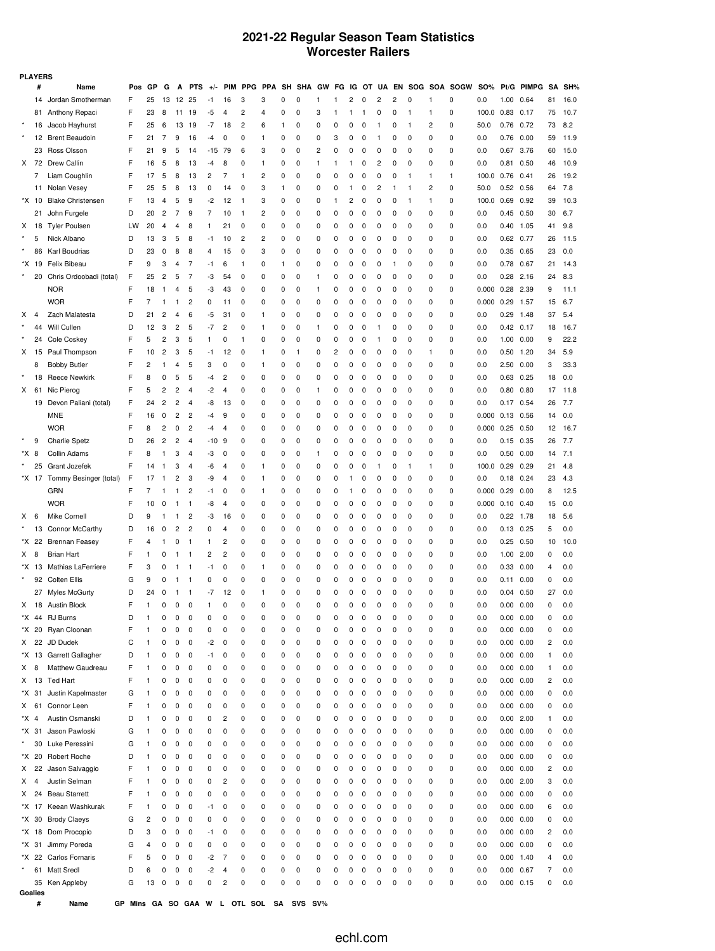### **2021-22 Regular Season Team Statistics Worcester Railers**

| <b>PLAYERS</b> |                |                                     |        |        |                |                  |            |          |                         |        |            |               |               |               |               |               |               |                         |               |              |               |                    |            |                        |            |                |            |
|----------------|----------------|-------------------------------------|--------|--------|----------------|------------------|------------|----------|-------------------------|--------|------------|---------------|---------------|---------------|---------------|---------------|---------------|-------------------------|---------------|--------------|---------------|--------------------|------------|------------------------|------------|----------------|------------|
|                | #              | Name                                | Pos    | GP     | G              | А                | <b>PTS</b> | $+/-$    | <b>PIM</b>              | PPG    | <b>PPA</b> | SH            | <b>SHA</b>    | GW            | FG            |               | IG OT         |                         |               |              |               | UA EN SOG SOA SOGW | <b>SO%</b> |                        | Pt/G PIMPG | SΑ             | SH%        |
|                | 14             | Jordan Smotherman                   | F      | 25     | 13             | 12 25            |            | -1       | 16                      | 3      | 3          | 0             | 0             | 1             | 1             | 2             | 0             | $\overline{\mathbf{c}}$ | 2             | 0            | 1             | 0                  | 0.0        | 1.00                   | 0.64       | 81             | 16.0       |
|                |                | 81 Anthony Repaci                   | F      | 23     | 8              | 11               | 19         | -5       | 4                       | 2      | 4          | 0             | 0             | 3             | 1             | 1             | 1             | 0                       | 0             | $\mathbf{1}$ | 1             | 0                  | 100.0      | 0.83                   | 0.17       | 75             | 10.7       |
|                | 16             | Jacob Hayhurst                      | F      | 25     | 6              | 13               | 19         | $-7$     | 18                      | 2      | 6          | 1             | 0             | 0             | 0             | 0             | 0             | -1                      | 0             | $\mathbf{1}$ | 2             | 0                  | 50.0       | 0.76                   | 0.72       | 73             | 8.2        |
|                |                | 12 Brent Beaudoin                   | F      | 21     | 7              | 9                | 16         | -4       | 0                       | 0      | 1          | 0             | 0             | 0             | 3             | 0             | 0             | -1                      | 0             | 0            | 0             | 0                  | 0.0        | 0.76                   | 0.00       | 59             | 11.9       |
|                |                | 23 Ross Olsson                      | F      | 21     | 9              | 5                | 14         | $-15$ 79 |                         | 6      | 3          | 0             | 0             | 2             | 0             | 0             | 0             | 0                       | 0             | 0            | 0             | 0                  | 0.0        | 0.67 3.76              |            | 60             | 15.0       |
| X.             | 72             | <b>Drew Callin</b>                  | F      | 16     | 5              | 8                | 13         | -4       | 8                       | 0      | 1          | 0             | 0             | 1             | 1             | 1             | 0             | 2                       | 0             | 0            | 0             | 0                  | 0.0        | 0.81                   | 0.50       | 46             | 10.9       |
|                | 7              | Liam Coughlin                       | F      | 17     | 5              | 8                | 13         | 2        | 7                       | 1      | 2          | $\Omega$      | 0             | 0             | 0             | 0             | 0             | 0                       | 0             | -1           | 1             | 1                  | 100.0      | 0.76                   | 0.41       | 26             | 19.2       |
|                | 11             | Nolan Vesey                         | F      | 25     | 5              | 8                | 13         | 0        | 14                      | 0      | 3          | 1             | 0             | 0             | $\pmb{0}$     | 1             | 0             | 2                       | 1             | $\mathbf{1}$ | 2             | 0                  | 50.0       | $0.52$ 0.56            |            | 64             | 7.8        |
|                | *X 10          | <b>Blake Christensen</b>            | F      | 13     | $\overline{4}$ | 5                | 9          | $-2$     | 12                      | 1      | 3          | 0             | 0             | 0             | 1             | 2             | 0             | 0                       | 0             | $\mathbf{1}$ | 1             | 0                  | 100.0      | 0.69                   | 0.92       | 39             | 10.3       |
|                | 21             | John Furgele                        | D      | 20     | 2              | 7                | 9          | 7        | 10                      | 1      | 2          | 0             | 0             | 0             | 0             | 0             | 0             | 0                       | 0             | 0            | 0             | 0                  | 0.0        | $0.45$ 0.50            |            | 30             | 6.7        |
| X              | 18             | <b>Tyler Poulsen</b>                | LW     | 20     | 4              | 4                | 8          | 1        | 21                      | 0      | 0          | $\mathbf 0$   | 0             | 0             | 0             | 0             | 0             | 0                       | 0             | 0            | 0             | 0                  | 0.0        | 0.40                   | 1.05       | 41             | 9.8        |
|                | 5              | Nick Albano                         | D      | 13     | 3              | 5                | 8          | -1       | 10                      | 2      | 2          | 0             | 0             | 0             | 0             | 0             | 0             | 0                       | 0             | 0            | 0             | 0                  | 0.0        | 0.62 0.77              |            | 26             | 11.5       |
|                | 86             | Karl Boudrias                       | D      | 23     | 0              | 8                | 8          | 4        | 15                      | 0      | 3          | 0             | 0             | 0             | 0             | 0             | 0             | 0                       | 0             | 0            | 0             | 0                  | 0.0        | 0.35 0.65              |            | 23             | 0.0        |
|                | *X 19          | Felix Bibeau                        | F      | 9      | 3              | 4                | 7          | -1       | 6                       | 1      | 0          | 1             | 0             | 0             | 0             | 0             | 0             | 0                       | 1             | 0            | 0             | 0                  | 0.0        | 0.78 0.67              |            | 21             | 14.3       |
|                | 20             | Chris Ordoobadi (total)             | F      | 25     | 2              | 5                | 7          | -3       | 54                      | 0      | 0          | 0             | 0             | 1             | 0             | 0             | 0             | 0                       | 0             | 0            | 0             | 0                  | 0.0        | $0.28$ 2.16            |            | 24             | 8.3        |
|                |                | <b>NOR</b>                          | F      | 18     | -1             | 4                | 5          | -3       | 43                      | 0      | 0          | 0             | 0             | 1             | 0             | 0             | 0             | 0                       | 0             | 0            | 0             | 0                  | 0.000      | 0.28                   | 2.39       | 9              | 11.1       |
|                |                | <b>WOR</b>                          | F      | 7      | 1              | -1               | 2          | 0        | 11                      | 0      | 0          | 0             | 0             | 0             | 0             | 0             | 0             | 0                       | 0             | 0            | 0             | 0                  | 0.000      | 0.29                   | 1.57       | 15             | 6.7        |
| Χ              | 4              | Zach Malatesta                      | D      | 21     | 2              | 4                | 6          | -5       | 31                      | 0      | 1          | 0             | 0             | 0             | 0             | 0             | 0             | 0                       | 0             | 0            | 0             | 0                  | 0.0        | 0.29                   | 1.48       | 37             | 5.4        |
|                | 44             | Will Cullen                         | D      | 12     | 3              | 2                | 5          | $-7$     | $\overline{c}$          | 0      | 1          | 0             | 0             | 1             | 0             | 0             | 0             | -1                      | 0             | 0            | 0             | 0                  | 0.0        | $0.42$ 0.17            |            | 18             | 16.7       |
|                | 24             | Cole Coskey                         | F      | 5      | 2              | 3                | 5          | 1        | 0                       | 1      | 0          | 0             | 0             | 0             | 0             | 0             | 0             | -1                      | 0             | 0            | 0             | 0                  | 0.0        | 1.00                   | 0.00       | 9              | 22.2       |
| X.             |                | 15 Paul Thompson                    | F      | 10     | 2              | 3                | 5          | -1       | 12                      | 0      | 1          | 0             | 1             | 0             | 2             | 0             | 0             | 0                       | 0             | 0            | 1             | 0                  | 0.0        | $0.50$ 1.20            |            | 34             | 5.9        |
|                | 8              | <b>Bobby Butler</b>                 | F      | 2      | 1              | 4                | 5          | 3        | 0                       | 0      | 1          | 0             | 0             | 0             | 0             | 0             | 0             | 0                       | 0             | 0            | 0             | 0                  | 0.0        | 2.50 0.00              |            | 3              | 33.3       |
|                | 18             | <b>Reece Newkirk</b>                | F      | 8      | 0              | 5                | 5          | $-4$     | 2                       | 0      | 0          | 0             | 0             | 0             | 0             | 0             | 0             | 0                       | 0             | 0            | 0             | 0                  | 0.0        | $0.63$ 0.25            |            | 18             | 0.0        |
| X              | 61             | Nic Pierog                          | F      | 5      | 2              | 2                | 4          | -2       | 4                       | 0      | 0          | 0             | 0             | 1             | 0             | 0             | 0             | 0                       | 0             | 0            | 0             | 0                  | 0.0        | $0.80$ $0.80$          |            | 17             | 11.8       |
|                |                | 19 Devon Paliani (total)            | F      | 24     | 2              | 2                | 4          | -8       | 13                      | 0      | 0          | 0             | 0             | 0             | 0             | 0             | 0             | 0                       | 0             | 0            | 0             | 0                  | 0.0        | $0.17$ 0.54            |            | 26             | 7.7        |
|                |                | <b>MNE</b>                          | F      | 16     | 0              | 2                | 2          | -4       | 9                       | 0      | 0          | 0             | 0             | 0             | 0             | 0             | 0             | 0                       | 0             | 0            | 0             | 0                  | 0.000      | $0.13$ 0.56            |            | 14             | 0.0        |
|                |                | <b>WOR</b>                          | F      | 8      | 2              | 0                | 2          | -4       | $\overline{4}$          | 0      | 0          | 0             | 0             | 0             | 0             | 0             | 0             | 0                       | 0             | 0            | 0             | 0                  | 0.000      | 0.25                   | 0.50       | 12             | 16.7       |
|                | 9              | <b>Charlie Spetz</b>                | D      | 26     | 2              | 2                | 4          | -10      | 9                       | 0      | 0          | 0             | 0             | 0             | 0             | 0             | 0             | 0                       | 0             | 0            | 0             | 0                  | 0.0        | 0.15                   | 0.35       | 26             | 7.7        |
| *X 8           |                | Collin Adams                        | F      | 8      | 1              | 3                | 4          | -3       | 0                       | 0      | 0          | 0             | 0             | 1             | 0             | 0             | 0             | 0                       | 0             | 0            | 0             | 0                  | 0.0        | 0.50                   | 0.00       | 14             | 7.1        |
|                | 25             | Grant Jozefek                       | F      | 14     | -1             | 3                | 4          | -6       | $\overline{4}$          | 0      | 1          | 0             | 0             | 0             | 0             | 0             | 0             | -1                      | 0             | $\mathbf{1}$ | 1             | 0                  | 100.0      | 0.29                   | 0.29       | 21             | 4.8        |
|                |                | *X 17 Tommy Besinger (total)        | F      | 17     | 1              | 2                | 3          | -9       | 4                       | 0      | 1          | 0             | 0             | 0             | 0             | 1             | 0             | 0                       | 0             | 0            | 0             | 0                  | 0.0        | 0.18                   | 0.24       | 23             | 4.3        |
|                |                | GRN                                 | F      | 7      | 1              | 1                | 2          | $-1$     | 0                       | 0      | 1          | 0             | 0             | 0             | 0             | 1             | 0             | 0                       | 0             | 0            | 0             | 0                  | 0.000      | 0.29                   | 0.00       | 8              | 12.5       |
|                |                | <b>WOR</b>                          | F      | 10     | 0              | -1               | 1          | -8       | $\overline{4}$          | 0      | 0          | 0             | 0             | 0             | 0             | 0             | 0             | 0                       | 0             | 0            | 0             | 0                  | 0.000      | $0.10 \quad 0.40$      |            | 15             | 0.0        |
| x              | 6              | Mike Cornell                        | D      | 9      | 1              | -1               | 2          | -3       | 16                      | 0      | 0          | 0             | 0             | 0             | 0             | 0             | 0             | 0                       | 0             | 0            | 0             | 0                  | 0.0        | $0.22$ 1.78            |            | 18             | 5.6        |
|                |                | 13 Connor McCarthy                  | D      | 16     | 0              | 2                | 2          | 0        | 4                       | 0      | 0          | 0             | 0             | 0             | 0             | 0             | 0             | 0                       | 0             | 0            | 0             | 0                  | 0.0        | $0.13$ $0.25$          |            | 5              | 0.0        |
|                |                | *X 22 Brennan Feasey                | F      | 4      | 1              | 0                | 1          | 1        | $\overline{\mathbf{c}}$ | 0      | 0          | 0             | 0             | 0             | 0             | 0             | 0             | 0                       | 0             | 0            | 0             | 0                  | 0.0        | 0.25                   | 0.50       | 10             | 10.0       |
| X.             | 8              | <b>Brian Hart</b>                   | F      | 1      | 0              | -1               | -1         | 2        | 2                       | 0      | 0          | 0             | 0             | 0             | 0             | 0             | 0             | 0                       | 0             | 0            | 0             | 0                  | 0.0        | 1.00 2.00              |            | 0              | 0.0        |
|                | *X 13          | Mathias LaFerriere                  | F      | 3      | 0              | 1                | 1          | $-1$     | 0                       | 0      | 1          | 0             | 0             | 0             | 0             | 0             | 0             | 0                       | 0             | 0            | 0             | 0                  | 0.0        | 0.33                   | 0.00       | 4              | 0.0        |
|                |                | 92 Colten Ellis                     | G      | 9      | 0              | -1               | 1          | 0        | 0                       | 0      | 0          | 0             | 0             | 0             | 0             | 0             | 0             | 0                       | 0             | 0            | 0             | 0                  | 0.0        | 0.11                   | 0.00       | 0              | 0.0        |
|                |                | 27 Myles McGurty                    | D      | 24     | 0              | 1<br>$\mathbf 0$ | 1<br>0     | $-7$     | 12                      | 0<br>0 | 1<br>0     | 0<br>$\Omega$ | 0<br>$\Omega$ | 0<br>$\Omega$ | 0<br>$\Omega$ | 0<br>$\Omega$ | 0<br>$\Omega$ | 0<br>$\Omega$           | 0<br>$\Omega$ | 0<br>0       | 0<br>$\Omega$ | 0<br>O             | 0.0        | $0.04$ $0.50$          |            | 27<br>$\Omega$ | 0.0<br>0.0 |
|                |                | X 18 Austin Block<br>*X 44 RJ Burns | F<br>D | 1<br>1 | 0<br>0         | 0                | 0          | 1<br>0   | 0<br>0                  | 0      | 0          | 0             | 0             | 0             | 0             | 0             | 0             | 0                       | 0             | 0            | 0             | 0                  | 0.0<br>0.0 | 0.00 0.00<br>0.00 0.00 |            | 0              | 0.0        |
|                | *X 20          | Ryan Cloonan                        | F      | 1      | 0              | 0                | 0          | 0        | 0                       | 0      | 0          | 0             | 0             | 0             | 0             | 0             | 0             | 0                       | 0             | 0            | 0             | 0                  | 0.0        | 0.00 0.00              |            | 0              | 0.0        |
| X              | 22             | JD Dudek                            | С      | 1      | 0              | 0                | 0          | $-2$     | 0                       | 0      | 0          | 0             | 0             | 0             | 0             | 0             | 0             | 0                       | 0             | 0            | 0             | 0                  | 0.0        | 0.00 0.00              |            | 2              | 0.0        |
|                |                | *X 13 Garrett Gallagher             | D      | 1      | 0              | 0                | 0          | $-1$     | 0                       | 0      | 0          | 0             | 0             | 0             | 0             | 0             | 0             | 0                       | 0             | 0            | 0             | 0                  | 0.0        | 0.00 0.00              |            | -1             | 0.0        |
| X.             | 8              | Matthew Gaudreau                    | F      | 1      | 0              | 0                | 0          | 0        | 0                       | 0      | 0          | 0             | 0             | 0             | 0             | 0             | 0             | 0                       | 0             | 0            | 0             | 0                  | 0.0        | 0.00 0.00              |            | 1              | 0.0        |
| X              | 13             | <b>Ted Hart</b>                     | F      | 1      | 0              | 0                | 0          | 0        | 0                       | 0      | 0          | 0             | 0             | 0             | 0             | 0             | 0             | 0                       | 0             | 0            | 0             | 0                  | 0.0        | 0.00 0.00              |            | 2              | 0.0        |
|                | *X 31          | Justin Kapelmaster                  | G      | 1      | 0              | 0                | 0          | 0        | 0                       | 0      | 0          | 0             | 0             | 0             | 0             | 0             | 0             | 0                       | 0             | 0            | 0             | 0                  | 0.0        | 0.00                   | 0.00       | 0              | 0.0        |
| X.             | 61             | Connor Leen                         | F      | 1      | 0              | 0                | 0          | 0        | 0                       | 0      | 0          | 0             | 0             | 0             | 0             | 0             | 0             | 0                       | 0             | 0            | 0             | 0                  | 0.0        | 0.00 0.00              |            | 0              | 0.0        |
| *X 4           |                | Austin Osmanski                     | D      | 1      | 0              | 0                | 0          | 0        | $\overline{\mathbf{c}}$ | 0      | 0          | 0             | 0             | 0             | 0             | 0             | 0             | 0                       | 0             | 0            | 0             | 0                  | 0.0        | $0.00$ 2.00            |            | 1              | 0.0        |
|                | *X 31          | Jason Pawloski                      | G      | 1      | 0              | 0                | 0          | 0        | 0                       | 0      | 0          | 0             | 0             | 0             | 0             | 0             | 0             | 0                       | 0             | 0            | 0             | 0                  | 0.0        | 0.00 0.00              |            | 0              | 0.0        |
| $\star$        | 30             | Luke Peressini                      | G      | 1      | 0              | 0                | 0          | 0        | 0                       | 0      | 0          | 0             | 0             | 0             | 0             | 0             | 0             | 0                       | 0             | 0            | 0             | 0                  | 0.0        | 0.00 0.00              |            | 0              | 0.0        |
|                | *X 20          | Robert Roche                        | D      | 1      | 0              | 0                | 0          | 0        | 0                       | 0      | 0          | 0             | 0             | 0             | 0             | 0             | 0             | 0                       | 0             | 0            | 0             | 0                  | 0.0        | 0.00 0.00              |            | 0              | 0.0        |
| X.             | 22             | Jason Salvaggio                     | F      | 1      | 0              | 0                | 0          | 0        | 0                       | 0      | 0          | 0             | 0             | 0             | 0             | 0             | 0             | 0                       | 0             | 0            | 0             | 0                  | 0.0        | 0.00 0.00              |            | 2              | 0.0        |
| x              | $\overline{4}$ | Justin Selman                       | F      | 1      | 0              | 0                | 0          | 0        | $\overline{c}$          | 0      | 0          | 0             | 0             | 0             | 0             | 0             | 0             | 0                       | 0             | 0            | 0             | 0                  | 0.0        | $0.00$ 2.00            |            | 3              | 0.0        |
| x              | 24             | <b>Beau Starrett</b>                | F      | 1      | 0              | 0                | 0          | 0        | 0                       | 0      | 0          | 0             | 0             | 0             | 0             | 0             | 0             | 0                       | 0             | 0            | 0             | 0                  | 0.0        | 0.00                   | 0.00       | 0              | 0.0        |
|                |                | *X 17 Keean Washkurak               | F      | 1      | 0              | 0                | 0          | -1       | 0                       | 0      | 0          | 0             | 0             | 0             | 0             | 0             | 0             | 0                       | 0             | 0            | 0             | 0                  | 0.0        | 0.00 0.00              |            | 6              | 0.0        |
|                | *X 30          | <b>Brody Claeys</b>                 | G      | 2      | 0              | 0                | 0          | 0        | 0                       | 0      | 0          | 0             | 0             | 0             | 0             | 0             | 0             | 0                       | 0             | 0            | 0             | 0                  | 0.0        | 0.00                   | 0.00       | 0              | 0.0        |
|                | *X 18          | Dom Procopio                        | D      | 3      | 0              | 0                | 0          | -1       | 0                       | 0      | 0          | 0             | 0             | 0             | 0             | $\pmb{0}$     | 0             | 0                       | 0             | 0            | 0             | 0                  | 0.0        | 0.00 0.00              |            | 2              | 0.0        |
|                | *X 31          | Jimmy Poreda                        | G      | 4      | 0              | 0                | 0          | 0        | 0                       | 0      | 0          | 0             | 0             | 0             | 0             | 0             | 0             | 0                       | 0             | 0            | 0             | 0                  | 0.0        | 0.00                   | 0.00       | 0              | 0.0        |
|                | *X 22          | Carlos Fornaris                     | F      | 5      | 0              | 0                | 0          | -2       | 7                       | 0      | 0          | 0             | 0             | 0             | 0             | 0             | 0             | 0                       | 0             | 0            | 0             | 0                  | 0.0        | $0.00$ 1.40            |            | 4              | 0.0        |
|                | 61             | <b>Matt Sredl</b>                   | D      | 6      | 0              | 0                | 0          | -2       | $\overline{4}$          | 0      | 0          | 0             | 0             | 0             | 0             | 0             | 0             | 0                       | 0             | 0            | 0             | 0                  | 0.0        | 0.00                   | 0.67       | 7              | 0.0        |
|                |                | 35 Ken Appleby                      | G      | 13     | 0              | 0                | 0          | 0        | $\overline{c}$          | 0      | 0          | 0             | 0             | 0             | 0             | 0             | 0             | 0                       | 0             | 0            | 0             | 0                  | 0.0        | $0.00 \quad 0.15$      |            | 0              | 0.0        |
|                |                |                                     |        |        |                |                  |            |          |                         |        |            |               |               |               |               |               |               |                         |               |              |               |                    |            |                        |            |                |            |

**Goalies**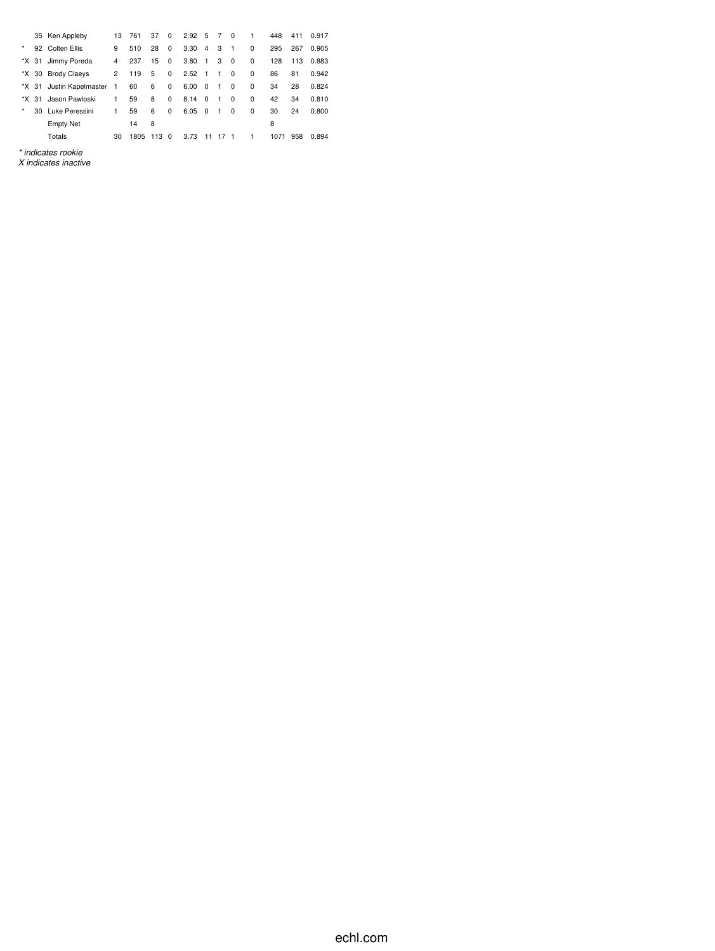|         |    | 35 Ken Appleby           | 13             | 761  | 37   | 0        | $2.92\quad 5$ |                | 7              | $\Omega$       | 1        | 448  | 411 | 0.917 |
|---------|----|--------------------------|----------------|------|------|----------|---------------|----------------|----------------|----------------|----------|------|-----|-------|
| $\star$ |    | 92 Colten Ellis          | 9              | 510  | 28   | $\Omega$ | 3.30          | $\overline{4}$ | 3              | $\overline{1}$ | $\Omega$ | 295  | 267 | 0.905 |
| *X 31   |    | Jimmy Poreda             | 4              | 237  | 15   | 0        | 3.80          | $\overline{1}$ | 3              | 0              | 0        | 128  | 113 | 0.883 |
|         |    | *X 30 Brody Claeys       | 2              | 119  | 5    | 0        | 2.52          | $\overline{1}$ | $\mathbf{1}$   | 0              | 0        | 86   | 81  | 0.942 |
|         |    | *X 31 Justin Kapelmaster | $\overline{1}$ | 60   | 6    | 0        | 6.00          | - 0            | $\overline{1}$ | 0              | 0        | 34   | 28  | 0.824 |
| *X      | 31 | Jason Pawloski           | 1              | 59   | 8    | 0        | 8.14          | $\Omega$       | 1              | $\Omega$       | $\Omega$ | 42   | 34  | 0.810 |
| ×       |    | 30 Luke Peressini        | 1              | 59   | 6    | 0        | 6.05          | $\Omega$       | $\mathbf{1}$   | 0              | 0        | 30   | 24  | 0.800 |
|         |    | <b>Empty Net</b>         |                | 14   | 8    |          |               |                |                |                |          | 8    |     |       |
|         |    | Totals                   | 30             | 1805 | 1130 |          | 3.73          | 11             | 17             | $\overline{1}$ | 1        | 1071 | 958 | 0.894 |
|         |    | $\cdots$<br>. .          |                |      |      |          |               |                |                |                |          |      |     |       |

*\* indicates rookie X indicates inactive*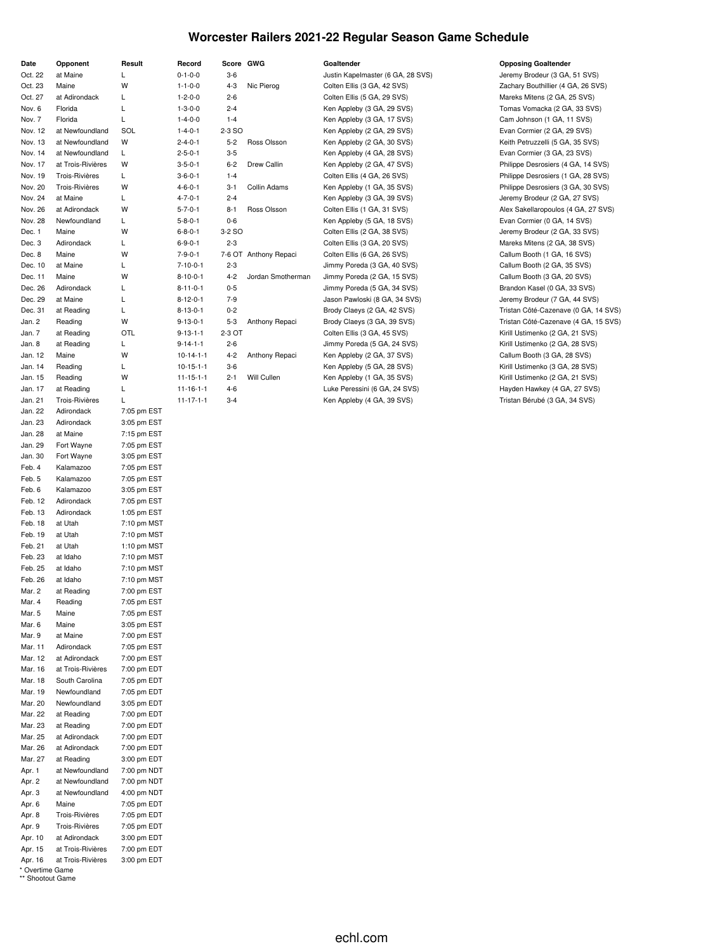#### **Worcester Railers 2021-22 Regular Season Game Schedule**

| Date               | Opponent              | Result      |
|--------------------|-----------------------|-------------|
| Oct. 22            | at Maine              | Г           |
| Oct. 23            | Maine                 | W           |
| Oct. 27            | at Adirondack         | Г           |
| Nov. 6             | Florida               | L           |
| Nov. 7             | Florida               | L           |
|                    | at Newfoundland       | SOL         |
| Nov. 12<br>Nov. 13 | at Newfoundland       | W           |
|                    |                       |             |
| Nov. 14            | at Newfoundland       | L           |
| Nov. 17            | at Trois-Rivières     | W           |
| Nov. 19            | <b>Trois-Rivières</b> | Г           |
| Nov. 20            | Trois-Rivières        | W           |
| Nov. 24            | at Maine              | L.          |
| Nov. 26            | at Adirondack         | W           |
| Nov. 28            | Newfoundland          | Г           |
| Dec. 1             | Maine                 | W           |
| Dec. 3             | Adirondack            | Г           |
| Dec. 8             | Maine                 | W           |
| Dec. 10            | at Maine              | Г           |
| Dec. 11            | Maine                 | W           |
| Dec. 26            | Adirondack            | L           |
| Dec. 29            | at Maine              | L           |
| Dec. 31            | at Reading            | L           |
| Jan. 2             | Reading               | W           |
| Jan. 7             | at Reading            | OTL         |
| Jan. 8             | at Reading            | Г           |
| Jan. 12            | Maine                 | W           |
| Jan. 14            | Reading               | Г           |
| Jan. 15            | Reading               | W           |
| Jan. 17            | at Reading            | Г           |
| Jan. 21            | <b>Trois-Rivières</b> | L           |
| Jan. 22            | Adirondack            | 7:05 pm EST |
| Jan. 23            | Adirondack            | 3:05 pm EST |
| Jan. 28            | at Maine              | 7:15 pm EST |
| Jan. 29            | Fort Wayne            | 7:05 pm EST |
| Jan. 30            | Fort Wayne            | 3:05 pm EST |
| Feb. 4             | Kalamazoo             | 7:05 pm EST |
|                    |                       |             |
| Feb. 5             | Kalamazoo             | 7:05 pm EST |
| Feb. 6             | Kalamazoo             | 3:05 pm EST |
| Feb. 12            | Adirondack            | 7:05 pm EST |
| Feb. 13            | Adirondack            | 1:05 pm EST |
| Feb. 18            | at Utah               | 7:10 pm MST |
| Feb. 19            | at Utah               | 7:10 pm MST |
| Feb. 21            | at Utah               | 1:10 pm MST |
| Feb. 23            | at Idaho              | 7:10 pm MST |
| Feb. 25            | at Idaho              | 7:10 pm MST |
| Feb. 26            | at Idaho              | 7:10 pm MST |
| Mar. 2             | at Reading            | 7:00 pm EST |
| Mar. 4             | Reading               | 7:05 pm EST |
| Mar. 5             | Maine                 | 7:05 pm EST |
| Mar. 6             | Maine                 | 3:05 pm EST |
| Mar. 9             | at Maine              | 7:00 pm EST |
| Mar. 11            | Adirondack            | 7:05 pm EST |
| Mar. 12            | at Adirondack         | 7:00 pm EST |
| Mar. 16            | at Trois-Rivières     | 7:00 pm EDT |
| Mar. 18            | South Carolina        | 7:05 pm EDT |
| Mar. 19            | Newfoundland          | 7:05 pm EDT |
| Mar. 20            | Newfoundland          | 3:05 pm EDT |
| Mar. 22            | at Reading            | 7:00 pm EDT |
| Mar. 23            | at Reading            | 7:00 pm EDT |
| Mar. 25            | at Adirondack         | 7:00 pm EDT |
| Mar. 26            | at Adirondack         | 7:00 pm EDT |
| Mar. 27            | at Reading            | 3:00 pm EDT |
| Apr. 1             | at Newfoundland       | 7:00 pm NDT |
| Apr. 2             | at Newfoundland       | 7:00 pm NDT |
| Apr. 3             | at Newfoundland       | 4:00 pm NDT |
| Apr. 6             | Maine                 | 7:05 pm EDT |
| Apr. 8             | Trois-Rivières        | 7:05 pm EDT |
| Apr. 9             | Trois-Rivières        | 7:05 pm EDT |
| Apr. 10            | at Adirondack         | 3:00 pm EDT |
| Apr. 15            | at Trois-Rivières     | 7:00 pm EDT |
|                    | at Trois-Rivières     |             |
| Apr. 16            |                       | 3:00 pm EDT |

| * Overtime Game  |  |
|------------------|--|
| ** Shootout Game |  |

| Record            | Score GWG |                       | Goaltender                        | <b>Opposing Goaltender</b>           |
|-------------------|-----------|-----------------------|-----------------------------------|--------------------------------------|
| $0 - 1 - 0 - 0$   | $3-6$     |                       | Justin Kapelmaster (6 GA, 28 SVS) | Jeremy Brodeur (3 GA, 51 SVS)        |
| $1 - 1 - 0 - 0$   | $4 - 3$   | Nic Pierog            | Colten Ellis (3 GA, 42 SVS)       | Zachary Bouthillier (4 GA, 26 SVS)   |
| $1 - 2 - 0 - 0$   | $2 - 6$   |                       | Colten Ellis (5 GA, 29 SVS)       | Mareks Mitens (2 GA, 25 SVS)         |
| $1 - 3 - 0 - 0$   | $2 - 4$   |                       | Ken Appleby (3 GA, 29 SVS)        | Tomas Vomacka (2 GA, 33 SVS)         |
| $1 - 4 - 0 - 0$   | $1 - 4$   |                       | Ken Appleby (3 GA, 17 SVS)        | Cam Johnson (1 GA, 11 SVS)           |
| $1 - 4 - 0 - 1$   | 2-3 SO    |                       | Ken Appleby (2 GA, 29 SVS)        | Evan Cormier (2 GA, 29 SVS)          |
| $2 - 4 - 0 - 1$   | $5 - 2$   | Ross Olsson           | Ken Appleby (2 GA, 30 SVS)        | Keith Petruzzelli (5 GA, 35 SVS)     |
| $2 - 5 - 0 - 1$   | $3 - 5$   |                       | Ken Appleby (4 GA, 28 SVS)        | Evan Cormier (3 GA, 23 SVS)          |
| $3 - 5 - 0 - 1$   | $6 - 2$   | Drew Callin           | Ken Appleby (2 GA, 47 SVS)        | Philippe Desrosiers (4 GA, 14 SVS)   |
| $3 - 6 - 0 - 1$   | $1 - 4$   |                       | Colten Ellis (4 GA, 26 SVS)       | Philippe Desrosiers (1 GA, 28 SVS)   |
| $4 - 6 - 0 - 1$   | $3 - 1$   | Collin Adams          | Ken Appleby (1 GA, 35 SVS)        | Philippe Desrosiers (3 GA, 30 SVS)   |
| $4 - 7 - 0 - 1$   | $2 - 4$   |                       | Ken Appleby (3 GA, 39 SVS)        | Jeremy Brodeur (2 GA, 27 SVS)        |
| $5 - 7 - 0 - 1$   | $8 - 1$   | Ross Olsson           | Colten Ellis (1 GA, 31 SVS)       | Alex Sakellaropoulos (4 GA, 27 SVS)  |
| $5 - 8 - 0 - 1$   | $0 - 6$   |                       | Ken Appleby (5 GA, 18 SVS)        | Evan Cormier (0 GA, 14 SVS)          |
| $6 - 8 - 0 - 1$   | 3-2 SO    |                       | Colten Ellis (2 GA, 38 SVS)       | Jeremy Brodeur (2 GA, 33 SVS)        |
| $6 - 9 - 0 - 1$   | $2 - 3$   |                       | Colten Ellis (3 GA, 20 SVS)       | Mareks Mitens (2 GA, 38 SVS)         |
| $7 - 9 - 0 - 1$   |           | 7-6 OT Anthony Repaci | Colten Ellis (6 GA, 26 SVS)       | Callum Booth (1 GA, 16 SVS)          |
| $7 - 10 - 0 - 1$  | $2 - 3$   |                       | Jimmy Poreda (3 GA, 40 SVS)       | Callum Booth (2 GA, 35 SVS)          |
| $8 - 10 - 0 - 1$  | $4 - 2$   | Jordan Smotherman     | Jimmy Poreda (2 GA, 15 SVS)       | Callum Booth (3 GA, 20 SVS)          |
| $8 - 11 - 0 - 1$  | $0 - 5$   |                       | Jimmy Poreda (5 GA, 34 SVS)       | Brandon Kasel (0 GA, 33 SVS)         |
| $8 - 12 - 0 - 1$  | $7-9$     |                       | Jason Pawloski (8 GA, 34 SVS)     | Jeremy Brodeur (7 GA, 44 SVS)        |
| $8 - 13 - 0 - 1$  | $0 - 2$   |                       | Brody Claeys (2 GA, 42 SVS)       | Tristan Côté-Cazenave (0 GA, 14 SVS) |
| $9 - 13 - 0 - 1$  | $5 - 3$   | Anthony Repaci        | Brody Claeys (3 GA, 39 SVS)       | Tristan Côté-Cazenave (4 GA, 15 SVS) |
| $9 - 13 - 1 - 1$  | 2-3 OT    |                       | Colten Ellis (3 GA, 45 SVS)       | Kirill Ustimenko (2 GA, 21 SVS)      |
| $9 - 14 - 1 - 1$  | $2 - 6$   |                       | Jimmy Poreda (5 GA, 24 SVS)       | Kirill Ustimenko (2 GA, 28 SVS)      |
| $10-14-1-1$       | $4 - 2$   | Anthony Repaci        | Ken Appleby (2 GA, 37 SVS)        | Callum Booth (3 GA, 28 SVS)          |
| $10-15-1-1$       | $3-6$     |                       | Ken Appleby (5 GA, 28 SVS)        | Kirill Ustimenko (3 GA, 28 SVS)      |
| $11 - 15 - 1 - 1$ | $2 - 1$   | Will Cullen           | Ken Appleby (1 GA, 35 SVS)        | Kirill Ustimenko (2 GA, 21 SVS)      |
| $11 - 16 - 1 - 1$ | $4 - 6$   |                       | Luke Peressini (6 GA, 24 SVS)     | Hayden Hawkey (4 GA, 27 SVS)         |
| $11 - 17 - 1 - 1$ | $3 - 4$   |                       | Ken Appleby (4 GA, 39 SVS)        | Tristan Bérubé (3 GA, 34 SVS)        |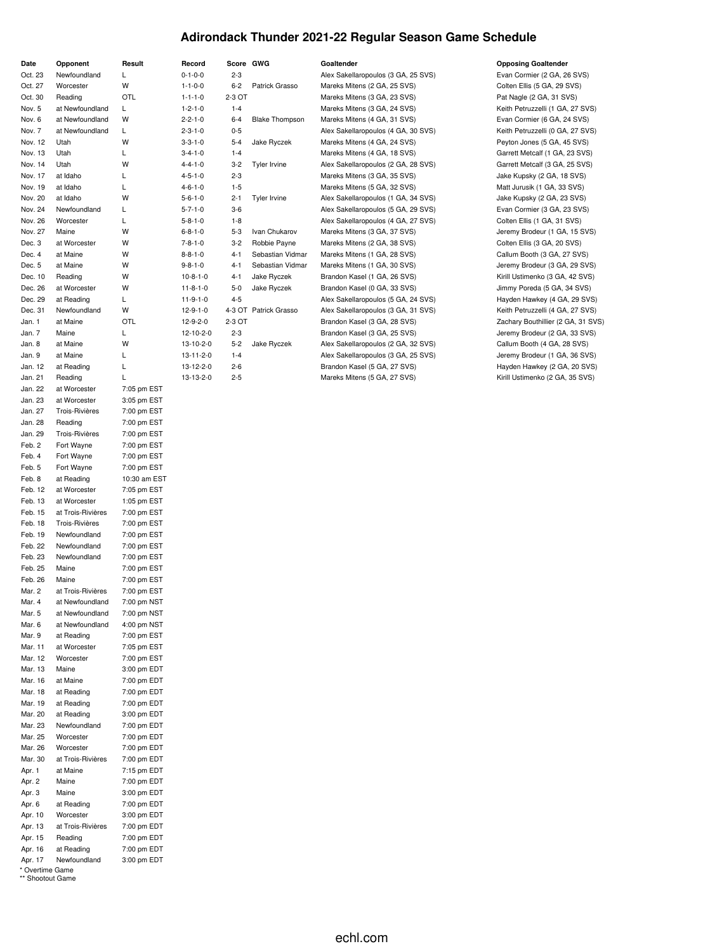#### **Adirondack Thunder 2021-22 Regular Season Game Schedule**

|                    |                                   | Result                     |
|--------------------|-----------------------------------|----------------------------|
| Date<br>Oct. 23    | Opponent<br>Newfoundland          | Г                          |
| Oct. 27            | Worcester                         | W                          |
| Oct. 30            | Reading                           | OTL                        |
| Nov. 5             | at Newfoundland                   | Г                          |
| Nov. 6             | at Newfoundland                   | W                          |
| Nov. 7             | at Newfoundland                   | L                          |
| Nov. 12            | Utah                              | W                          |
| Nov. 13            | Utah                              | L                          |
| Nov. 14            | Utah                              | W                          |
| Nov. 17            | at Idaho                          | Г                          |
| Nov. 19            | at Idaho                          | L                          |
| Nov. 20            | at Idaho                          | W                          |
| Nov. 24            | Newfoundland                      | Г                          |
| Nov. 26            | Worcester                         | Г                          |
| Nov. 27            | Maine                             | W                          |
| Dec. 3             | at Worcester                      | W                          |
| Dec. 4             | at Maine                          | W                          |
| Dec. 5             | at Maine                          | W                          |
| Dec. 10<br>Dec. 26 | Reading                           | W<br>W                     |
| Dec. 29            | at Worcester<br>at Reading        | L                          |
| Dec. 31            | Newfoundland                      | W                          |
| Jan. 1             | at Maine                          | OTL                        |
| Jan. 7             | Maine                             | L                          |
| Jan. 8             | at Maine                          | W                          |
| Jan. 9             | at Maine                          | L                          |
| Jan. 12            | at Reading                        | L                          |
| Jan. 21            | Reading                           | L                          |
| Jan. 22            | at Worcester                      | 7:05 pm EST                |
| Jan. 23            | at Worcester                      | 3:05 pm EST                |
| Jan. 27            | <b>Trois-Rivières</b>             | 7:00 pm EST                |
| Jan. 28            | Reading                           | 7:00 pm EST                |
| Jan. 29            | Trois-Rivières                    | 7:00 pm EST                |
| Feb. 2             | Fort Wayne                        | 7:00 pm EST                |
| Feb. 4             | Fort Wayne                        | 7:00 pm EST                |
| Feb. 5             | Fort Wayne                        | 7:00 pm EST                |
| Feb. 8             | at Reading                        | 10:30 am EST               |
| Feb. 12            | at Worcester                      | 7:05 pm EST                |
| Feb. 13<br>Feb. 15 | at Worcester<br>at Trois-Rivières | 1:05 pm EST<br>7:00 pm EST |
| Feb. 18            | <b>Trois-Rivières</b>             | 7:00 pm EST                |
| Feb. 19            | Newfoundland                      | 7:00 pm EST                |
| Feb. 22            | Newfoundland                      | 7:00 pm EST                |
| Feb. 23            | Newfoundland                      | 7:00 pm EST                |
| Feb. 25            | Maine                             | 7:00 pm EST                |
| Feb. 26            | Maine                             | 7:00 pm EST                |
| Mar. 2             | at Trois-Rivières                 | 7:00 pm EST                |
| Mar. 4             | at Newfoundland                   | 7:00 pm NST                |
| Mar. 5             | at Newfoundland                   | 7:00 pm NST                |
| Mar. 6             | at Newfoundland                   | 4:00 pm NST                |
| Mar. 9             | at Reading                        | 7:00 pm EST                |
| Mar. 11            | at Worcester                      | 7:05 pm EST                |
| Mar. 12<br>Mar. 13 | Worcester<br>Maine                | 7:00 pm EST                |
| Mar. 16            | at Maine                          | 3:00 pm EDT<br>7:00 pm EDT |
| Mar. 18            | at Reading                        | 7:00 pm EDT                |
| Mar. 19            | at Reading                        | 7:00 pm EDT                |
| Mar. 20            | at Reading                        | 3:00 pm EDT                |
| Mar. 23            | Newfoundland                      | 7:00 pm EDT                |
| Mar. 25            | Worcester                         | 7:00 pm EDT                |
| Mar. 26            | Worcester                         | 7:00 pm EDT                |
| Mar. 30            | at Trois-Rivières                 | 7:00 pm EDT                |
| Apr. 1             | at Maine                          | 7:15 pm EDT                |
| Apr. 2             | Maine                             | 7:00 pm EDT                |
| Apr. 3             | Maine                             | 3:00 pm EDT                |
| Apr. 6             | at Reading                        | 7:00 pm EDT                |
| Apr. 10            | Worcester                         | 3:00 pm EDT                |
| Apr. 13            | at Trois-Rivières                 | 7:00 pm EDT                |
| Apr. 15            | Reading                           | 7:00 pm EDT                |
| Apr. 16            | at Reading                        | 7:00 pm EDT                |
| Apr. 17            | Newfoundland                      | 3:00 pm EDT                |

| * Overtime Game  |  |
|------------------|--|
| ** Shootout Game |  |

| $0 - 1 - 0 - 0$   | $2 - 3$ |                       | Alex Sakellaropoulos (3 GA, 25 SVS) | Evan Cormier (2 GA, 26 SVS)        |
|-------------------|---------|-----------------------|-------------------------------------|------------------------------------|
| $1 - 1 - 0 - 0$   | $6 - 2$ | Patrick Grasso        | Mareks Mitens (2 GA, 25 SVS)        | Colten Ellis (5 GA, 29 SVS)        |
| $1 - 1 - 1 - 0$   | 2-3 OT  |                       | Mareks Mitens (3 GA, 23 SVS)        | Pat Nagle (2 GA, 31 SVS)           |
| $1 - 2 - 1 - 0$   | $1 - 4$ |                       | Mareks Mitens (3 GA, 24 SVS)        | Keith Petruzzelli (1 GA, 27 SVS)   |
| $2 - 2 - 1 - 0$   | $6 - 4$ | <b>Blake Thompson</b> | Mareks Mitens (4 GA, 31 SVS)        | Evan Cormier (6 GA, 24 SVS)        |
| $2 - 3 - 1 - 0$   | $0 - 5$ |                       | Alex Sakellaropoulos (4 GA, 30 SVS) | Keith Petruzzelli (0 GA, 27 SVS)   |
| $3 - 3 - 1 - 0$   | $5 - 4$ | Jake Ryczek           | Mareks Mitens (4 GA, 24 SVS)        | Peyton Jones (5 GA, 45 SVS)        |
| $3 - 4 - 1 - 0$   | $1 - 4$ |                       | Mareks Mitens (4 GA, 18 SVS)        | Garrett Metcalf (1 GA, 23 SVS)     |
| $4 - 4 - 1 - 0$   | $3 - 2$ | Tyler Irvine          | Alex Sakellaropoulos (2 GA, 28 SVS) | Garrett Metcalf (3 GA, 25 SVS)     |
| $4 - 5 - 1 - 0$   | $2 - 3$ |                       | Mareks Mitens (3 GA, 35 SVS)        | Jake Kupsky (2 GA, 18 SVS)         |
| $4 - 6 - 1 - 0$   | $1 - 5$ |                       | Mareks Mitens (5 GA, 32 SVS)        | Matt Jurusik (1 GA, 33 SVS)        |
| $5 - 6 - 1 - 0$   | $2 - 1$ | Tyler Irvine          | Alex Sakellaropoulos (1 GA, 34 SVS) | Jake Kupsky (2 GA, 23 SVS)         |
| $5 - 7 - 1 - 0$   | $3-6$   |                       | Alex Sakellaropoulos (5 GA, 29 SVS) | Evan Cormier (3 GA, 23 SVS)        |
| $5 - 8 - 1 - 0$   | $1 - 8$ |                       | Alex Sakellaropoulos (4 GA, 27 SVS) | Colten Ellis (1 GA, 31 SVS)        |
| $6 - 8 - 1 - 0$   | $5 - 3$ | Ivan Chukarov         | Mareks Mitens (3 GA, 37 SVS)        | Jeremy Brodeur (1 GA, 15 SVS)      |
| $7 - 8 - 1 - 0$   | $3 - 2$ | Robbie Payne          | Mareks Mitens (2 GA, 38 SVS)        | Colten Ellis (3 GA, 20 SVS)        |
| $8 - 8 - 1 - 0$   | $4 - 1$ | Sebastian Vidmar      | Mareks Mitens (1 GA, 28 SVS)        | Callum Booth (3 GA, 27 SVS)        |
| $9 - 8 - 1 - 0$   | $4 - 1$ | Sebastian Vidmar      | Mareks Mitens (1 GA, 30 SVS)        | Jeremy Brodeur (3 GA, 29 SVS)      |
| $10 - 8 - 1 - 0$  | $4 - 1$ | Jake Ryczek           | Brandon Kasel (1 GA, 26 SVS)        | Kirill Ustimenko (3 GA, 42 SVS)    |
| $11 - 8 - 1 - 0$  | $5-0$   | Jake Ryczek           | Brandon Kasel (0 GA, 33 SVS)        | Jimmy Poreda (5 GA, 34 SVS)        |
| $11-9-1-0$        | $4 - 5$ |                       | Alex Sakellaropoulos (5 GA, 24 SVS) | Hayden Hawkey (4 GA, 29 SVS)       |
| $12 - 9 - 1 - 0$  |         | 4-3 OT Patrick Grasso | Alex Sakellaropoulos (3 GA, 31 SVS) | Keith Petruzzelli (4 GA, 27 SVS)   |
| $12 - 9 - 2 - 0$  | 2-3 OT  |                       | Brandon Kasel (3 GA, 28 SVS)        | Zachary Bouthillier (2 GA, 31 SVS) |
| 12-10-2-0         | $2 - 3$ |                       | Brandon Kasel (3 GA, 25 SVS)        | Jeremy Brodeur (2 GA, 33 SVS)      |
| 13-10-2-0         | $5 - 2$ | Jake Ryczek           | Alex Sakellaropoulos (2 GA, 32 SVS) | Callum Booth (4 GA, 28 SVS)        |
| $13 - 11 - 2 - 0$ | $1 - 4$ |                       | Alex Sakellaropoulos (3 GA, 25 SVS) | Jeremy Brodeur (1 GA, 36 SVS)      |
| 13-12-2-0         | $2 - 6$ |                       | Brandon Kasel (5 GA, 27 SVS)        | Hayden Hawkey (2 GA, 20 SVS)       |
| 13-13-2-0         | $2 - 5$ |                       | Mareks Mitens (5 GA, 27 SVS)        | Kirill Ustimenko (2 GA, 35 SVS)    |

**Decord Score GWG Goaltender Goaltender COMPONER CONSISTENT CONSISTENT CONSISTENT CONSISTENT** 0-1-0-0 2-3 Alex Sakellaropoulos (3 GA, 25 SVS) Evan Cormier (2 GA, 26 SVS)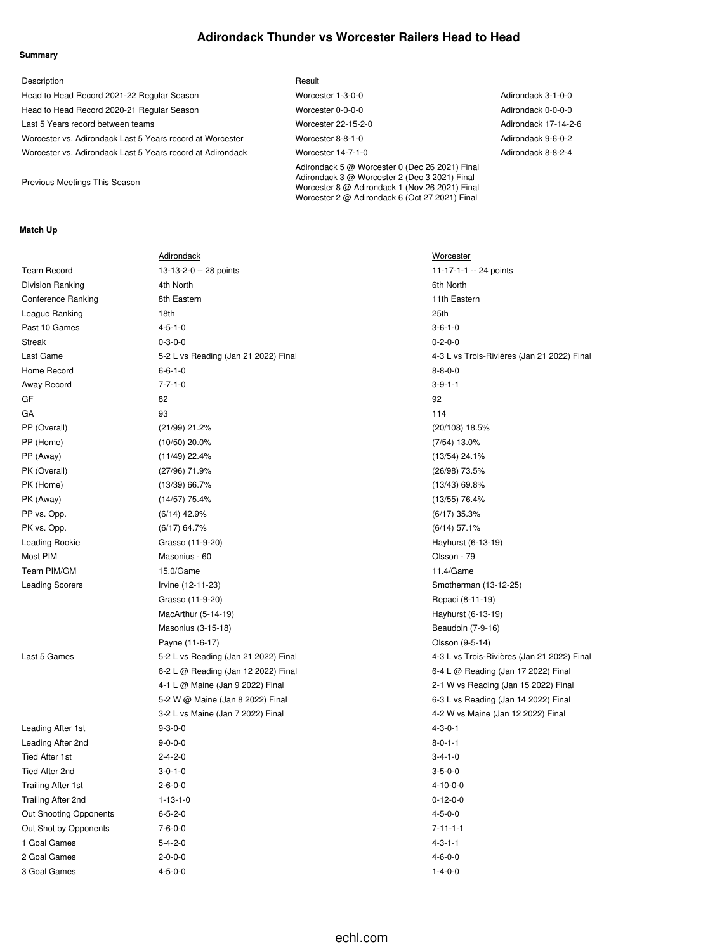### **Adirondack Thunder vs Worcester Railers Head to Head**

Worcester 2 @ Adirondack 6 (Oct 27 2021) Final

#### **Summary**

| Description                                                | Result                                                                                                                                            |                      |
|------------------------------------------------------------|---------------------------------------------------------------------------------------------------------------------------------------------------|----------------------|
| Head to Head Record 2021-22 Regular Season                 | Worcester 1-3-0-0                                                                                                                                 | Adirondack 3-1-0-0   |
| Head to Head Record 2020-21 Regular Season                 | Worcester 0-0-0-0                                                                                                                                 | Adirondack 0-0-0-0   |
| Last 5 Years record between teams                          | Worcester 22-15-2-0                                                                                                                               | Adirondack 17-14-2-6 |
| Worcester vs. Adirondack Last 5 Years record at Worcester  | Worcester 8-8-1-0                                                                                                                                 | Adirondack 9-6-0-2   |
| Worcester vs. Adirondack Last 5 Years record at Adirondack | Worcester 14-7-1-0                                                                                                                                | Adirondack 8-8-2-4   |
| Previous Meetings This Season                              | Adirondack 5 @ Worcester 0 (Dec 26 2021) Final<br>Adirondack 3 @ Worcester 2 (Dec 3 2021) Final<br>Worcester 8 @ Adirondack 1 (Nov 26 2021) Final |                      |

#### **Match Up**

|                           | <b>Adirondack</b>                    | Worcester                                   |
|---------------------------|--------------------------------------|---------------------------------------------|
| <b>Team Record</b>        | 13-13-2-0 -- 28 points               | 11-17-1-1 -- 24 points                      |
| Division Ranking          | 4th North                            | 6th North                                   |
| <b>Conference Ranking</b> | 8th Eastern                          | 11th Eastern                                |
| League Ranking            | 18th                                 | 25th                                        |
| Past 10 Games             | $4 - 5 - 1 - 0$                      | $3 - 6 - 1 - 0$                             |
| <b>Streak</b>             | $0 - 3 - 0 - 0$                      | $0 - 2 - 0 - 0$                             |
| Last Game                 | 5-2 L vs Reading (Jan 21 2022) Final | 4-3 L vs Trois-Rivières (Jan 21 2022) Final |
| Home Record               | $6 - 6 - 1 - 0$                      | $8 - 8 - 0 - 0$                             |
| Away Record               | $7 - 7 - 1 - 0$                      | $3 - 9 - 1 - 1$                             |
| GF                        | 82                                   | 92                                          |
| GА                        | 93                                   | 114                                         |
| PP (Overall)              | (21/99) 21.2%                        | (20/108) 18.5%                              |
| PP (Home)                 | $(10/50)$ 20.0%                      | $(7/54)$ 13.0%                              |
| PP (Away)                 | $(11/49)$ 22.4%                      | $(13/54)$ 24.1%                             |
| PK (Overall)              | (27/96) 71.9%                        | (26/98) 73.5%                               |
| PK (Home)                 | $(13/39)$ 66.7%                      | $(13/43)$ 69.8%                             |
| PK (Away)                 | (14/57) 75.4%                        | $(13/55)$ 76.4%                             |
| PP vs. Opp.               | $(6/14)$ 42.9%                       | $(6/17)$ 35.3%                              |
| PK vs. Opp.               | $(6/17)$ 64.7%                       | $(6/14)$ 57.1%                              |
| <b>Leading Rookie</b>     | Grasso (11-9-20)                     | Hayhurst (6-13-19)                          |
| Most PIM                  | Masonius - 60                        | Olsson - 79                                 |
| Team PIM/GM               | 15.0/Game                            | 11.4/Game                                   |
| <b>Leading Scorers</b>    | Irvine (12-11-23)                    | Smotherman (13-12-25)                       |
|                           | Grasso (11-9-20)                     | Repaci (8-11-19)                            |
|                           | MacArthur (5-14-19)                  | Hayhurst (6-13-19)                          |
|                           | Masonius (3-15-18)                   | Beaudoin (7-9-16)                           |
|                           | Payne (11-6-17)                      | Olsson (9-5-14)                             |
| Last 5 Games              | 5-2 L vs Reading (Jan 21 2022) Final | 4-3 L vs Trois-Rivières (Jan 21 2022) Final |
|                           | 6-2 L @ Reading (Jan 12 2022) Final  | 6-4 L @ Reading (Jan 17 2022) Final         |
|                           | 4-1 L @ Maine (Jan 9 2022) Final     | 2-1 W vs Reading (Jan 15 2022) Final        |
|                           | 5-2 W @ Maine (Jan 8 2022) Final     | 6-3 L vs Reading (Jan 14 2022) Final        |
|                           | 3-2 L vs Maine (Jan 7 2022) Final    | 4-2 W vs Maine (Jan 12 2022) Final          |
| Leading After 1st         | $9 - 3 - 0 - 0$                      | $4 - 3 - 0 - 1$                             |
| Leading After 2nd         | $9 - 0 - 0 - 0$                      | $8 - 0 - 1 - 1$                             |
| <b>Tied After 1st</b>     | $2 - 4 - 2 - 0$                      | $3 - 4 - 1 - 0$                             |
| Tied After 2nd            | $3 - 0 - 1 - 0$                      | $3 - 5 - 0 - 0$                             |
| <b>Trailing After 1st</b> | $2 - 6 - 0 - 0$                      | $4 - 10 - 0 - 0$                            |
| Trailing After 2nd        | $1 - 13 - 1 - 0$                     | $0 - 12 - 0 - 0$                            |
| Out Shooting Opponents    | $6 - 5 - 2 - 0$                      | $4 - 5 - 0 - 0$                             |
| Out Shot by Opponents     | $7 - 6 - 0 - 0$                      | $7 - 11 - 1 - 1$                            |
| 1 Goal Games              | $5 - 4 - 2 - 0$                      | $4 - 3 - 1 - 1$                             |
| 2 Goal Games              | $2 - 0 - 0 - 0$                      | $4 - 6 - 0 - 0$                             |
| 3 Goal Games              | $4 - 5 - 0 - 0$                      | $1 - 4 - 0 - 0$                             |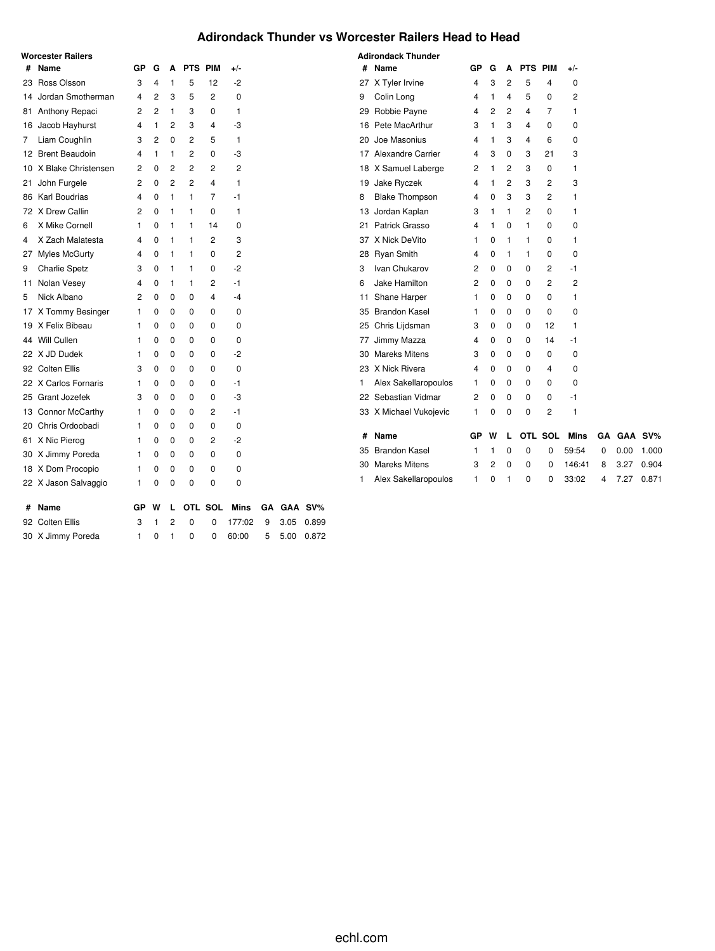#### **Adirondack Thunder vs Worcester Railers Head to Head**

|   | Worcester Railers      |    |                |                |            |            |        |           |      |         |    | <b>Adirondack Thunder</b> |    |                |                         |                |         |                |    |      |         |
|---|------------------------|----|----------------|----------------|------------|------------|--------|-----------|------|---------|----|---------------------------|----|----------------|-------------------------|----------------|---------|----------------|----|------|---------|
| # | Name                   | GР | G              | A              | <b>PTS</b> | <b>PIM</b> | $+/-$  |           |      |         |    | # Name                    | GР | G              | A                       | <b>PTS PIM</b> |         | $+/-$          |    |      |         |
|   | 23 Ross Olsson         | 3  | 4              | 1              | 5          | 12         | -2     |           |      |         |    | 27 X Tyler Irvine         | 4  | 3              | 2                       | 5              | 4       | 0              |    |      |         |
|   | 14 Jordan Smotherman   | 4  | $\overline{c}$ | 3              | 5          | 2          | 0      |           |      |         | 9  | Colin Long                | 4  | 1              | 4                       | 5              | 0       | $\overline{c}$ |    |      |         |
|   | 81 Anthony Repaci      | 2  | $\overline{c}$ | 1              | 3          | 0          | 1      |           |      |         |    | 29 Robbie Payne           | 4  | $\overline{c}$ | $\overline{\mathbf{c}}$ | 4              | 7       | 1              |    |      |         |
|   | 16 Jacob Hayhurst      | 4  | 1              | 2              | 3          | 4          | -3     |           |      |         |    | 16 Pete MacArthur         | 3  | 1              | 3                       | 4              | 0       | 0              |    |      |         |
| 7 | Liam Coughlin          | 3  | 2              | 0              | 2          | 5          | 1      |           |      |         | 20 | Joe Masonius              | 4  | 1              | 3                       | 4              | 6       | 0              |    |      |         |
|   | 12 Brent Beaudoin      | 4  | 1              | 1              | 2          | 0          | -3     |           |      |         |    | 17 Alexandre Carrier      | 4  | 3              | 0                       | 3              | 21      | 3              |    |      |         |
|   | 10 X Blake Christensen | 2  | 0              | 2              | 2          | 2          | 2      |           |      |         |    | 18 X Samuel Laberge       | 2  | 1              | 2                       | 3              | 0       | 1              |    |      |         |
|   | 21 John Furgele        | 2  | 0              | $\overline{c}$ | 2          | 4          | 1      |           |      |         |    | 19 Jake Ryczek            | 4  | 1              | $\overline{c}$          | 3              | 2       | 3              |    |      |         |
|   | 86 Karl Boudrias       | 4  | 0              | -1             | -1         | 7          | -1     |           |      |         | 8  | <b>Blake Thompson</b>     | 4  | 0              | 3                       | 3              | 2       | 1              |    |      |         |
|   | 72 X Drew Callin       | 2  | 0              | 1              | 1          | 0          | 1      |           |      |         |    | 13 Jordan Kaplan          | 3  | 1              | 1                       | 2              | 0       | 1              |    |      |         |
|   | 6 X Mike Cornell       |    | 0              | 1              | 1          | 14         | 0      |           |      |         | 21 | Patrick Grasso            | 4  | $\mathbf{1}$   | 0                       | 1              | 0       | 0              |    |      |         |
| 4 | X Zach Malatesta       | 4  | 0              | 1              | 1          | 2          | 3      |           |      |         |    | 37 X Nick DeVito          | 1  | 0              | 1                       | 1              | 0       | 1              |    |      |         |
|   | 27 Myles McGurty       | 4  | 0              | 1              | 1          | 0          | 2      |           |      |         |    | 28 Ryan Smith             | 4  | 0              | 1                       | 1              | 0       | 0              |    |      |         |
| 9 | Charlie Spetz          | 3  | 0              | 1              | 1          | 0          | -2     |           |      |         | 3  | Ivan Chukarov             | 2  | 0              | 0                       | $\mathbf 0$    | 2       | -1             |    |      |         |
|   | 11 Nolan Vesey         | 4  | 0              | 1              | 1          | 2          | -1     |           |      |         | 6  | Jake Hamilton             | 2  | 0              | 0                       | $\mathbf 0$    | 2       | 2              |    |      |         |
| 5 | Nick Albano            | 2  | 0              | $\mathbf 0$    | 0          | 4          | -4     |           |      |         |    | 11 Shane Harper           | 1. | 0              | 0                       | $\mathbf 0$    | 0       | 1              |    |      |         |
|   | 17 X Tommy Besinger    | -1 | 0              | 0              | 0          | 0          | 0      |           |      |         |    | 35 Brandon Kasel          | 1. | 0              | 0                       | 0              | 0       | 0              |    |      |         |
|   | 19 X Felix Bibeau      | 1  | 0              | 0              | 0          | 0          | 0      |           |      |         |    | 25 Chris Lijdsman         | 3  | 0              | 0                       | 0              | 12      | 1              |    |      |         |
|   | 44 Will Cullen         | 1  | 0              | $\mathbf 0$    | 0          | 0          | 0      |           |      |         |    | 77 Jimmy Mazza            | 4  | 0              | 0                       | $\mathbf 0$    | 14      | -1             |    |      |         |
|   | 22 X JD Dudek          | -1 | 0              | 0              | 0          | 0          | -2     |           |      |         |    | 30 Mareks Mitens          | 3  | 0              | 0                       | 0              | 0       | 0              |    |      |         |
|   | 92 Colten Ellis        | 3  | 0              | 0              | 0          | 0          | 0      |           |      |         |    | 23 X Nick Rivera          | 4  | 0              | 0                       | 0              | 4       | 0              |    |      |         |
|   | 22 X Carlos Fornaris   | 1  | 0              | 0              | 0          | 0          | -1     |           |      |         | ı  | Alex Sakellaropoulos      | 1  | 0              | 0                       | $\mathbf 0$    | 0       | 0              |    |      |         |
|   | 25 Grant Jozefek       | 3  | 0              | 0              | 0          | 0          | -3     |           |      |         |    | 22 Sebastian Vidmar       | 2  | 0              | 0                       | 0              | 0       | -1             |    |      |         |
|   | 13 Connor McCarthy     | 1  | 0              | 0              | 0          | 2          | -1     |           |      |         |    | 33 X Michael Vukojevic    | 1  | 0              | 0                       | $\mathbf 0$    | 2       | $\mathbf{1}$   |    |      |         |
|   | 20 Chris Ordoobadi     | -1 | 0              | 0              | 0          | 0          | 0      |           |      |         |    |                           |    |                |                         |                |         |                |    |      |         |
|   | 61 X Nic Pierog        | -1 | 0              | 0              | 0          | 2          | -2     |           |      |         | #  | Name                      | GР | w              | L                       |                | OTL SOL | Mins           | GA |      | GAA SV% |
|   | 30 X Jimmy Poreda      | 1  | 0              | 0              | 0          | 0          | 0      |           |      |         |    | 35 Brandon Kasel          | 1  | 1              | 0                       | 0              | 0       | 59:54          | 0  | 0.00 | 1.000   |
|   | 18 X Dom Procopio      | -1 | 0              | 0              | 0          | 0          | 0      |           |      |         |    | 30 Mareks Mitens          | 3  | 2              | 0                       | $\Omega$       | 0       | 146:41         | 8  | 3.27 | 0.904   |
|   | 22 X Jason Salvaggio   | 1  | 0              | 0              | 0          | 0          | 0      |           |      |         | 1  | Alex Sakellaropoulos      | 1  | 0              | 1                       | 0              | 0       | 33:02          | 4  | 7.27 | 0.871   |
|   | # Name                 | GР | w              |                |            | OTL SOL    | Mins   | <b>GA</b> |      | GAA SV% |    |                           |    |                |                         |                |         |                |    |      |         |
|   | 92 Colten Ellis        | 3  |                | 2              | 0          | 0          | 177:02 | 9         | 3.05 | 0.899   |    |                           |    |                |                         |                |         |                |    |      |         |
|   | 30 X Jimmy Poreda      | 1  | $\Omega$       | 1              | 0          | 0          | 60:00  | 5         | 5.00 | 0.872   |    |                           |    |                |                         |                |         |                |    |      |         |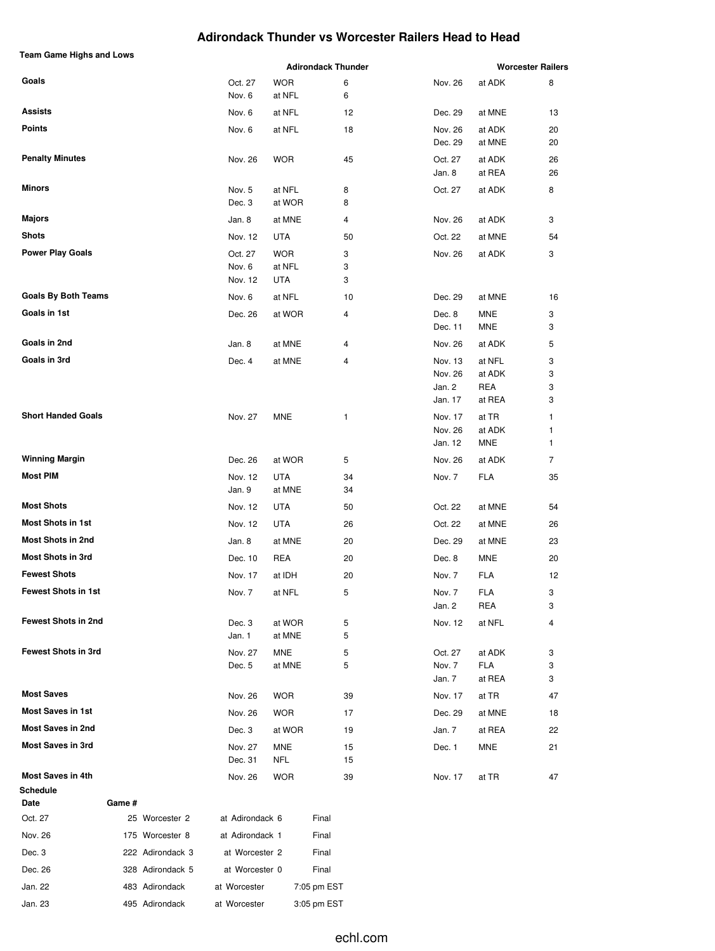#### **Adirondack Thunder vs Worcester Railers Head to Head**

| Team Game Highs and Lows             |        |                  |                   | <b>Adirondack Thunder</b> |             | <b>Worcester Railers</b> |                   |          |  |
|--------------------------------------|--------|------------------|-------------------|---------------------------|-------------|--------------------------|-------------------|----------|--|
| Goals                                |        |                  | Oct. 27           | <b>WOR</b>                | 6           | Nov. 26                  | at ADK            | 8        |  |
|                                      |        |                  | Nov. 6            | at NFL                    | 6           |                          |                   |          |  |
| Assists                              |        |                  | Nov. 6            | at NFL                    | 12          | Dec. 29                  | at MNE            | 13       |  |
| <b>Points</b>                        |        |                  | Nov. 6            | at NFL                    | 18          | Nov. 26<br>Dec. 29       | at ADK<br>at MNE  | 20<br>20 |  |
| <b>Penalty Minutes</b>               |        |                  | Nov. 26           | <b>WOR</b>                | 45          | Oct. 27<br>Jan. 8        | at ADK<br>at REA  | 26<br>26 |  |
| <b>Minors</b>                        |        |                  | Nov. 5            | at NFL                    | 8           | Oct. 27                  | at ADK            | 8        |  |
|                                      |        |                  | Dec. 3            | at WOR                    | 8           |                          |                   |          |  |
| Majors                               |        |                  | Jan. 8            | at MNE                    | 4           | Nov. 26                  | at ADK            | 3        |  |
| Shots                                |        |                  | Nov. 12           | UTA                       | 50          | Oct. 22                  | at MNE            | 54       |  |
| <b>Power Play Goals</b>              |        |                  | Oct. 27           | <b>WOR</b>                | 3           | Nov. 26                  | at ADK            | 3        |  |
|                                      |        |                  | Nov. 6            | at NFL                    | 3           |                          |                   |          |  |
|                                      |        |                  | Nov. 12           | UTA                       | 3           |                          |                   |          |  |
| <b>Goals By Both Teams</b>           |        |                  | Nov. 6            | at NFL                    | 10          | Dec. 29                  | at MNE            | 16       |  |
| Goals in 1st                         |        |                  | Dec. 26           | at WOR                    | 4           | Dec. 8<br>Dec. 11        | MNE<br>MNE        | 3<br>3   |  |
| Goals in 2nd                         |        |                  |                   |                           |             |                          |                   |          |  |
| Goals in 3rd                         |        |                  | Jan. 8            | at MNE                    | 4           | Nov. 26                  | at ADK            | 5        |  |
|                                      |        |                  | Dec. 4            | at MNE                    | 4           | Nov. 13<br>Nov. 26       | at NFL<br>at ADK  | 3<br>3   |  |
|                                      |        |                  |                   |                           |             | Jan. 2                   | REA               | 3        |  |
|                                      |        |                  |                   |                           |             | Jan. 17                  | at REA            | 3        |  |
| <b>Short Handed Goals</b>            |        |                  | Nov. 27           | MNE                       | 1           | Nov. 17                  | at TR             | 1        |  |
|                                      |        |                  |                   |                           |             | Nov. 26                  | at ADK            | 1        |  |
|                                      |        |                  |                   |                           |             | Jan. 12                  | MNE               | 1        |  |
| <b>Winning Margin</b>                |        |                  | Dec. 26           | at WOR                    | 5           | Nov. 26                  | at ADK            | 7        |  |
| Most PIM                             |        |                  | Nov. 12<br>Jan. 9 | UTA<br>at MNE             | 34<br>34    | Nov. 7                   | FLA               | 35       |  |
| <b>Most Shots</b>                    |        |                  | Nov. 12           | UTA                       | 50          | Oct. 22                  | at MNE            | 54       |  |
| <b>Most Shots in 1st</b>             |        |                  | Nov. 12           | UTA                       | 26          | Oct. 22                  | at MNE            | 26       |  |
| <b>Most Shots in 2nd</b>             |        |                  | Jan. 8            | at MNE                    | 20          | Dec. 29                  | at MNE            | 23       |  |
| <b>Most Shots in 3rd</b>             |        |                  | Dec. 10           | REA                       | 20          | Dec. 8                   | MNE               | 20       |  |
| <b>Fewest Shots</b>                  |        |                  | Nov. 17           | at IDH                    | 20          | Nov. 7                   | FLA               | 12       |  |
| <b>Fewest Shots in 1st</b>           |        |                  |                   |                           |             |                          |                   |          |  |
|                                      |        |                  | Nov. 7            | at NFL                    | 5           | Nov. 7<br>Jan. 2         | <b>FLA</b><br>REA | 3<br>3   |  |
| <b>Fewest Shots in 2nd</b>           |        |                  | Dec. 3            | at WOR                    | 5           | Nov. 12                  | at NFL            | 4        |  |
|                                      |        |                  | Jan. 1            | at MNE                    | 5           |                          |                   |          |  |
| <b>Fewest Shots in 3rd</b>           |        |                  | Nov. 27           | <b>MNE</b>                | 5           | Oct. 27                  | at ADK            | 3        |  |
|                                      |        |                  | Dec. 5            | at MNE                    | 5           | Nov. 7                   | FLA               | 3        |  |
|                                      |        |                  |                   |                           |             | Jan. 7                   | at REA            | 3        |  |
| <b>Most Saves</b>                    |        |                  | Nov. 26           | <b>WOR</b>                | 39          | Nov. 17                  | at TR             | 47       |  |
| <b>Most Saves in 1st</b>             |        |                  | Nov. 26           | <b>WOR</b>                | 17          | Dec. 29                  | at MNE            | 18       |  |
| <b>Most Saves in 2nd</b>             |        |                  | Dec. 3            | at WOR                    | 19          | Jan. 7                   | at REA            | 22       |  |
| <b>Most Saves in 3rd</b>             |        |                  | Nov. 27           | <b>MNE</b>                | 15          | Dec. 1                   | MNE               | 21       |  |
|                                      |        |                  | Dec. 31           | NFL                       | 15          |                          |                   |          |  |
| <b>Most Saves in 4th</b><br>Schedule |        |                  | Nov. 26           | <b>WOR</b>                | 39          | Nov. 17                  | at TR             | 47       |  |
| Date                                 | Game # |                  |                   |                           |             |                          |                   |          |  |
| Oct. 27                              |        | 25 Worcester 2   | at Adirondack 6   |                           | Final       |                          |                   |          |  |
| Nov. 26                              |        | 175 Worcester 8  | at Adirondack 1   |                           | Final       |                          |                   |          |  |
| Dec. 3                               |        | 222 Adirondack 3 | at Worcester 2    |                           | Final       |                          |                   |          |  |
| Dec. 26                              |        | 328 Adirondack 5 | at Worcester 0    |                           | Final       |                          |                   |          |  |
| Jan. 22                              |        | 483 Adirondack   | at Worcester      |                           | 7:05 pm EST |                          |                   |          |  |
| Jan. 23                              |        | 495 Adirondack   | at Worcester      |                           | 3:05 pm EST |                          |                   |          |  |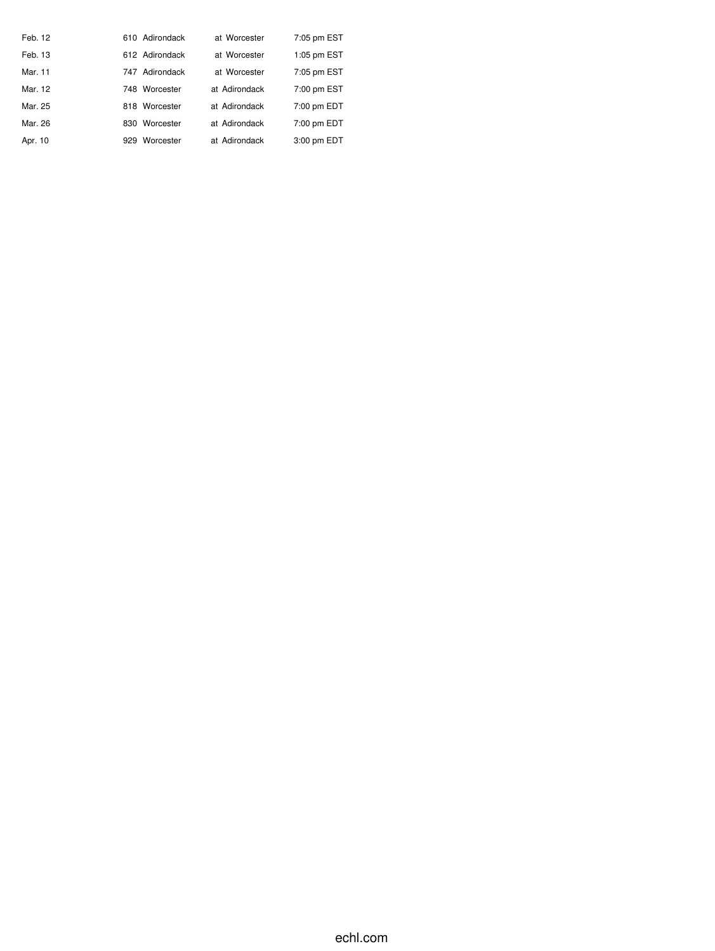| Feb. 12 |     | 610 Adirondack | at Worcester  | 7:05 pm EST |
|---------|-----|----------------|---------------|-------------|
| Feb. 13 |     | 612 Adirondack | at Worcester  | 1:05 pm EST |
| Mar. 11 |     | 747 Adirondack | at Worcester  | 7:05 pm EST |
| Mar. 12 |     | 748 Worcester  | at Adirondack | 7:00 pm EST |
| Mar. 25 |     | 818 Worcester  | at Adirondack | 7:00 pm EDT |
| Mar. 26 | 830 | Worcester      | at Adirondack | 7:00 pm EDT |
| Apr. 10 | 929 | Worcester      | at Adirondack | 3:00 pm EDT |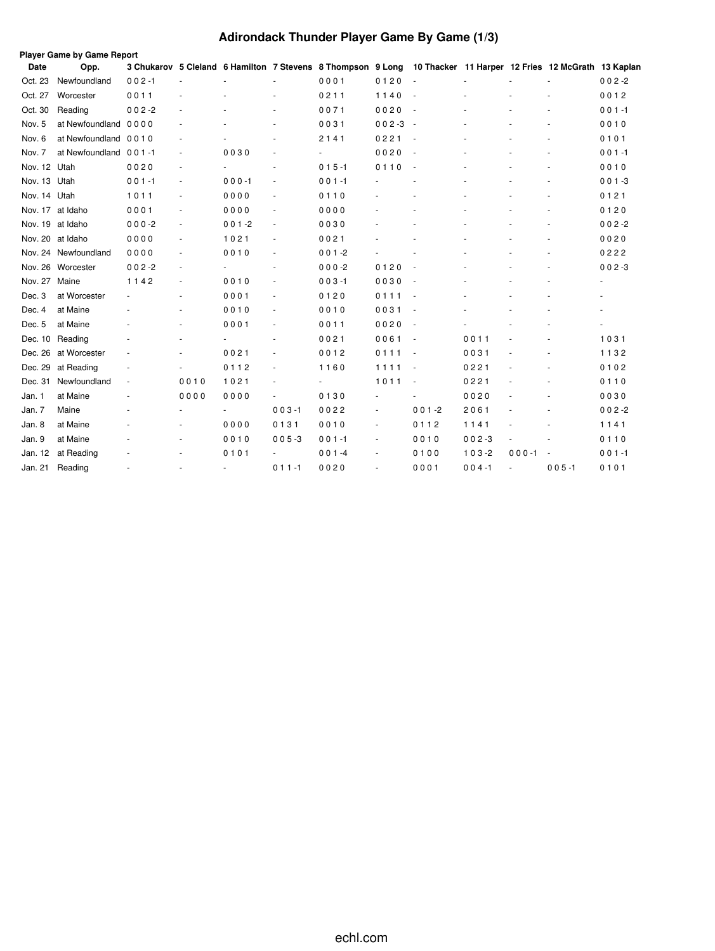# **Adirondack Thunder Player Game By Game (1/3)**

|                  | Player Game by Game Report |           |        |           |                          |                                                             |           |                                                    |           |           |           |           |  |
|------------------|----------------------------|-----------|--------|-----------|--------------------------|-------------------------------------------------------------|-----------|----------------------------------------------------|-----------|-----------|-----------|-----------|--|
| Date             | Opp.                       |           |        |           |                          | 3 Chukarov 5 Cleland 6 Hamilton 7 Stevens 8 Thompson 9 Long |           | 10 Thacker 11 Harper 12 Fries 12 McGrath 13 Kaplan |           |           |           |           |  |
| Oct. 23          | Newfoundland               | $002 - 1$ |        |           |                          | 0001                                                        | 0120      |                                                    |           |           |           | $002 - 2$ |  |
| Oct. 27          | Worcester                  | 0011      |        |           |                          | 0211                                                        | 1140      | $\sim$                                             |           |           |           | 0012      |  |
| Oct. 30          | Reading                    | $002 - 2$ |        |           |                          | 0071                                                        | 0020      | $\overline{\phantom{a}}$                           |           |           |           | $001 - 1$ |  |
| Nov. 5           | at Newfoundland            | 0000      |        |           |                          | 0031                                                        | $002 - 3$ | $\sim$                                             |           |           |           | 0010      |  |
| Nov. 6           | at Newfoundland 0010       |           |        |           |                          | 2141                                                        | 0221      | $\overline{\phantom{a}}$                           |           |           |           | 0101      |  |
| Nov. 7           | at Newfoundland 001-1      |           | $\sim$ | 0030      |                          |                                                             | 0020      | $\sim$                                             |           |           |           | $001 - 1$ |  |
| Nov. 12 Utah     |                            | 0020      |        |           | $\sim$                   | $015 - 1$                                                   | 0110      | $\overline{\phantom{a}}$                           |           |           |           | 0010      |  |
| Nov. 13          | Utah                       | $001 - 1$ | $\sim$ | $000 - 1$ | $\sim$                   | $001 - 1$                                                   |           |                                                    |           |           |           | $001 - 3$ |  |
| Nov. 14 Utah     |                            | 1011      |        | 0000      |                          | 0110                                                        |           |                                                    |           |           |           | 0121      |  |
| Nov. 17          | at Idaho                   | 0001      |        | 0000      |                          | 0000                                                        |           |                                                    |           |           |           | 0120      |  |
| Nov. 19 at Idaho |                            | $000-2$   |        | $001 - 2$ | $\overline{\phantom{a}}$ | 0030                                                        |           |                                                    |           |           |           | $002 - 2$ |  |
| Nov. 20 at Idaho |                            | 0000      |        | 1021      |                          | 0021                                                        |           |                                                    |           |           |           | 0020      |  |
|                  | Nov. 24 Newfoundland       | 0000      |        | 0010      | $\sim$                   | $001 - 2$                                                   |           |                                                    |           |           |           | 0222      |  |
|                  | Nov. 26 Worcester          | $002 - 2$ |        |           | $\overline{\phantom{a}}$ | $000 - 2$                                                   | 0120      | $\sim$                                             |           |           |           | $002 - 3$ |  |
| Nov. 27          | Maine                      | 1142      |        | 0010      |                          | $003 - 1$                                                   | 0030      | $\overline{\phantom{a}}$                           |           |           |           |           |  |
| Dec. 3           | at Worcester               |           |        | 0001      |                          | 0120                                                        | 0111      |                                                    |           |           |           |           |  |
| Dec. 4           | at Maine                   |           |        | 0010      | $\sim$                   | 0010                                                        | 0031      | $\sim$                                             |           |           |           |           |  |
| Dec. 5           | at Maine                   |           | ٠      | 0001      | $\sim$                   | 0011                                                        | 0020      | $\overline{\phantom{a}}$                           |           |           |           |           |  |
| Dec. 10          | Reading                    |           |        |           |                          | 0021                                                        | 0061      | $\overline{\phantom{a}}$                           | 0011      |           |           | 1031      |  |
| Dec. 26          | at Worcester               |           |        | 0021      |                          | 0012                                                        | 0111      | $\overline{\phantom{a}}$                           | 0031      |           |           | 1132      |  |
| Dec. 29          | at Reading                 |           |        | 0112      |                          | 1160                                                        | 1111      |                                                    | 0221      |           |           | 0102      |  |
| Dec. 31          | Newfoundland               |           | 0010   | 1021      |                          |                                                             | 1011      | $\overline{\phantom{a}}$                           | 0221      |           |           | 0110      |  |
| Jan. 1           | at Maine                   |           | 0000   | 0000      |                          | 0130                                                        |           |                                                    | 0020      |           |           | 0030      |  |
| Jan. 7           | Maine                      |           |        |           | $003 - 1$                | 0022                                                        |           | $001 - 2$                                          | 2061      |           |           | $002 - 2$ |  |
| Jan. 8           | at Maine                   |           |        | 0000      | 0131                     | 0010                                                        | ٠         | 0112                                               | 1141      |           |           | 1141      |  |
| Jan. 9           | at Maine                   |           |        | 0010      | $005 - 3$                | $001 - 1$                                                   | $\sim$    | 0010                                               | $002 - 3$ |           |           | 0110      |  |
| Jan. 12          | at Reading                 |           |        | 0101      |                          | $001 - 4$                                                   |           | 0100                                               | $103 - 2$ | $000 - 1$ |           | $001 - 1$ |  |
| Jan. 21          | Reading                    |           |        | ÷.        | $011 - 1$                | 0020                                                        |           | 0001                                               | $004 - 1$ |           | $005 - 1$ | 0101      |  |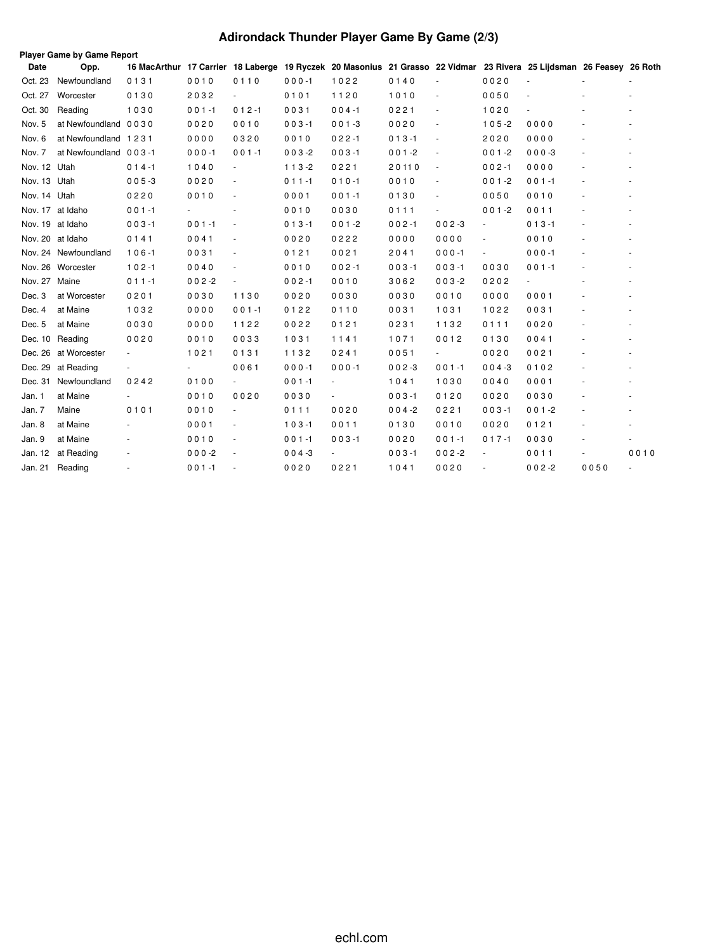# **Adirondack Thunder Player Game By Game (2/3)**

|               | Player Game by Game Report |                                                                                                                      |           |                          |           |                          |           |                          |                          |                |      |                          |  |
|---------------|----------------------------|----------------------------------------------------------------------------------------------------------------------|-----------|--------------------------|-----------|--------------------------|-----------|--------------------------|--------------------------|----------------|------|--------------------------|--|
| Date          | Opp.                       | 16 MacArthur 17 Carrier 18 Laberge 19 Ryczek 20 Masonius 21 Grasso 22 Vidmar 23 Rivera 25 Lijdsman 26 Feasey 26 Roth |           |                          |           |                          |           |                          |                          |                |      |                          |  |
| Oct. 23       | Newfoundland               | 0131                                                                                                                 | 0010      | 0110                     | $000 - 1$ | 1022                     | 0140      |                          | 0020                     |                |      |                          |  |
| Oct. 27       | Worcester                  | 0130                                                                                                                 | 2032      | $\overline{\phantom{a}}$ | 0101      | 1120                     | 1010      | $\sim$                   | 0050                     | ٠              |      |                          |  |
| Oct. 30       | Reading                    | 1030                                                                                                                 | $001 - 1$ | $012 - 1$                | 0031      | $004 - 1$                | 0221      | $\sim$                   | 1020                     | ä,             |      |                          |  |
| Nov. 5        | at Newfoundland 0030       |                                                                                                                      | 0020      | 0010                     | $003 - 1$ | $001 - 3$                | 0020      | $\overline{\phantom{a}}$ | $105 - 2$                | 0000           |      |                          |  |
| Nov. 6        | at Newfoundland 1231       |                                                                                                                      | 0000      | 0320                     | 0010      | $022 - 1$                | $013 - 1$ | $\overline{\phantom{a}}$ | 2020                     | 0000           |      |                          |  |
| Nov. 7        | at Newfoundland 003-1      |                                                                                                                      | $000 - 1$ | $001 - 1$                | $003 - 2$ | $003 - 1$                | $001 - 2$ | $\overline{\phantom{a}}$ | $001 - 2$                | $000 - 3$      |      |                          |  |
| Nov. 12 Utah  |                            | $014 - 1$                                                                                                            | 1040      | ٠                        | $113-2$   | 0221                     | 20110     | $\overline{\phantom{a}}$ | $002 - 1$                | 0000           |      |                          |  |
| Nov. 13 Utah  |                            | $005 - 3$                                                                                                            | 0020      |                          | $011 - 1$ | $010 - 1$                | 0010      | $\sim$                   | $001 - 2$                | $001 - 1$      |      |                          |  |
| Nov. 14 Utah  |                            | 0220                                                                                                                 | 0010      |                          | 0001      | $001 - 1$                | 0130      | $\sim$                   | 0050                     | 0010           |      |                          |  |
|               | Nov. 17 at Idaho           | $001 - 1$                                                                                                            |           |                          | 0010      | 0030                     | 0111      |                          | $001 - 2$                | 0011           |      |                          |  |
|               | Nov. 19 at Idaho           | $003 - 1$                                                                                                            | $001 - 1$ |                          | $013 - 1$ | $001 - 2$                | $002 - 1$ | $002 - 3$                | $\sim$                   | $013 - 1$      |      |                          |  |
|               | Nov. 20 at Idaho           | 0141                                                                                                                 | 0041      |                          | 0020      | 0222                     | 0000      | 0000                     | $\overline{\phantom{a}}$ | 0010           |      |                          |  |
|               | Nov. 24 Newfoundland       | $106 - 1$                                                                                                            | 0031      | ٠                        | 0121      | 0021                     | 2041      | $000 - 1$                | $\overline{\phantom{a}}$ | $000 - 1$      |      |                          |  |
|               | Nov. 26 Worcester          | $102 - 1$                                                                                                            | 0040      |                          | 0010      | $002 - 1$                | $003 - 1$ | $003 - 1$                | 0030                     | $001 - 1$      |      |                          |  |
| Nov. 27 Maine |                            | $011 - 1$                                                                                                            | $002 - 2$ |                          | $002 - 1$ | 0010                     | 3062      | $003 - 2$                | 0202                     | $\blacksquare$ |      |                          |  |
| Dec. 3        | at Worcester               | 0201                                                                                                                 | 0030      | 1130                     | 0020      | 0030                     | 0030      | 0010                     | 0000                     | 0001           |      |                          |  |
| Dec. 4        | at Maine                   | 1032                                                                                                                 | 0000      | $001 - 1$                | 0122      | 0110                     | 0031      | 1031                     | 1022                     | 0031           |      |                          |  |
| Dec. 5        | at Maine                   | 0030                                                                                                                 | 0000      | 1122                     | 0022      | 0121                     | 0231      | 1132                     | 0111                     | 0020           |      |                          |  |
|               | Dec. 10 Reading            | 0020                                                                                                                 | 0010      | 0033                     | 1031      | 1141                     | 1071      | 0012                     | 0130                     | 0041           |      |                          |  |
|               | Dec. 26 at Worcester       | $\overline{\phantom{a}}$                                                                                             | 1021      | 0131                     | 1132      | 0241                     | 0051      | $\sim$                   | 0020                     | 0021           |      |                          |  |
|               | Dec. 29 at Reading         |                                                                                                                      |           | 0061                     | $000 - 1$ | $000 - 1$                | $002 - 3$ | $001 - 1$                | $004 - 3$                | 0102           |      |                          |  |
|               | Dec. 31 Newfoundland       | 0242                                                                                                                 | 0100      |                          | $001 - 1$ | $\overline{\phantom{a}}$ | 1041      | 1030                     | 0040                     | 0001           |      |                          |  |
| Jan. 1        | at Maine                   |                                                                                                                      | 0010      | 0020                     | 0030      | ÷,                       | $003 - 1$ | 0120                     | 0020                     | 0030           |      |                          |  |
| Jan. 7        | Maine                      | 0101                                                                                                                 | 0010      | $\blacksquare$           | 0111      | 0020                     | $004 - 2$ | 0221                     | $003 - 1$                | $001 - 2$      |      |                          |  |
| Jan. 8        | at Maine                   |                                                                                                                      | 0001      |                          | $103 - 1$ | 0011                     | 0130      | 0010                     | 0020                     | 0121           |      |                          |  |
| Jan. 9        | at Maine                   |                                                                                                                      | 0010      |                          | $001 - 1$ | $003 - 1$                | 0020      | $001 - 1$                | $017 - 1$                | 0030           |      |                          |  |
| Jan. 12       | at Reading                 |                                                                                                                      | $000-2$   |                          | $004 - 3$ |                          | $003 - 1$ | $002 - 2$                |                          | 0011           |      | 0010                     |  |
| Jan. 21       | Reading                    |                                                                                                                      | $001 - 1$ |                          | 0020      | 0221                     | 1041      | 0020                     |                          | $002 - 2$      | 0050 | $\overline{\phantom{a}}$ |  |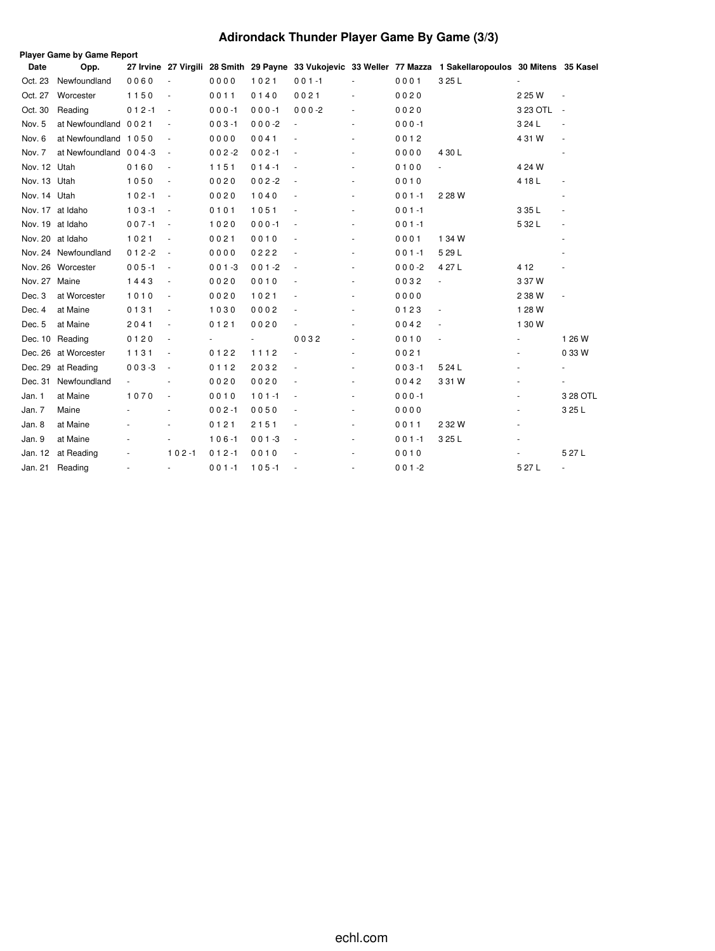# **Adirondack Thunder Player Game By Game (3/3)**

| Player Game by Game Report |                       |           |                          |           |           |                          |                          |           |                                                                                                             |            |                          |
|----------------------------|-----------------------|-----------|--------------------------|-----------|-----------|--------------------------|--------------------------|-----------|-------------------------------------------------------------------------------------------------------------|------------|--------------------------|
| Date                       | Opp.                  |           |                          |           |           |                          |                          |           | 27 Irvine 27 Virgili 28 Smith 29 Payne 33 Vukojevic 33 Weller 77 Mazza 1 Sakellaropoulos 30 Mitens 35 Kasel |            |                          |
| Oct. 23                    | Newfoundland          | 0060      |                          | 0000      | 1021      | $001 - 1$                |                          | 0001      | 3 25 L                                                                                                      |            |                          |
| Oct. 27                    | Worcester             | 1150      | ÷,                       | 0011      | 0140      | 0021                     | ÷,                       | 0020      |                                                                                                             | 2 25 W     |                          |
| Oct. 30                    | Reading               | $012 - 1$ | $\sim$                   | $000 - 1$ | $000 - 1$ | $000 - 2$                | ÷,                       | 0020      |                                                                                                             | 3 23 OTL - |                          |
| Nov. 5                     | at Newfoundland 0021  |           |                          | $003 - 1$ | $000-2$   | $\frac{1}{2}$            | $\sim$                   | $000 - 1$ |                                                                                                             | 3 24 L     | $\overline{\phantom{a}}$ |
| Nov. 6                     | at Newfoundland 1050  |           |                          | 0000      | 0041      |                          |                          | 0012      |                                                                                                             | 4 31 W     | $\overline{\phantom{a}}$ |
| Nov. 7                     | at Newfoundland 004-3 |           | $\overline{\phantom{a}}$ | $002 - 2$ | $002 - 1$ |                          | ä,                       | 0000      | 4 30 L                                                                                                      |            |                          |
| Nov. 12 Utah               |                       | 0160      | ÷,                       | 1151      | $014 - 1$ |                          | $\overline{\phantom{a}}$ | 0100      |                                                                                                             | 4 24 W     |                          |
| Nov. 13 Utah               |                       | 1050      | ÷,                       | 0020      | $002 - 2$ | $\sim$                   | $\overline{a}$           | 0010      |                                                                                                             | 4 18 L     |                          |
| Nov. 14 Utah               |                       | $102 - 1$ | $\overline{\phantom{a}}$ | 0020      | 1040      |                          | ٠                        | $001 - 1$ | 2 28 W                                                                                                      |            |                          |
|                            | Nov. 17 at Idaho      | $103 - 1$ | $\sim$                   | 0101      | 1051      |                          |                          | $001 - 1$ |                                                                                                             | 3 35 L     |                          |
|                            | Nov. 19 at Idaho      | $007 - 1$ | $\overline{\phantom{a}}$ | 1020      | $000 - 1$ |                          | $\overline{\phantom{a}}$ | $001 - 1$ |                                                                                                             | 5 32 L     | ÷,                       |
|                            | Nov. 20 at Idaho      | 1021      |                          | 0021      | 0010      |                          |                          | 0001      | 1 34 W                                                                                                      |            |                          |
|                            | Nov. 24 Newfoundland  | $012 - 2$ | $\overline{\phantom{a}}$ | 0000      | 0222      |                          |                          | $001 - 1$ | 5 29 L                                                                                                      |            |                          |
|                            | Nov. 26 Worcester     | $005 - 1$ | $\sim$                   | $001 - 3$ | $001 - 2$ |                          |                          | $000 - 2$ | 4 27 L                                                                                                      | 4 1 2      |                          |
| Nov. 27 Maine              |                       | 1443      | ÷,                       | 0020      | 0010      |                          | $\sim$                   | 0032      | $\blacksquare$                                                                                              | 3 37 W     |                          |
| Dec. 3                     | at Worcester          | 1010      | $\overline{\phantom{a}}$ | 0020      | 1021      |                          | $\overline{\phantom{a}}$ | 0000      |                                                                                                             | 2 38 W     | $\blacksquare$           |
| Dec. 4                     | at Maine              | 0131      | ÷,                       | 1030      | 0002      |                          | ä,                       | 0123      |                                                                                                             | 1 28 W     |                          |
| Dec. 5                     | at Maine              | 2041      | $\overline{\phantom{a}}$ | 0121      | 0020      | $\overline{\phantom{a}}$ | $\overline{\phantom{a}}$ | 0042      | ÷,                                                                                                          | 1 30 W     |                          |
| Dec. 10                    | Reading               | 0120      |                          |           |           | 0032                     | ÷,                       | 0010      |                                                                                                             |            | 1 26 W                   |
| Dec. 26                    | at Worcester          | 1131      | $\overline{\phantom{a}}$ | 0122      | 1112      |                          | $\ddot{\phantom{1}}$     | 0021      |                                                                                                             |            | 0 33 W                   |
| Dec. 29                    | at Reading            | $003 - 3$ | $\sim$                   | 0112      | 2032      |                          |                          | $003 - 1$ | 5 24 L                                                                                                      |            |                          |
| Dec. 31                    | Newfoundland          |           |                          | 0020      | 0020      |                          | ٠                        | 0042      | 3 31 W                                                                                                      |            |                          |
| Jan. 1                     | at Maine              | 1070      |                          | 0010      | $101 - 1$ |                          |                          | $000 - 1$ |                                                                                                             |            | 3 28 OTL                 |
| Jan. 7                     | Maine                 |           |                          | $002 - 1$ | 0050      |                          |                          | 0000      |                                                                                                             |            | 3 25 L                   |
| Jan. 8                     | at Maine              |           |                          | 0121      | 2151      |                          | $\overline{\phantom{a}}$ | 0011      | 2 3 2W                                                                                                      | ٠          |                          |
| Jan. 9                     | at Maine              |           | $\overline{\phantom{a}}$ | $106 - 1$ | $001 - 3$ | $\overline{\phantom{a}}$ | $\overline{\phantom{a}}$ | $001 - 1$ | 3 25 L                                                                                                      | ٠          |                          |
| Jan. 12                    | at Reading            |           | $102 - 1$                | $012 - 1$ | 0010      |                          |                          | 0010      |                                                                                                             |            | 5 27 L                   |
| Jan. 21                    | Reading               |           |                          | $001 - 1$ | $105 - 1$ |                          |                          | $001 - 2$ |                                                                                                             | 5 27 L     | ÷,                       |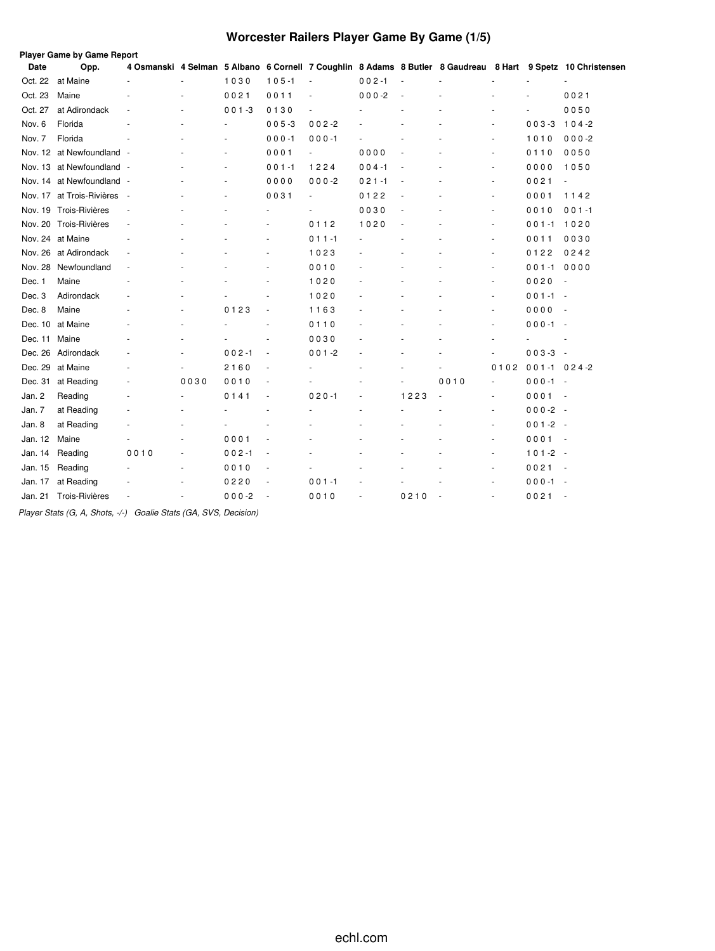# **Worcester Railers Player Game By Game (1/5)**

|         | Player Game by Game Report  |      |      |           |                          |                          |           |                |      |                          |                  |                                                                                                             |
|---------|-----------------------------|------|------|-----------|--------------------------|--------------------------|-----------|----------------|------|--------------------------|------------------|-------------------------------------------------------------------------------------------------------------|
| Date    | Opp.                        |      |      |           |                          |                          |           |                |      |                          |                  | 4 Osmanski 4 Selman 5 Albano 6 Cornell 7 Coughlin 8 Adams 8 Butler 8 Gaudreau 8 Hart 9 Spetz 10 Christensen |
| Oct. 22 | at Maine                    |      |      | 1030      | $105 - 1$                | $\sim$                   | $002 - 1$ | ä,             |      |                          |                  |                                                                                                             |
| Oct. 23 | Maine                       |      |      | 0021      | 0011                     |                          | $000 -2$  |                |      |                          |                  | 0021                                                                                                        |
| Oct. 27 | at Adirondack               |      |      | $001 - 3$ | 0130                     |                          |           |                |      |                          |                  | 0050                                                                                                        |
| Nov. 6  | Florida                     |      |      |           | $005 - 3$                | $002 - 2$                |           |                |      |                          | $003 - 3$        | $104 - 2$                                                                                                   |
| Nov. 7  | Florida                     |      |      |           | $000 - 1$                | $000 - 1$                |           |                |      | ÷,                       | 1010             | $000-2$                                                                                                     |
|         | Nov. 12 at Newfoundland -   |      |      |           | 0001                     | $\overline{\phantom{a}}$ | 0000      | ÷,             |      | ٠                        | 0110             | 0050                                                                                                        |
|         | Nov. 13 at Newfoundland -   |      |      |           | $001 - 1$                | 1224                     | $004 - 1$ |                |      | ä,                       | 0000             | 1050                                                                                                        |
| Nov. 14 | at Newfoundland -           |      |      |           | 0000                     | $000 - 2$                | $021 - 1$ |                |      | ٠                        | 0021             | ÷,                                                                                                          |
|         | Nov. 17 at Trois-Rivières - |      |      |           | 0031                     | $\blacksquare$           | 0122      | ä,             |      | $\ddot{\phantom{1}}$     | 0001             | 1142                                                                                                        |
|         | Nov. 19 Trois-Rivières      |      |      |           |                          |                          | 0030      |                |      | ÷,                       | 0010             | $001 - 1$                                                                                                   |
|         | Nov. 20 Trois-Rivières      |      |      |           |                          | 0112                     | 1020      | $\overline{a}$ |      | $\sim$                   | $001 - 1$        | 1020                                                                                                        |
|         | Nov. 24 at Maine            |      |      |           |                          | $011 - 1$                |           |                |      |                          | 0011             | 0030                                                                                                        |
|         | Nov. 26 at Adirondack       |      |      |           |                          | 1023                     |           |                |      | ٠                        | 0122             | 0242                                                                                                        |
| Nov. 28 | Newfoundland                |      |      |           |                          | 0010                     |           |                |      | ٠                        | $001 - 1$        | 0000                                                                                                        |
| Dec. 1  | Maine                       |      |      |           |                          | 1020                     |           |                |      | ÷,                       | 0020             | $\overline{\phantom{a}}$                                                                                    |
| Dec. 3  | Adirondack                  |      |      |           |                          | 1020                     |           |                |      | ٠                        | $001 - 1 -$      |                                                                                                             |
| Dec. 8  | Maine                       |      |      | 0123      | $\sim$                   | 1163                     |           |                |      |                          | 0000             | $\overline{\phantom{a}}$                                                                                    |
| Dec. 10 | at Maine                    |      |      |           |                          | 0110                     |           |                |      | ä,                       | $000 - 1 -$      |                                                                                                             |
| Dec. 11 | Maine                       |      |      |           |                          | 0030                     |           |                |      |                          |                  |                                                                                                             |
| Dec. 26 | Adirondack                  |      |      | $002 - 1$ |                          | $001 - 2$                |           |                |      |                          | $003-3 -$        |                                                                                                             |
| Dec. 29 | at Maine                    |      |      | 2160      | $\overline{\phantom{a}}$ |                          |           |                |      | 0102                     | $001 - 1024 - 2$ |                                                                                                             |
| Dec. 31 | at Reading                  |      | 0030 | 0010      | $\overline{\phantom{a}}$ |                          |           |                | 0010 | $\sim$                   | $000 - 1 -$      |                                                                                                             |
| Jan. 2  | Reading                     |      |      | 0141      | $\overline{\phantom{a}}$ | $020 - 1$                |           | 1223           |      | ÷,                       | $0001 -$         |                                                                                                             |
| Jan. 7  | at Reading                  |      |      |           |                          |                          |           |                |      | $\sim$                   | $000-2 -$        |                                                                                                             |
| Jan. 8  | at Reading                  |      |      |           |                          |                          |           |                |      | $\overline{\phantom{a}}$ | $001 - 2 -$      |                                                                                                             |
| Jan. 12 | Maine                       |      |      | 0001      |                          |                          |           |                |      | ٠                        | $0001 -$         |                                                                                                             |
| Jan. 14 | Reading                     | 0010 | ٠    | $002 - 1$ | $\sim$                   |                          |           |                |      | ÷.                       | $101 - 2 -$      |                                                                                                             |
| Jan. 15 | Reading                     |      |      | 0010      |                          |                          |           |                |      |                          | $0021 -$         |                                                                                                             |
| Jan. 17 | at Reading                  |      |      | 0220      |                          | $001 - 1$                |           |                |      | $\overline{\phantom{a}}$ | $000 - 1 -$      |                                                                                                             |
| Jan. 21 | Trois-Rivières              |      |      | $000 - 2$ |                          | 0010                     |           | 0210           |      |                          | 0021             |                                                                                                             |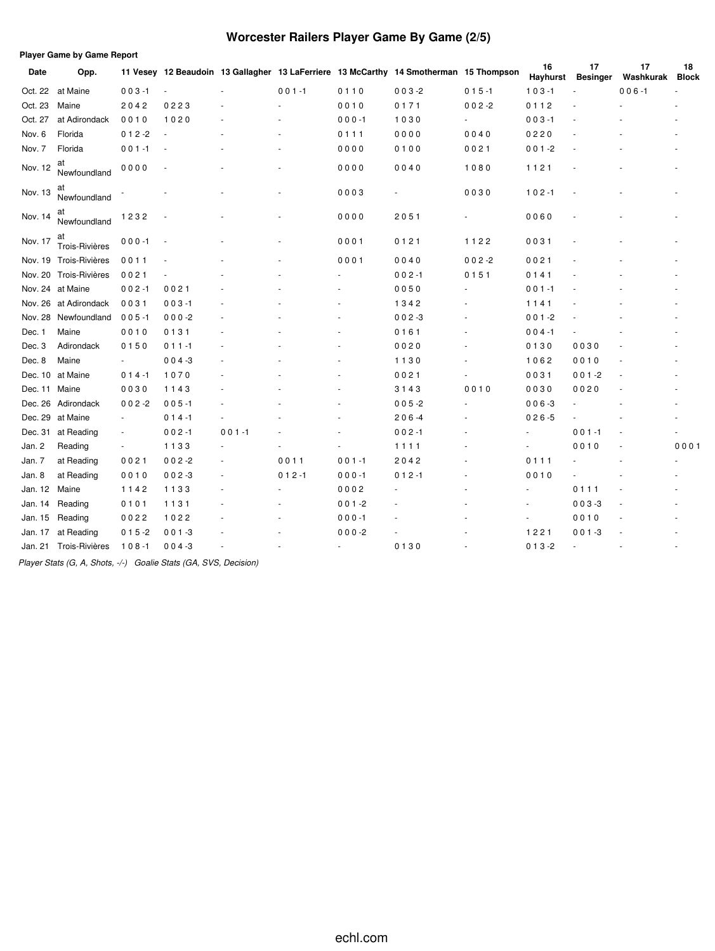# **Worcester Railers Player Game By Game (2/5)**

| <b>Player Game by Game Report</b> |                        |                          |           |           |           |           |                                                                                       |                          |                |                       |                 |                    |
|-----------------------------------|------------------------|--------------------------|-----------|-----------|-----------|-----------|---------------------------------------------------------------------------------------|--------------------------|----------------|-----------------------|-----------------|--------------------|
| Date                              | Opp.                   |                          |           |           |           |           | 11 Vesey 12 Beaudoin 13 Gallagher 13 LaFerriere 13 McCarthy 14 Smotherman 15 Thompson |                          | 16<br>Hayhurst | 17<br><b>Besinger</b> | 17<br>Washkurak | 18<br><b>Block</b> |
| Oct. 22                           | at Maine               | $003 - 1$                |           |           | $001 - 1$ | 0110      | $003 - 2$                                                                             | $015 - 1$                | $103 - 1$      |                       | $006 - 1$       |                    |
| Oct. 23                           | Maine                  | 2042                     | 0223      |           |           | 0010      | 0171                                                                                  | $002 - 2$                | 0112           |                       |                 |                    |
| Oct. 27                           | at Adirondack          | 0010                     | 1020      |           |           | $000 - 1$ | 1030                                                                                  | $\overline{\phantom{a}}$ | $003 - 1$      |                       |                 |                    |
| Nov. 6                            | Florida                | $012 - 2$                |           |           |           | 0111      | 0000                                                                                  | 0040                     | 0220           |                       |                 |                    |
| Nov. 7                            | Florida                | $001 - 1$                |           |           |           | 0000      | 0100                                                                                  | 0021                     | $001 - 2$      |                       |                 |                    |
| Nov. 12                           | at<br>Newfoundland     | 0000                     |           |           |           | 0000      | 0040                                                                                  | 1080                     | 1121           |                       |                 |                    |
| Nov. 13                           | at<br>Newfoundland     |                          |           |           |           | 0003      |                                                                                       | 0030                     | $102 - 1$      |                       |                 |                    |
| Nov. 14                           | aτ<br>Newfoundland     | 1232                     |           |           |           | 0000      | 2051                                                                                  |                          | 0060           |                       |                 |                    |
| Nov. 17                           | aτ<br>Trois-Rivières   | $000 - 1$                |           |           |           | 0001      | 0121                                                                                  | 1122                     | 0031           |                       |                 |                    |
|                                   | Nov. 19 Trois-Rivières | 0011                     |           |           |           | 0001      | 0040                                                                                  | $002 - 2$                | 0021           |                       |                 |                    |
| Nov. 20                           | Trois-Rivières         | 0021                     |           |           |           |           | $002 - 1$                                                                             | 0151                     | 0141           |                       |                 |                    |
|                                   | Nov. 24 at Maine       | $002 - 1$                | 0021      |           |           |           | 0050                                                                                  |                          | $001 - 1$      |                       |                 |                    |
|                                   | Nov. 26 at Adirondack  | 0031                     | $003 - 1$ |           |           |           | 1342                                                                                  |                          | 1141           |                       |                 |                    |
| Nov. 28                           | Newfoundland           | $005 - 1$                | $000-2$   |           |           |           | $002 - 3$                                                                             |                          | $001 - 2$      |                       |                 |                    |
| Dec. 1                            | Maine                  | 0010                     | 0131      |           |           |           | 0161                                                                                  |                          | $004 - 1$      |                       |                 |                    |
| Dec. 3                            | Adirondack             | 0150                     | $011 - 1$ |           |           |           | 0020                                                                                  |                          | 0130           | 0030                  |                 |                    |
| Dec. 8                            | Maine                  | $\overline{\phantom{a}}$ | $004 - 3$ |           |           |           | 1130                                                                                  |                          | 1062           | 0010                  |                 |                    |
|                                   | Dec. 10 at Maine       | $014 - 1$                | 1070      |           |           |           | 0021                                                                                  |                          | 0031           | $001 - 2$             |                 |                    |
| Dec. 11                           | Maine                  | 0030                     | 1143      |           |           |           | 3143                                                                                  | 0010                     | 0030           | 0020                  |                 |                    |
| Dec. 26                           | Adirondack             | $002 - 2$                | $005 - 1$ |           |           |           | $005 - 2$                                                                             |                          | $006 - 3$      |                       |                 |                    |
| Dec. 29                           | at Maine               | $\omega$                 | $014 - 1$ |           |           |           | $206 - 4$                                                                             |                          | $026 - 5$      |                       |                 |                    |
| Dec. 31                           | at Reading             | $\blacksquare$           | $002 - 1$ | $001 - 1$ |           |           | $002 - 1$                                                                             |                          |                | $001 - 1$             |                 |                    |
| Jan. 2                            | Reading                |                          | 1133      |           |           |           | 1111                                                                                  |                          |                | 0010                  |                 | 0001               |
| Jan. 7                            | at Reading             | 0021                     | $002 - 2$ |           | 0011      | $001 - 1$ | 2042                                                                                  |                          | 0111           |                       |                 |                    |
| Jan. 8                            | at Reading             | 0010                     | $002 - 3$ |           | $012 - 1$ | $000 - 1$ | $012 - 1$                                                                             |                          | 0010           |                       |                 |                    |
| Jan. 12                           | Maine                  | 1142                     | 1133      |           |           | 0002      |                                                                                       |                          |                | 0111                  |                 |                    |
| Jan. 14                           | Reading                | 0101                     | 1131      |           |           | $001 - 2$ |                                                                                       |                          |                | $003 - 3$             |                 |                    |
| Jan. 15                           | Reading                | 0022                     | 1022      |           |           | $000 - 1$ |                                                                                       |                          | $\blacksquare$ | 0010                  |                 |                    |
| Jan. 17                           | at Reading             | $015 - 2$                | $001 - 3$ |           |           | $000-2$   |                                                                                       |                          | 1221           | $001 - 3$             |                 |                    |
| Jan. 21                           | Trois-Rivières         | $108 - 1$                | $004 - 3$ |           |           | $\sim$    | 0130                                                                                  |                          | $013 - 2$      | ÷                     |                 |                    |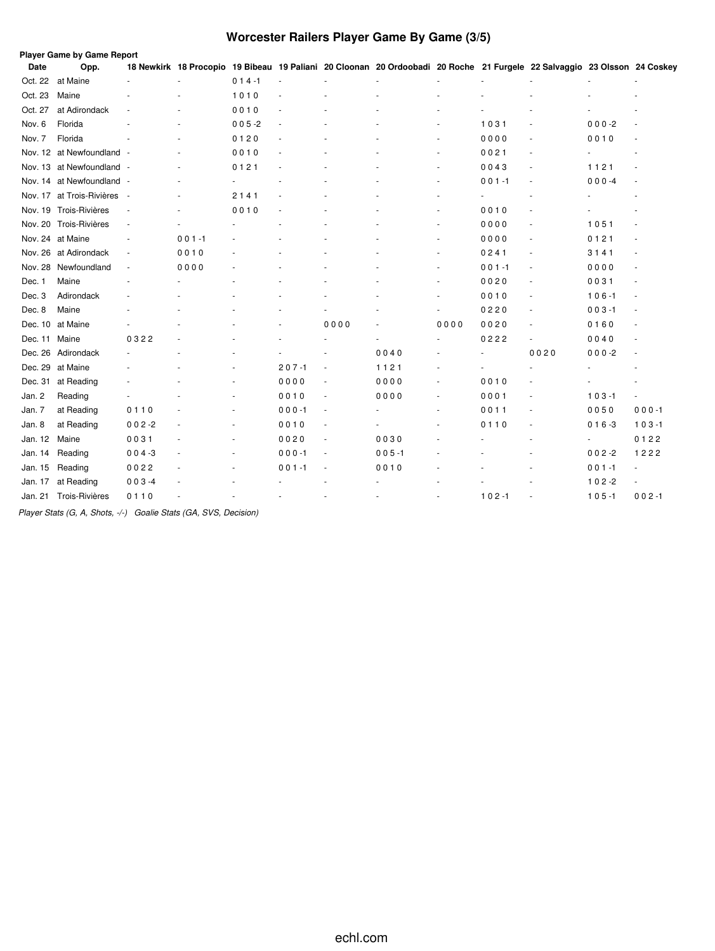# **Worcester Railers Player Game By Game (3/5)**

|               | <b>Player Game by Game Report</b> |                          |           |           |           |                          |                                                                                                                          |        |           |                          |           |                          |
|---------------|-----------------------------------|--------------------------|-----------|-----------|-----------|--------------------------|--------------------------------------------------------------------------------------------------------------------------|--------|-----------|--------------------------|-----------|--------------------------|
| Date          | Opp.                              |                          |           |           |           |                          | 18 Newkirk 18 Procopio 19 Bibeau 19 Paliani 20 Cloonan 20 Ordoobadi 20 Roche 21 Furgele 22 Salvaggio 23 Olsson 24 Coskey |        |           |                          |           |                          |
| Oct. 22       | at Maine                          |                          |           | $014 - 1$ |           |                          |                                                                                                                          |        |           |                          |           |                          |
| Oct. 23       | Maine                             |                          |           | 1010      |           |                          |                                                                                                                          |        |           |                          |           |                          |
| Oct. 27       | at Adirondack                     |                          |           | 0010      |           |                          |                                                                                                                          |        |           |                          |           |                          |
| Nov. 6        | Florida                           |                          |           | $005 - 2$ |           |                          |                                                                                                                          |        | 1031      |                          | $000 -2$  |                          |
| Nov. 7        | Florida                           |                          |           | 0120      |           |                          |                                                                                                                          |        | 0000      |                          | 0010      |                          |
|               | Nov. 12 at Newfoundland -         |                          |           | 0010      |           |                          |                                                                                                                          | $\sim$ | 0021      | ٠                        |           |                          |
|               | Nov. 13 at Newfoundland -         |                          |           | 0121      |           |                          |                                                                                                                          |        | 0043      |                          | 1121      |                          |
|               | Nov. 14 at Newfoundland -         |                          |           |           |           |                          |                                                                                                                          |        | $001 - 1$ |                          | $000 - 4$ |                          |
|               | Nov. 17 at Trois-Rivières         | $\overline{\phantom{a}}$ |           | 2141      |           |                          |                                                                                                                          |        |           |                          |           |                          |
|               | Nov. 19 Trois-Rivières            | ÷,                       |           | 0010      |           |                          |                                                                                                                          |        | 0010      |                          |           |                          |
|               | Nov. 20 Trois-Rivières            | ä,                       |           |           |           |                          |                                                                                                                          | $\sim$ | 0000      | $\sim$                   | 1051      |                          |
|               | Nov. 24 at Maine                  | $\sim$                   | $001 - 1$ |           |           |                          |                                                                                                                          | $\sim$ | 0000      | $\sim$                   | 0121      |                          |
|               | Nov. 26 at Adirondack             | $\overline{\phantom{a}}$ | 0010      |           |           |                          |                                                                                                                          | $\sim$ | 0241      | ٠                        | 3141      |                          |
|               | Nov. 28 Newfoundland              | $\blacksquare$           | 0000      |           |           |                          |                                                                                                                          | $\sim$ | $001 - 1$ | ٠                        | 0000      | $\sim$                   |
| Dec. 1        | Maine                             |                          |           |           |           |                          |                                                                                                                          |        | 0020      | $\sim$                   | 0031      |                          |
| Dec. 3        | Adirondack                        |                          |           |           |           |                          |                                                                                                                          |        | 0010      | $\sim$                   | $106 - 1$ | $\overline{\phantom{a}}$ |
| Dec. 8        | Maine                             |                          |           |           |           |                          |                                                                                                                          |        | 0220      | $\sim$                   | $003 - 1$ | $\overline{\phantom{a}}$ |
|               | Dec. 10 at Maine                  |                          |           |           |           | 0000                     |                                                                                                                          | 0000   | 0020      |                          | 0160      |                          |
| Dec. 11 Maine |                                   | 0322                     |           |           |           |                          |                                                                                                                          |        | 0222      | $\overline{\phantom{a}}$ | 0040      |                          |
|               | Dec. 26 Adirondack                |                          |           |           |           |                          | 0040                                                                                                                     |        |           | 0020                     | $000 - 2$ |                          |
|               | Dec. 29 at Maine                  |                          |           |           | $207 - 1$ |                          | 1121                                                                                                                     |        |           |                          |           |                          |
| Dec. 31       | at Reading                        |                          |           | ٠         | 0000      | $\overline{\phantom{a}}$ | 0000                                                                                                                     | ٠      | 0010      |                          |           |                          |
| Jan. 2        | Reading                           |                          |           |           | 0010      | $\overline{\phantom{a}}$ | 0000                                                                                                                     | $\sim$ | 0001      | ٠                        | $103 - 1$ | $\overline{\phantom{a}}$ |
| Jan. 7        | at Reading                        | 0110                     |           |           | $000 - 1$ | ÷.                       |                                                                                                                          | ٠      | 0011      |                          | 0050      | $000 - 1$                |
| Jan. 8        | at Reading                        | $002 - 2$                |           |           | 0010      | $\overline{\phantom{a}}$ |                                                                                                                          |        | 0110      |                          | $016 - 3$ | $103 - 1$                |
| Jan. 12       | Maine                             | 0031                     |           |           | 0020      | ÷.                       | 0030                                                                                                                     |        |           |                          |           | 0122                     |
| Jan. 14       | Reading                           | $004 - 3$                |           | ٠         | $000 - 1$ | $\overline{\phantom{a}}$ | $005 - 1$                                                                                                                |        |           |                          | $002 - 2$ | 1222                     |
| Jan. 15       | Reading                           | 0022                     |           |           | $001 - 1$ | $\overline{\phantom{a}}$ | 0010                                                                                                                     |        |           |                          | $001 - 1$ | $\overline{\phantom{a}}$ |
| Jan. 17       | at Reading                        | $003 - 4$                |           |           |           |                          |                                                                                                                          |        |           |                          | $102 - 2$ | $\overline{\phantom{a}}$ |
| Jan. 21       | Trois-Rivières                    | 0110                     |           |           |           |                          |                                                                                                                          |        | $102 - 1$ |                          | $105 - 1$ | $002 - 1$                |
|               |                                   |                          |           |           |           |                          |                                                                                                                          |        |           |                          |           |                          |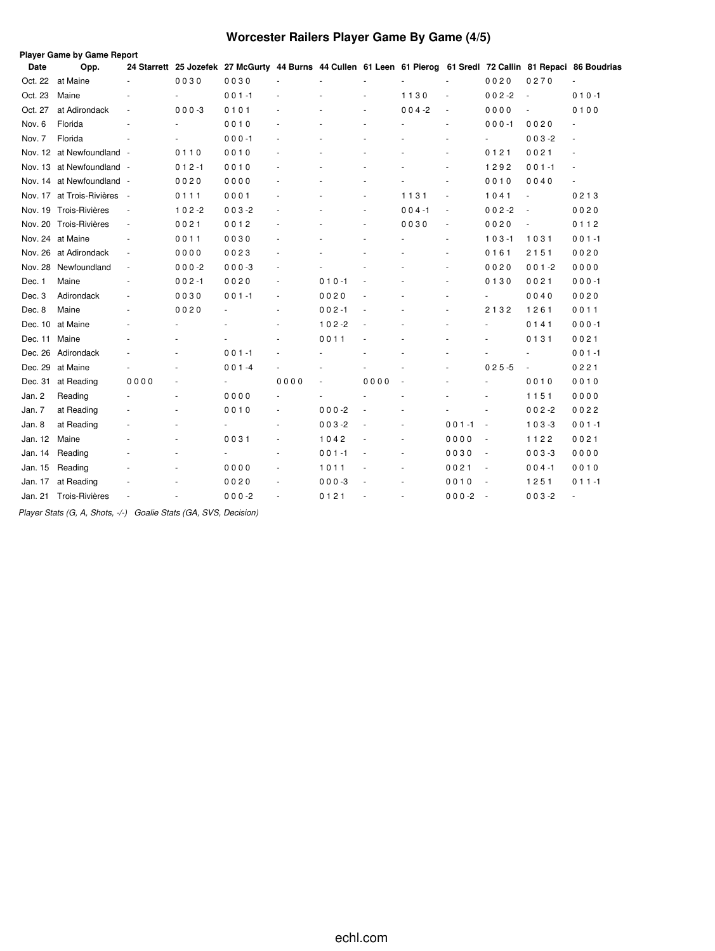# **Worcester Railers Player Game By Game (4/5)**

|         | <b>Player Game by Game Report</b> |                          |                |                                                                                                                 |                          |           |                |                |           |                          |                          |                          |
|---------|-----------------------------------|--------------------------|----------------|-----------------------------------------------------------------------------------------------------------------|--------------------------|-----------|----------------|----------------|-----------|--------------------------|--------------------------|--------------------------|
| Date    | Opp.                              |                          |                | 24 Starrett 25 Jozefek 27 McGurty 44 Burns 44 Cullen 61 Leen 61 Pierog 61 Sredl 72 Callin 81 Repaci 86 Boudrias |                          |           |                |                |           |                          |                          |                          |
| Oct. 22 | at Maine                          | ÷,                       | 0030           | 0030                                                                                                            | ٠                        |           |                |                | ä,        | 0020                     | 0270                     |                          |
| Oct. 23 | Maine                             |                          |                | $001 - 1$                                                                                                       |                          |           |                | 1130           | ÷,        | $002 - 2$                |                          | $010 - 1$                |
| Oct. 27 | at Adirondack                     | $\sim$                   | $000 - 3$      | 0101                                                                                                            | ٠                        |           | $\overline{a}$ | $004 - 2$      | $\sim$    | 0000                     |                          | 0100                     |
| Nov. 6  | Florida                           |                          |                | 0010                                                                                                            | ä,                       |           |                |                | ٠         | $000 - 1$                | 0020                     | $\overline{\phantom{a}}$ |
| Nov. 7  | Florida                           |                          |                | $000 - 1$                                                                                                       |                          |           |                |                |           | $\overline{\phantom{0}}$ | $003 - 2$                |                          |
|         | Nov. 12 at Newfoundland -         |                          | 0110           | 0010                                                                                                            | ä,                       |           |                |                | ٠         | 0121                     | 0021                     | ٠                        |
|         | Nov. 13 at Newfoundland -         |                          | $012 - 1$      | 0010                                                                                                            | $\overline{\phantom{a}}$ |           |                |                | ÷,        | 1292                     | $0.01 - 1$               |                          |
|         | Nov. 14 at Newfoundland -         |                          | 0020           | 0000                                                                                                            | ä,                       |           | ä,             |                | ÷.        | 0010                     | 0040                     |                          |
|         | Nov. 17 at Trois-Rivières         | $\sim$                   | 0111           | 0001                                                                                                            | ٠                        |           | ÷,             | 1131           | ÷,        | 1041                     | $\overline{\phantom{a}}$ | 0213                     |
|         | Nov. 19 Trois-Rivières            | $\overline{\phantom{a}}$ | $102 - 2$      | $003 - 2$                                                                                                       |                          |           | ٠              | $004 - 1$      | $\sim$    | $002 - 2$                |                          | 0020                     |
|         | Nov. 20 Trois-Rivières            | $\blacksquare$           | 0021           | 0012                                                                                                            |                          |           |                | 0030           | ä,        | 0020                     |                          | 0112                     |
|         | Nov. 24 at Maine                  | $\sim$                   | 0011           | 0030                                                                                                            | ä,                       |           |                |                | ٠         | $103 - 1$                | 1031                     | $001 - 1$                |
| Nov. 26 | at Adirondack                     | $\blacksquare$           | 0000           | 0023                                                                                                            | $\overline{\phantom{a}}$ |           | ä,             |                | $\sim$    | 0161                     | 2151                     | 0020                     |
| Nov. 28 | Newfoundland                      | ÷,                       | $000 - 2$      | $000-3$                                                                                                         | ä,                       |           |                |                | ä,        | 0020                     | $001 - 2$                | 0000                     |
| Dec. 1  | Maine                             | $\sim$                   | $002 - 1$      | 0020                                                                                                            | $\overline{\phantom{a}}$ | $010 - 1$ |                |                | ٠         | 0130                     | 0021                     | $000 - 1$                |
| Dec. 3  | Adirondack                        | ٠                        | 0030           | 001-1                                                                                                           | $\overline{\phantom{a}}$ | 0020      |                |                | ٠         | $\blacksquare$           | 0040                     | 0020                     |
| Dec. 8  | Maine                             |                          | 0020           |                                                                                                                 | ä,                       | $002 - 1$ |                |                |           | 2132                     | 1261                     | 0011                     |
|         | Dec. 10 at Maine                  |                          |                |                                                                                                                 | ٠                        | $102 - 2$ |                |                | ٠         | ٠                        | 0141                     | $000 - 1$                |
| Dec. 11 | Maine                             |                          |                |                                                                                                                 | ÷                        | 0011      |                |                |           | ٠                        | 0131                     | 0021                     |
|         | Dec. 26 Adirondack                |                          |                | $001 - 1$                                                                                                       |                          |           |                |                |           |                          |                          | $001 - 1$                |
|         | Dec. 29 at Maine                  |                          | $\overline{a}$ | $001 - 4$                                                                                                       | ÷.                       |           |                |                | ٠         | $025 - 5$                | $\overline{\phantom{a}}$ | 0221                     |
| Dec. 31 | at Reading                        | 0000                     |                | $\frac{1}{2}$                                                                                                   | 0000                     | ä,        | 0000           |                |           | ä,                       | 0010                     | 0010                     |
| Jan. 2  | Reading                           |                          |                | 0000                                                                                                            | ÷                        |           |                |                |           |                          | 1151                     | 0000                     |
| Jan. 7  | at Reading                        |                          |                | 0010                                                                                                            | $\blacksquare$           | $000 - 2$ |                |                |           |                          | $002 - 2$                | 0022                     |
| Jan. 8  | at Reading                        |                          | $\sim$         | ä,                                                                                                              | $\blacksquare$           | $003 - 2$ |                | $\overline{a}$ | $001 - 1$ | $\overline{\phantom{a}}$ | $103 - 3$                | $001 - 1$                |
| Jan. 12 | Maine                             |                          |                | 0031                                                                                                            | ä,                       | 1042      |                |                | 0000      | $\sim$                   | 1122                     | 0021                     |
| Jan. 14 | Reading                           |                          |                | ä,                                                                                                              | $\overline{\phantom{a}}$ | $001 - 1$ |                |                | 0030      | $\overline{\phantom{a}}$ | $003 - 3$                | 0000                     |
| Jan. 15 | Reading                           |                          | ٠              | 0000                                                                                                            | $\overline{\phantom{a}}$ | 1011      |                | $\overline{a}$ | 0021      | $\overline{\phantom{a}}$ | $004 - 1$                | 0010                     |
| Jan. 17 | at Reading                        |                          |                | 0020                                                                                                            | ä,                       | $000 - 3$ |                |                | 0010      | $\overline{\phantom{a}}$ | 1251                     | $011 - 1$                |
| Jan. 21 | Trois-Rivières                    |                          |                | $000-2$                                                                                                         | ä,                       | 0121      |                |                | $000 -2$  | $\overline{\phantom{a}}$ | $003 - 2$                | ÷                        |